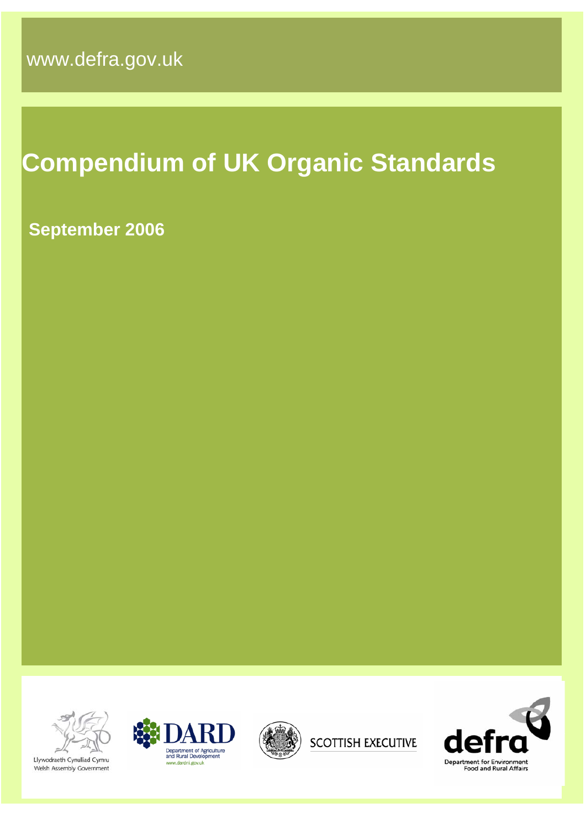# **Compendium of UK Organic Standards**

## **September 2006**



Llywodraeth Cynulliad Cymru Welsh Assembly Government









de Department for Environment<br>Food and Rural Affairs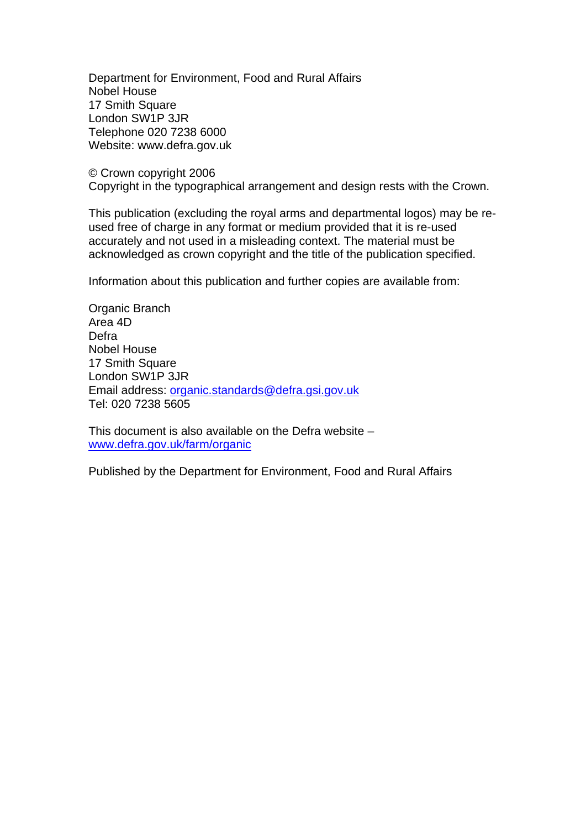Department for Environment, Food and Rural Affairs Nobel House 17 Smith Square London SW1P 3JR Telephone 020 7238 6000 Website: www.defra.gov.uk

© Crown copyright 2006 Copyright in the typographical arrangement and design rests with the Crown.

This publication (excluding the royal arms and departmental logos) may be reused free of charge in any format or medium provided that it is re-used accurately and not used in a misleading context. The material must be acknowledged as crown copyright and the title of the publication specified.

Information about this publication and further copies are available from:

Organic Branch Area 4D Defra Nobel House 17 Smith Square London SW1P 3JR Email address: [organic.standards@defra.gsi.gov.uk](mailto:organic.standards@defra.gsi.gov.uk)  Tel: 020 7238 5605

This document is also available on the Defra website – [www.defra.gov.uk/farm/organic](http://www.defra.gov.uk/farm/organic)

Published by the Department for Environment, Food and Rural Affairs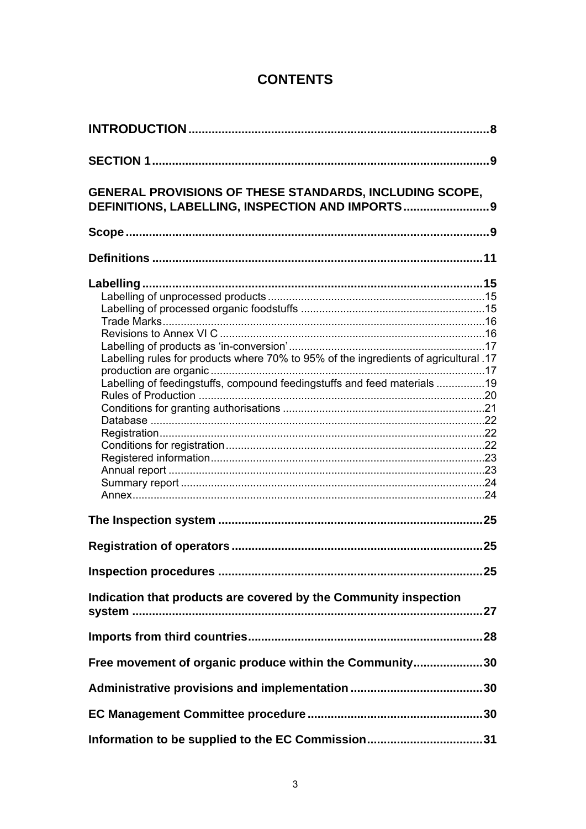## **CONTENTS**

| <b>GENERAL PROVISIONS OF THESE STANDARDS, INCLUDING SCOPE,</b><br>DEFINITIONS, LABELLING, INSPECTION AND IMPORTS 9                                               |    |
|------------------------------------------------------------------------------------------------------------------------------------------------------------------|----|
|                                                                                                                                                                  |    |
|                                                                                                                                                                  |    |
| Labelling rules for products where 70% to 95% of the ingredients of agricultural .17<br>Labelling of feedingstuffs, compound feedingstuffs and feed materials 19 |    |
|                                                                                                                                                                  |    |
|                                                                                                                                                                  | 25 |
|                                                                                                                                                                  |    |
| Indication that products are covered by the Community inspection                                                                                                 |    |
|                                                                                                                                                                  |    |
| Free movement of organic produce within the Community30                                                                                                          |    |
|                                                                                                                                                                  |    |
|                                                                                                                                                                  |    |
|                                                                                                                                                                  |    |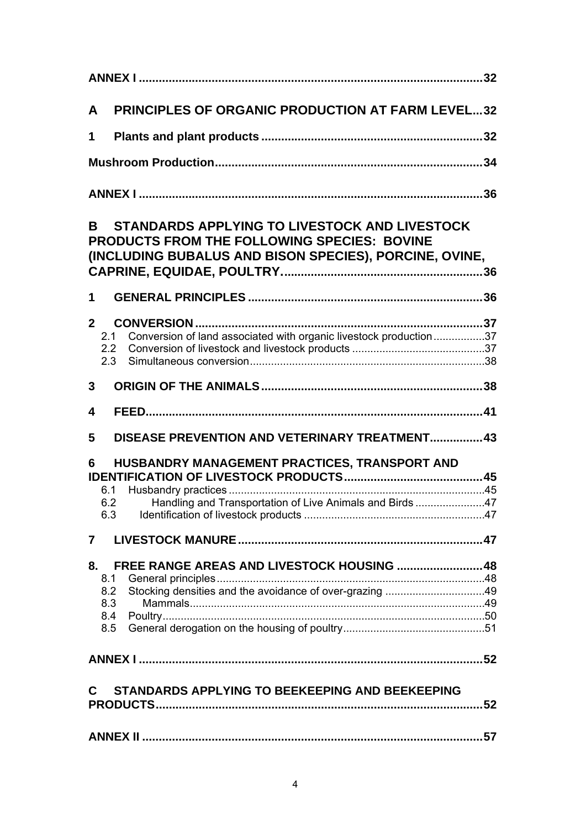| A              | <b>PRINCIPLES OF ORGANIC PRODUCTION AT FARM LEVEL32</b>                                                                                                |  |
|----------------|--------------------------------------------------------------------------------------------------------------------------------------------------------|--|
| 1              |                                                                                                                                                        |  |
|                |                                                                                                                                                        |  |
|                |                                                                                                                                                        |  |
| B.             | STANDARDS APPLYING TO LIVESTOCK AND LIVESTOCK<br>PRODUCTS FROM THE FOLLOWING SPECIES: BOVINE<br>(INCLUDING BUBALUS AND BISON SPECIES), PORCINE, OVINE, |  |
| 1              |                                                                                                                                                        |  |
| 2 <sup>1</sup> | Conversion of land associated with organic livestock production37<br>2.1<br>2.2<br>2.3                                                                 |  |
| $\mathbf{3}$   |                                                                                                                                                        |  |
| 4              |                                                                                                                                                        |  |
| 5              | DISEASE PREVENTION AND VETERINARY TREATMENT 43                                                                                                         |  |
| 6              | HUSBANDRY MANAGEMENT PRACTICES, TRANSPORT AND<br>6.1<br>Handling and Transportation of Live Animals and Birds47<br>6.2<br>6.3                          |  |
| 7              |                                                                                                                                                        |  |
| 8.<br>8.1      | FREE RANGE AREAS AND LIVESTOCK HOUSING  48<br>8.2<br>8.3<br>8.4<br>8.5                                                                                 |  |
|                |                                                                                                                                                        |  |
| C              | STANDARDS APPLYING TO BEEKEEPING AND BEEKEEPING                                                                                                        |  |
|                |                                                                                                                                                        |  |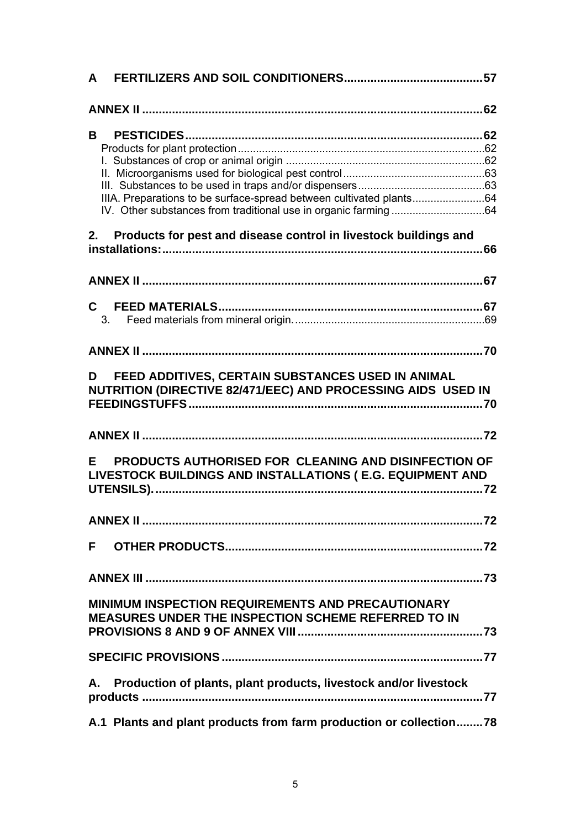| A                                                                                                                      |  |
|------------------------------------------------------------------------------------------------------------------------|--|
|                                                                                                                        |  |
| B.                                                                                                                     |  |
|                                                                                                                        |  |
|                                                                                                                        |  |
|                                                                                                                        |  |
|                                                                                                                        |  |
| IIIA. Preparations to be surface-spread between cultivated plants64                                                    |  |
|                                                                                                                        |  |
| 2. Products for pest and disease control in livestock buildings and                                                    |  |
|                                                                                                                        |  |
|                                                                                                                        |  |
|                                                                                                                        |  |
| $\mathbf{C}$                                                                                                           |  |
| 3.                                                                                                                     |  |
|                                                                                                                        |  |
|                                                                                                                        |  |
| FEED ADDITIVES, CERTAIN SUBSTANCES USED IN ANIMAL<br>D<br>NUTRITION (DIRECTIVE 82/471/EEC) AND PROCESSING AIDS USED IN |  |
|                                                                                                                        |  |
| PRODUCTS AUTHORISED FOR CLEANING AND DISINFECTION OF<br>F.                                                             |  |
| LIVESTOCK BUILDINGS AND INSTALLATIONS (E.G. EQUIPMENT AND                                                              |  |
|                                                                                                                        |  |
|                                                                                                                        |  |
|                                                                                                                        |  |
| F                                                                                                                      |  |
|                                                                                                                        |  |
|                                                                                                                        |  |
| <b>MINIMUM INSPECTION REQUIREMENTS AND PRECAUTIONARY</b>                                                               |  |
| <b>MEASURES UNDER THE INSPECTION SCHEME REFERRED TO IN</b>                                                             |  |
|                                                                                                                        |  |
|                                                                                                                        |  |
|                                                                                                                        |  |
|                                                                                                                        |  |
| Production of plants, plant products, livestock and/or livestock<br>А.                                                 |  |
|                                                                                                                        |  |
|                                                                                                                        |  |
| A.1 Plants and plant products from farm production or collection78                                                     |  |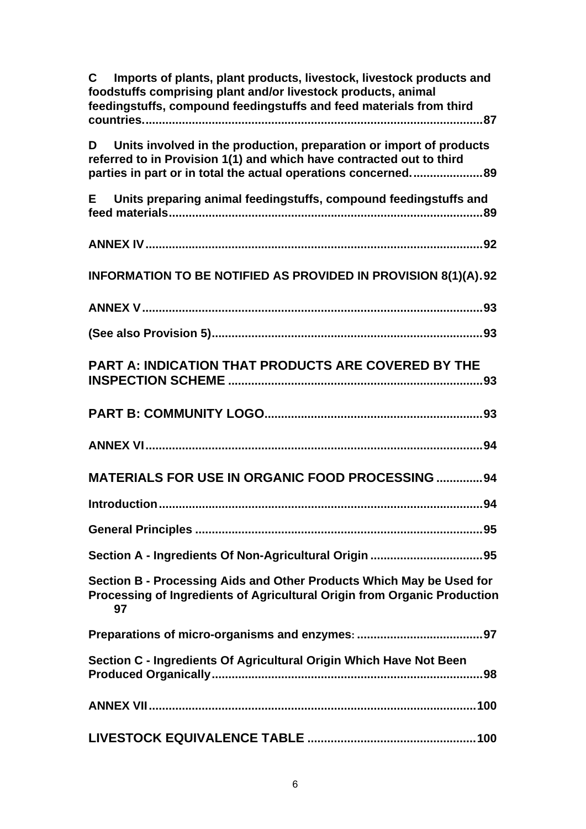| Imports of plants, plant products, livestock, livestock products and<br>C.<br>foodstuffs comprising plant and/or livestock products, animal<br>feedingstuffs, compound feedingstuffs and feed materials from third |
|--------------------------------------------------------------------------------------------------------------------------------------------------------------------------------------------------------------------|
| Units involved in the production, preparation or import of products<br>D<br>referred to in Provision 1(1) and which have contracted out to third<br>parties in part or in total the actual operations concerned89  |
| Units preparing animal feedingstuffs, compound feedingstuffs and<br>E.                                                                                                                                             |
|                                                                                                                                                                                                                    |
| INFORMATION TO BE NOTIFIED AS PROVIDED IN PROVISION 8(1)(A).92                                                                                                                                                     |
|                                                                                                                                                                                                                    |
|                                                                                                                                                                                                                    |
| <b>PART A: INDICATION THAT PRODUCTS ARE COVERED BY THE</b>                                                                                                                                                         |
|                                                                                                                                                                                                                    |
|                                                                                                                                                                                                                    |
| <b>MATERIALS FOR USE IN ORGANIC FOOD PROCESSING  94</b>                                                                                                                                                            |
|                                                                                                                                                                                                                    |
|                                                                                                                                                                                                                    |
|                                                                                                                                                                                                                    |
| Section B - Processing Aids and Other Products Which May be Used for<br>Processing of Ingredients of Agricultural Origin from Organic Production<br>97                                                             |
|                                                                                                                                                                                                                    |
| Section C - Ingredients Of Agricultural Origin Which Have Not Been                                                                                                                                                 |
|                                                                                                                                                                                                                    |
|                                                                                                                                                                                                                    |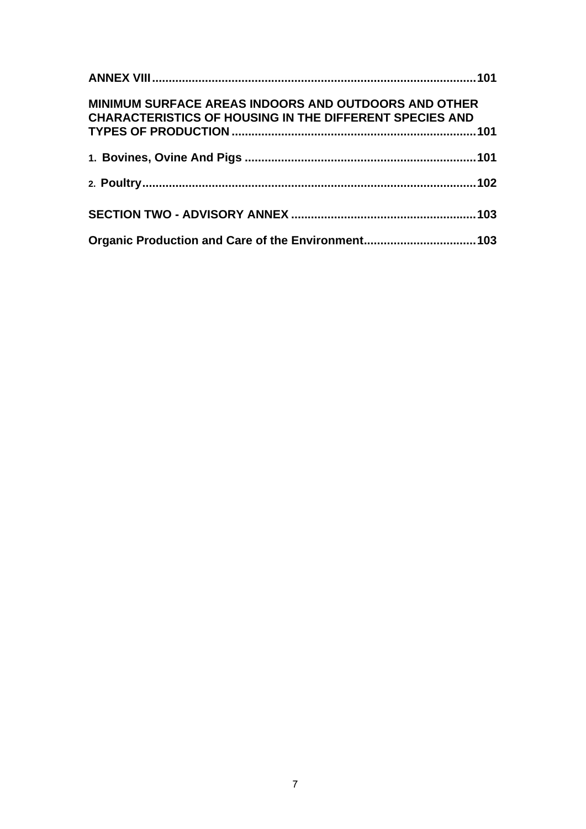| <b>MINIMUM SURFACE AREAS INDOORS AND OUTDOORS AND OTHER</b><br><b>CHARACTERISTICS OF HOUSING IN THE DIFFERENT SPECIES AND</b> |  |
|-------------------------------------------------------------------------------------------------------------------------------|--|
|                                                                                                                               |  |
|                                                                                                                               |  |
|                                                                                                                               |  |
|                                                                                                                               |  |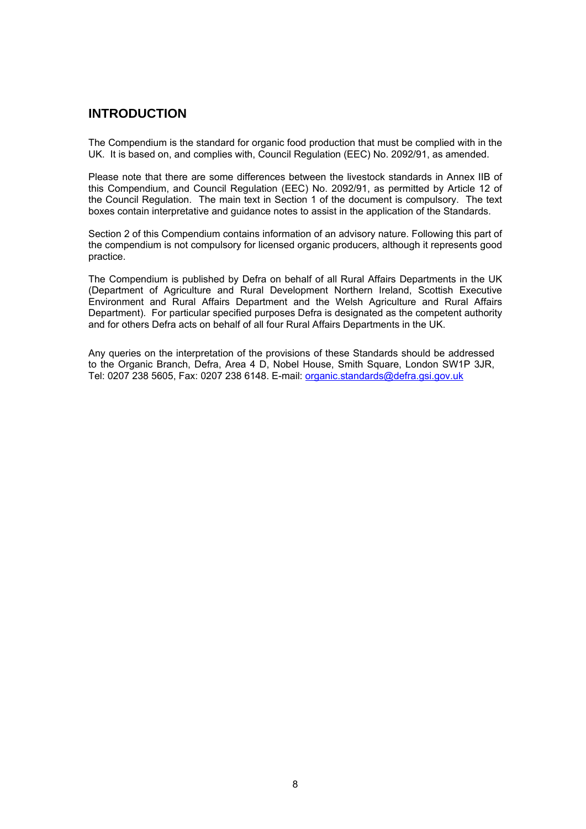## <span id="page-7-0"></span>**INTRODUCTION**

The Compendium is the standard for organic food production that must be complied with in the UK. It is based on, and complies with, Council Regulation (EEC) No. 2092/91, as amended.

Please note that there are some differences between the livestock standards in Annex IIB of this Compendium, and Council Regulation (EEC) No. 2092/91, as permitted by Article 12 of the Council Regulation. The main text in Section 1 of the document is compulsory. The text boxes contain interpretative and guidance notes to assist in the application of the Standards.

Section 2 of this Compendium contains information of an advisory nature. Following this part of the compendium is not compulsory for licensed organic producers, although it represents good practice.

The Compendium is published by Defra on behalf of all Rural Affairs Departments in the UK (Department of Agriculture and Rural Development Northern Ireland, Scottish Executive Environment and Rural Affairs Department and the Welsh Agriculture and Rural Affairs Department). For particular specified purposes Defra is designated as the competent authority and for others Defra acts on behalf of all four Rural Affairs Departments in the UK.

Any queries on the interpretation of the provisions of these Standards should be addressed to the Organic Branch, Defra, Area 4 D, Nobel House, Smith Square, London SW1P 3JR, Tel: 0207 238 5605, Fax: 0207 238 6148. E-mail: organic.standards@defra.gsi.gov.uk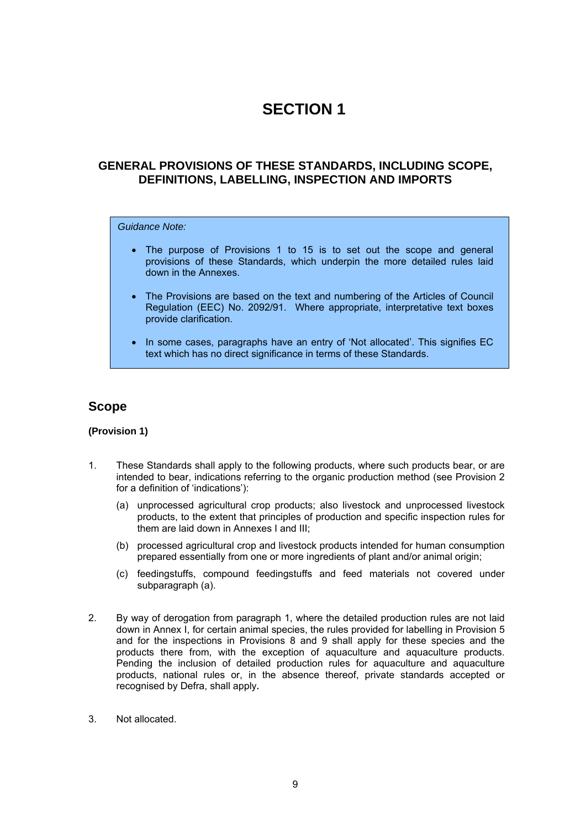## **SECTION 1**

### <span id="page-8-0"></span>**GENERAL PROVISIONS OF THESE STANDARDS, INCLUDING SCOPE, DEFINITIONS, LABELLING, INSPECTION AND IMPORTS**

#### *Guidance Note:*

- The purpose of Provisions 1 to 15 is to set out the scope and general provisions of these Standards, which underpin the more detailed rules laid down in the Annexes.
- The Provisions are based on the text and numbering of the Articles of Council Regulation (EEC) No. 2092/91. Where appropriate, interpretative text boxes provide clarification.
- In some cases, paragraphs have an entry of 'Not allocated'. This signifies EC text which has no direct significance in terms of these Standards.

#### **Scope**

#### **(Provision 1)**

- 1. These Standards shall apply to the following products, where such products bear, or are intended to bear, indications referring to the organic production method (see Provision 2 for a definition of 'indications'):
	- (a) unprocessed agricultural crop products; also livestock and unprocessed livestock products, to the extent that principles of production and specific inspection rules for them are laid down in Annexes I and III;
	- (b) processed agricultural crop and livestock products intended for human consumption prepared essentially from one or more ingredients of plant and/or animal origin;
	- (c) feedingstuffs, compound feedingstuffs and feed materials not covered under subparagraph (a).
- 2. By way of derogation from paragraph 1, where the detailed production rules are not laid down in Annex I, for certain animal species, the rules provided for labelling in Provision 5 and for the inspections in Provisions 8 and 9 shall apply for these species and the products there from, with the exception of aquaculture and aquaculture products. Pending the inclusion of detailed production rules for aquaculture and aquaculture products, national rules or, in the absence thereof, private standards accepted or recognised by Defra, shall apply**.**
- 3.Not allocated.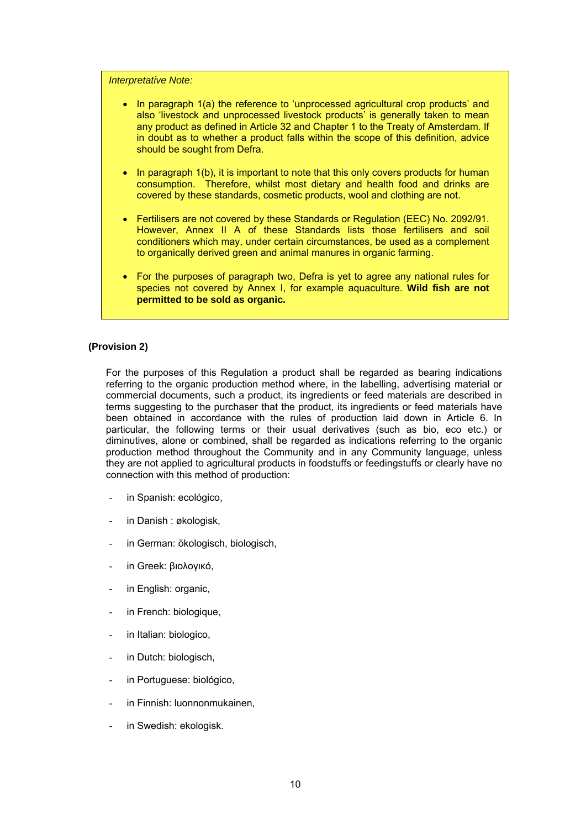*Interpretative Note:* 

- In paragraph 1(a) the reference to 'unprocessed agricultural crop products' and also 'livestock and unprocessed livestock products' is generally taken to mean any product as defined in Article 32 and Chapter 1 to the Treaty of Amsterdam. If in doubt as to whether a product falls within the scope of this definition, advice should be sought from Defra.
- In paragraph 1(b), it is important to note that this only covers products for human consumption. Therefore, whilst most dietary and health food and drinks are covered by these standards, cosmetic products, wool and clothing are not.
- Fertilisers are not covered by these Standards or Regulation (EEC) No. 2092/91. However, Annex II A of these Standards lists those fertilisers and soil conditioners which may, under certain circumstances, be used as a complement to organically derived green and animal manures in organic farming.
- For the purposes of paragraph two, Defra is yet to agree any national rules for species not covered by Annex I, for example aquaculture. **Wild fish are not permitted to be sold as organic.**

#### **(Provision 2)**

For the purposes of this Regulation a product shall be regarded as bearing indications referring to the organic production method where, in the labelling, advertising material or commercial documents, such a product, its ingredients or feed materials are described in terms suggesting to the purchaser that the product, its ingredients or feed materials have been obtained in accordance with the rules of production laid down in Article 6. In particular, the following terms or their usual derivatives (such as bio, eco etc.) or diminutives, alone or combined, shall be regarded as indications referring to the organic production method throughout the Community and in any Community language, unless they are not applied to agricultural products in foodstuffs or feedingstuffs or clearly have no connection with this method of production:

- in Spanish: ecológico,
- in Danish : økologisk,
- in German: ökologisch, biologisch,
- in Greek: βιολογικό,
- in English: organic.
- in French: biologique,
- in Italian: biologico,
- in Dutch: biologisch,
- in Portuguese: biológico,
- in Finnish: luonnonmukainen,
- in Swedish: ekologisk.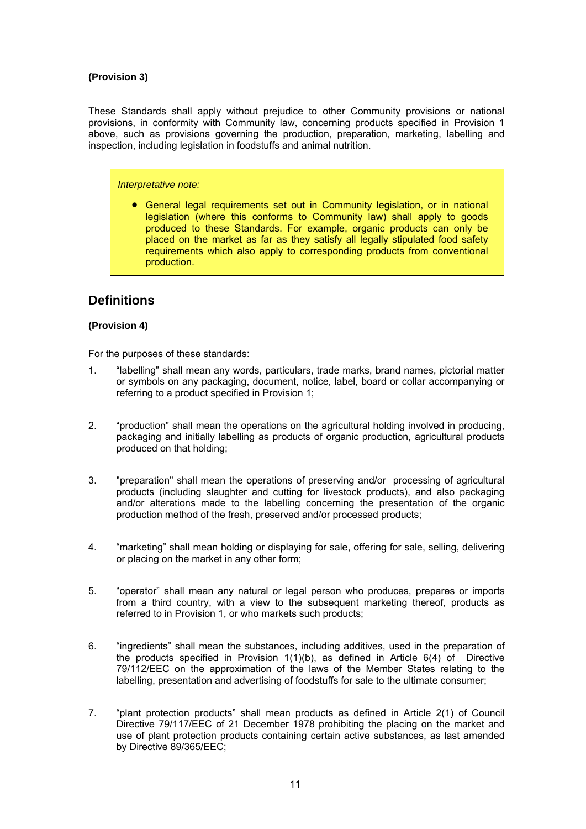#### <span id="page-10-0"></span>**(Provision 3)**

These Standards shall apply without prejudice to other Community provisions or national provisions, in conformity with Community law, concerning products specified in Provision 1 above, such as provisions governing the production, preparation, marketing, labelling and inspection, including legislation in foodstuffs and animal nutrition.

#### *Interpretative note:*

• General legal requirements set out in Community legislation, or in national legislation (where this conforms to Community law) shall apply to goods produced to these Standards. For example, organic products can only be placed on the market as far as they satisfy all legally stipulated food safety requirements which also apply to corresponding products from conventional production.

## **Definitions**

#### **(Provision 4)**

For the purposes of these standards:

- 1. "labelling" shall mean any words, particulars, trade marks, brand names, pictorial matter or symbols on any packaging, document, notice, label, board or collar accompanying or referring to a product specified in Provision 1;
- 2. "production" shall mean the operations on the agricultural holding involved in producing, packaging and initially labelling as products of organic production, agricultural products produced on that holding;
- 3. "preparation" shall mean the operations of preserving and/or processing of agricultural products (including slaughter and cutting for livestock products), and also packaging and/or alterations made to the labelling concerning the presentation of the organic production method of the fresh, preserved and/or processed products;
- 4. "marketing" shall mean holding or displaying for sale, offering for sale, selling, delivering or placing on the market in any other form;
- 5. "operator" shall mean any natural or legal person who produces, prepares or imports from a third country, with a view to the subsequent marketing thereof, products as referred to in Provision 1, or who markets such products;
- 6. "ingredients" shall mean the substances, including additives, used in the preparation of the products specified in Provision 1(1)(b), as defined in Article 6(4) of Directive 79/112/EEC on the approximation of the laws of the Member States relating to the labelling, presentation and advertising of foodstuffs for sale to the ultimate consumer;
- 7. "plant protection products" shall mean products as defined in Article 2(1) of Council Directive 79/117/EEC of 21 December 1978 prohibiting the placing on the market and use of plant protection products containing certain active substances, as last amended by Directive 89/365/EEC;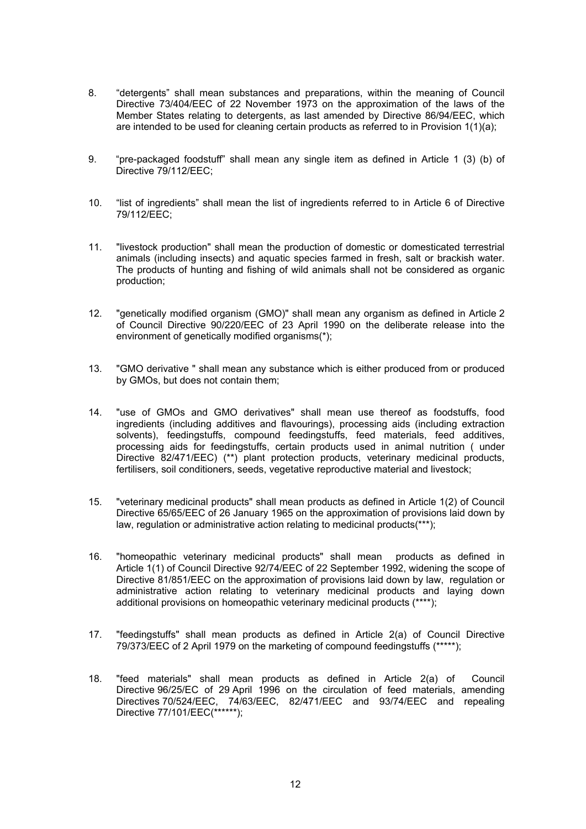- 8. "detergents" shall mean substances and preparations, within the meaning of Council Directive 73/404/EEC of 22 November 1973 on the approximation of the laws of the Member States relating to detergents, as last amended by Directive 86/94/EEC, which are intended to be used for cleaning certain products as referred to in Provision 1(1)(a);
- 9. "pre-packaged foodstuff" shall mean any single item as defined in Article 1 (3) (b) of Directive 79/112/EEC;
- 10. "list of ingredients" shall mean the list of ingredients referred to in Article 6 of Directive 79/112/EEC;
- 11. "livestock production" shall mean the production of domestic or domesticated terrestrial animals (including insects) and aquatic species farmed in fresh, salt or brackish water. The products of hunting and fishing of wild animals shall not be considered as organic production;
- 12. "genetically modified organism (GMO)" shall mean any organism as defined in Article 2 of Council Directive 90/220/EEC of 23 April 1990 on the deliberate release into the environment of genetically modified organisms(\*);
- 13. "GMO derivative " shall mean any substance which is either produced from or produced by GMOs, but does not contain them;
- 14. "use of GMOs and GMO derivatives" shall mean use thereof as foodstuffs, food ingredients (including additives and flavourings), processing aids (including extraction solvents), feedingstuffs, compound feedingstuffs, feed materials, feed additives, processing aids for feedingstuffs, certain products used in animal nutrition ( under Directive 82/471/EEC) (\*\*) plant protection products, veterinary medicinal products, fertilisers, soil conditioners, seeds, vegetative reproductive material and livestock;
- 15. "veterinary medicinal products" shall mean products as defined in Article 1(2) of Council Directive 65/65/EEC of 26 January 1965 on the approximation of provisions laid down by law, regulation or administrative action relating to medicinal products(\*\*\*);
- 16. "homeopathic veterinary medicinal products" shall mean products as defined in Article 1(1) of Council Directive 92/74/EEC of 22 September 1992, widening the scope of Directive 81/851/EEC on the approximation of provisions laid down by law, regulation or administrative action relating to veterinary medicinal products and laying down additional provisions on homeopathic veterinary medicinal products (\*\*\*\*);
- 17. "feedingstuffs" shall mean products as defined in Article 2(a) of Council Directive 79/373/EEC of 2 April 1979 on the marketing of compound feedingstuffs (\*\*\*\*\*);
- 18. "feed materials" shall mean products as defined in Article 2(a) of Council Directive 96/25/EC of 29 April 1996 on the circulation of feed materials, amending Directives 70/524/EEC, 74/63/EEC, 82/471/EEC and 93/74/EEC and repealing Directive 77/101/EEC(\*\*\*\*\*\*);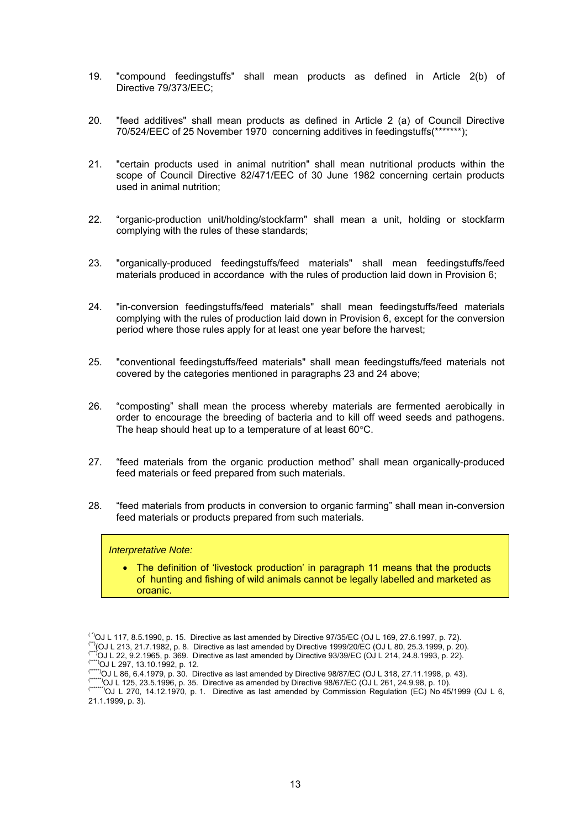- 19. "compound feedingstuffs" shall mean products as defined in Article 2(b) of Directive 79/373/EEC;
- 20. "feed additives" shall mean products as defined in Article 2 (a) of Council Directive 70/524/EEC of 25 November 1970 concerning additives in feedingstuffs(\*\*\*\*\*\*\*);
- 21. "certain products used in animal nutrition" shall mean nutritional products within the scope of Council Directive 82/471/EEC of 30 June 1982 concerning certain products used in animal nutrition;
- 22. "organic-production unit/holding/stockfarm" shall mean a unit, holding or stockfarm complying with the rules of these standards;
- 23. "organically-produced feedingstuffs/feed materials" shall mean feedingstuffs/feed materials produced in accordance with the rules of production laid down in Provision 6;
- 24. "in-conversion feedingstuffs/feed materials" shall mean feedingstuffs/feed materials complying with the rules of production laid down in Provision 6, except for the conversion period where those rules apply for at least one year before the harvest;
- 25. "conventional feedingstuffs/feed materials" shall mean feedingstuffs/feed materials not covered by the categories mentioned in paragraphs 23 and 24 above;
- 26. "composting" shall mean the process whereby materials are fermented aerobically in order to encourage the breeding of bacteria and to kill off weed seeds and pathogens. The heap should heat up to a temperature of at least 60°C.
- 27. "feed materials from the organic production method" shall mean organically-produced feed materials or feed prepared from such materials.
- 28. "feed materials from products in conversion to organic farming" shall mean in-conversion feed materials or products prepared from such materials.

#### *Interpretative Note:*

• The definition of 'livestock production' in paragraph 11 means that the products of hunting and fishing of wild animals cannot be legally labelled and marketed as organic

<sup>&</sup>lt;sup>(\*)</sup>OJ L 117, 8.5.1990, p. 15. Directive as last amended by Directive 97/35/EC (OJ L 169, 27.6.1997, p. 72).<br>
(\*)(OJ L 213, 21.7.1982, p. 8. Directive as last amended by Directive 1999/20/EC (OJ L 80, 25.3.1999, p. 20).<br>

<sup>21.1.1999,</sup> p. 3).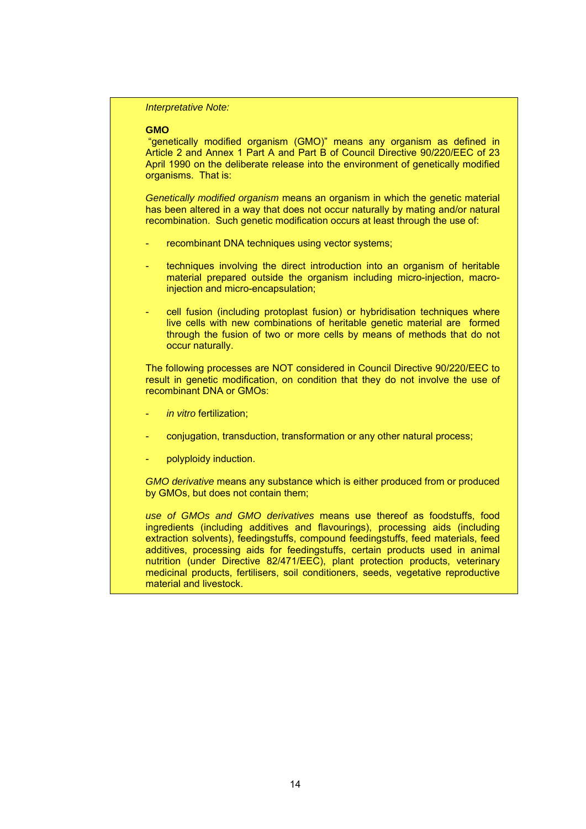*Interpretative Note:*

#### **GMO**

 "genetically modified organism (GMO)" means any organism as defined in Article 2 and Annex 1 Part A and Part B of Council Directive 90/220/EEC of 23 April 1990 on the deliberate release into the environment of genetically modified organisms. That is:

*Genetically modified organism* means an organism in which the genetic material has been altered in a way that does not occur naturally by mating and/or natural recombination. Such genetic modification occurs at least through the use of:

- recombinant DNA techniques using vector systems;
- techniques involving the direct introduction into an organism of heritable material prepared outside the organism including micro-injection, macroinjection and micro-encapsulation;
- cell fusion (including protoplast fusion) or hybridisation techniques where live cells with new combinations of heritable genetic material are formed through the fusion of two or more cells by means of methods that do not occur naturally.

 The following processes are NOT considered in Council Directive 90/220/EEC to result in genetic modification, on condition that they do not involve the use of recombinant DNA or GMOs:

- in vitro fertilization;
- conjugation, transduction, transformation or any other natural process;
- polyploidy induction.

*GMO derivative* means any substance which is either produced from or produced by GMOs, but does not contain them;

 *use of GMOs and GMO derivatives* means use thereof as foodstuffs, food ingredients (including additives and flavourings), processing aids (including extraction solvents), feedingstuffs, compound feedingstuffs, feed materials, feed additives, processing aids for feedingstuffs, certain products used in animal nutrition (under Directive 82/471/EEC), plant protection products, veterinary medicinal products, fertilisers, soil conditioners, seeds, vegetative reproductive material and livestock.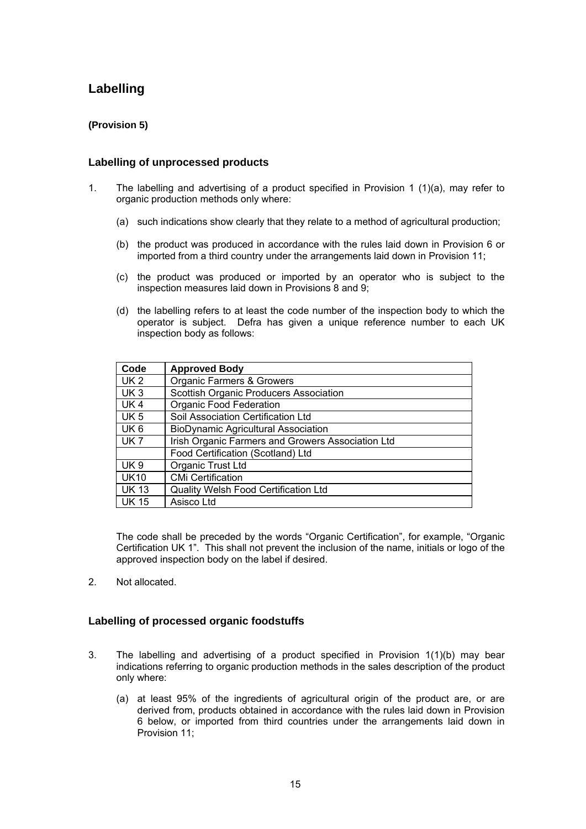## <span id="page-14-0"></span>**Labelling**

#### **(Provision 5)**

#### **Labelling of unprocessed products**

- 1. The labelling and advertising of a product specified in Provision 1 (1)(a), may refer to organic production methods only where:
	- (a) such indications show clearly that they relate to a method of agricultural production;
	- (b) the product was produced in accordance with the rules laid down in Provision 6 or imported from a third country under the arrangements laid down in Provision 11;
	- (c) the product was produced or imported by an operator who is subject to the inspection measures laid down in Provisions 8 and 9;
	- (d) the labelling refers to at least the code number of the inspection body to which the operator is subject. Defra has given a unique reference number to each UK inspection body as follows:

| Code            | <b>Approved Body</b>                              |
|-----------------|---------------------------------------------------|
| UK <sub>2</sub> | Organic Farmers & Growers                         |
| UK <sub>3</sub> | Scottish Organic Producers Association            |
| UK4             | <b>Organic Food Federation</b>                    |
| UK <sub>5</sub> | Soil Association Certification Ltd                |
| UK <sub>6</sub> | <b>BioDynamic Agricultural Association</b>        |
| UK <sub>7</sub> | Irish Organic Farmers and Growers Association Ltd |
|                 | Food Certification (Scotland) Ltd                 |
| UK 9            | Organic Trust Ltd                                 |
| <b>UK10</b>     | <b>CMi Certification</b>                          |
| <b>UK 13</b>    | <b>Quality Welsh Food Certification Ltd</b>       |
| <b>UK 15</b>    | Asisco Ltd                                        |

 The code shall be preceded by the words "Organic Certification", for example, "Organic Certification UK 1". This shall not prevent the inclusion of the name, initials or logo of the approved inspection body on the label if desired.

2. Not allocated.

#### **Labelling of processed organic foodstuffs**

- 3. The labelling and advertising of a product specified in Provision 1(1)(b) may bear indications referring to organic production methods in the sales description of the product only where:
	- (a) at least 95% of the ingredients of agricultural origin of the product are, or are derived from, products obtained in accordance with the rules laid down in Provision 6 below, or imported from third countries under the arrangements laid down in Provision 11;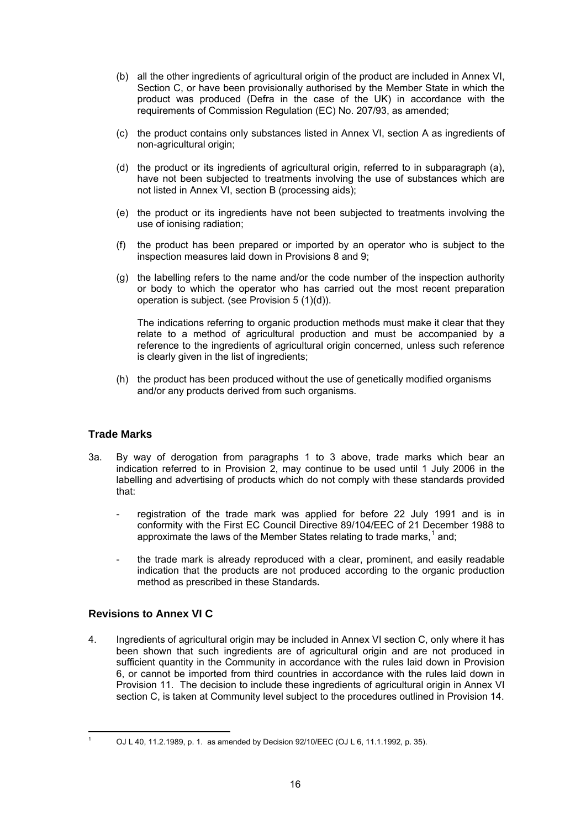- <span id="page-15-0"></span> (b) all the other ingredients of agricultural origin of the product are included in Annex VI, Section C, or have been provisionally authorised by the Member State in which the product was produced (Defra in the case of the UK) in accordance with the requirements of Commission Regulation (EC) No. 207/93, as amended;
- (c) the product contains only substances listed in Annex VI, section A as ingredients of non-agricultural origin;
- (d) the product or its ingredients of agricultural origin, referred to in subparagraph (a), have not been subjected to treatments involving the use of substances which are not listed in Annex VI, section B (processing aids);
- (e) the product or its ingredients have not been subjected to treatments involving the use of ionising radiation;
- (f) the product has been prepared or imported by an operator who is subject to the inspection measures laid down in Provisions 8 and 9;
- (g) the labelling refers to the name and/or the code number of the inspection authority or body to which the operator who has carried out the most recent preparation operation is subject. (see Provision 5 (1)(d)).

 The indications referring to organic production methods must make it clear that they relate to a method of agricultural production and must be accompanied by a reference to the ingredients of agricultural origin concerned, unless such reference is clearly given in the list of ingredients;

 (h) the product has been produced without the use of genetically modified organisms and/or any products derived from such organisms.

#### **Trade Marks**

- 3a. By way of derogation from paragraphs 1 to 3 above, trade marks which bear an indication referred to in Provision 2, may continue to be used until 1 July 2006 in the labelling and advertising of products which do not comply with these standards provided that:
	- registration of the trade mark was applied for before 22 July 1991 and is in conformity with the First EC Council Directive 89/104/EEC of 21 December 1988 to approximate the laws of the Member States relating to trade marks,<sup>1</sup> and;
	- the trade mark is already reproduced with a clear, prominent, and easily readable indication that the products are not produced according to the organic production method as prescribed in these Standards**.**

#### **Revisions to Annex VI C**

4. Ingredients of agricultural origin may be included in Annex VI section C, only where it has been shown that such ingredients are of agricultural origin and are not produced in sufficient quantity in the Community in accordance with the rules laid down in Provision 6, or cannot be imported from third countries in accordance with the rules laid down in Provision 11. The decision to include these ingredients of agricultural origin in Annex VI section C, is taken at Community level subject to the procedures outlined in Provision 14.

 1

OJ L 40, 11.2.1989, p. 1. as amended by Decision 92/10/EEC (OJ L 6, 11.1.1992, p. 35).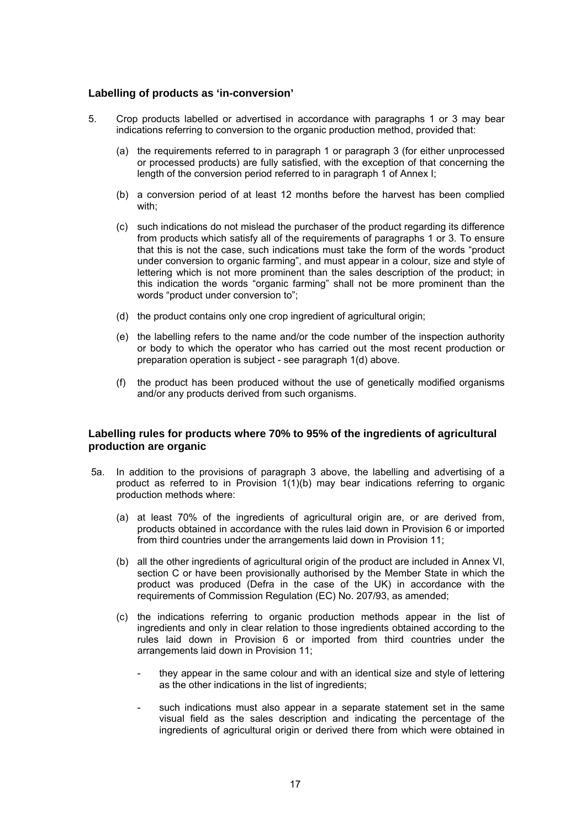#### <span id="page-16-0"></span>**Labelling of products as 'in-conversion'**

- 5. Crop products labelled or advertised in accordance with paragraphs 1 or 3 may bear indications referring to conversion to the organic production method, provided that:
	- (a) the requirements referred to in paragraph 1 or paragraph 3 (for either unprocessed or processed products) are fully satisfied, with the exception of that concerning the length of the conversion period referred to in paragraph 1 of Annex I;
	- (b) a conversion period of at least 12 months before the harvest has been complied with;
	- (c) such indications do not mislead the purchaser of the product regarding its difference from products which satisfy all of the requirements of paragraphs 1 or 3. To ensure that this is not the case, such indications must take the form of the words "product under conversion to organic farming", and must appear in a colour, size and style of lettering which is not more prominent than the sales description of the product; in this indication the words "organic farming" shall not be more prominent than the words "product under conversion to";
	- (d) the product contains only one crop ingredient of agricultural origin;
	- (e) the labelling refers to the name and/or the code number of the inspection authority or body to which the operator who has carried out the most recent production or preparation operation is subject - see paragraph 1(d) above.
	- (f) the product has been produced without the use of genetically modified organisms and/or any products derived from such organisms.

#### **Labelling rules for products where 70% to 95% of the ingredients of agricultural production are organic**

- 5a. In addition to the provisions of paragraph 3 above, the labelling and advertising of a product as referred to in Provision 1(1)(b) may bear indications referring to organic production methods where:
	- (a) at least 70% of the ingredients of agricultural origin are, or are derived from, products obtained in accordance with the rules laid down in Provision 6 or imported from third countries under the arrangements laid down in Provision 11;
	- (b) all the other ingredients of agricultural origin of the product are included in Annex VI, section C or have been provisionally authorised by the Member State in which the product was produced (Defra in the case of the UK) in accordance with the requirements of Commission Regulation (EC) No. 207/93, as amended;
	- (c) the indications referring to organic production methods appear in the list of ingredients and only in clear relation to those ingredients obtained according to the rules laid down in Provision 6 or imported from third countries under the arrangements laid down in Provision 11;
		- they appear in the same colour and with an identical size and style of lettering as the other indications in the list of ingredients;
		- such indications must also appear in a separate statement set in the same visual field as the sales description and indicating the percentage of the ingredients of agricultural origin or derived there from which were obtained in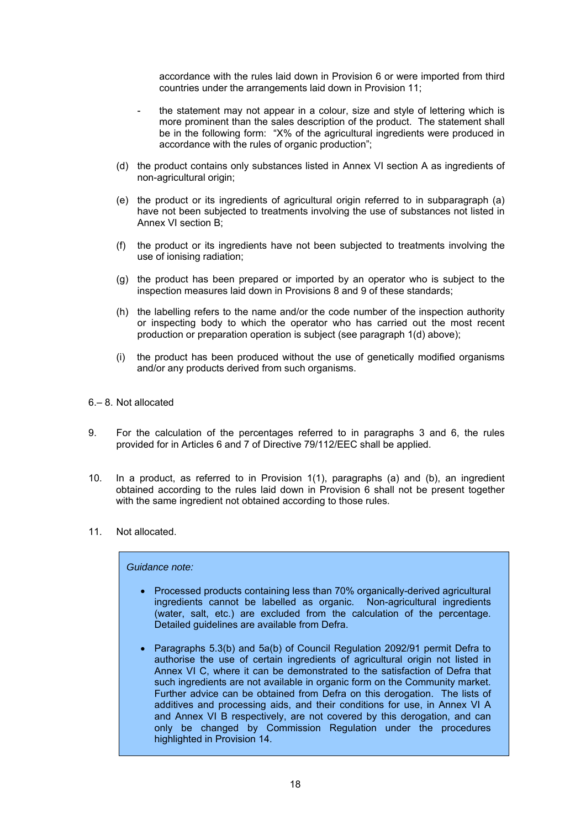accordance with the rules laid down in Provision 6 or were imported from third countries under the arrangements laid down in Provision 11;

- the statement may not appear in a colour, size and style of lettering which is more prominent than the sales description of the product. The statement shall be in the following form: "X% of the agricultural ingredients were produced in accordance with the rules of organic production";
- (d) the product contains only substances listed in Annex VI section A as ingredients of non-agricultural origin;
- (e) the product or its ingredients of agricultural origin referred to in subparagraph (a) have not been subjected to treatments involving the use of substances not listed in Annex VI section B;
- (f) the product or its ingredients have not been subjected to treatments involving the use of ionising radiation;
- (g) the product has been prepared or imported by an operator who is subject to the inspection measures laid down in Provisions 8 and 9 of these standards;
- (h) the labelling refers to the name and/or the code number of the inspection authority or inspecting body to which the operator who has carried out the most recent production or preparation operation is subject (see paragraph 1(d) above);
- (i) the product has been produced without the use of genetically modified organisms and/or any products derived from such organisms.
- 6.– 8. Not allocated
- 9. For the calculation of the percentages referred to in paragraphs 3 and 6, the rules provided for in Articles 6 and 7 of Directive 79/112/EEC shall be applied.
- 10. In a product, as referred to in Provision 1(1), paragraphs (a) and (b), an ingredient obtained according to the rules laid down in Provision 6 shall not be present together with the same ingredient not obtained according to those rules.
- 11. Not allocated.

#### *Guidance note:*

- Processed products containing less than 70% organically-derived agricultural ingredients cannot be labelled as organic. Non-agricultural ingredients (water, salt, etc.) are excluded from the calculation of the percentage. Detailed guidelines are available from Defra.
- Paragraphs 5.3(b) and 5a(b) of Council Regulation 2092/91 permit Defra to authorise the use of certain ingredients of agricultural origin not listed in Annex VI C, where it can be demonstrated to the satisfaction of Defra that such ingredients are not available in organic form on the Community market. Further advice can be obtained from Defra on this derogation. The lists of additives and processing aids, and their conditions for use, in Annex VI A and Annex VI B respectively, are not covered by this derogation, and can only be changed by Commission Regulation under the procedures highlighted in Provision 14.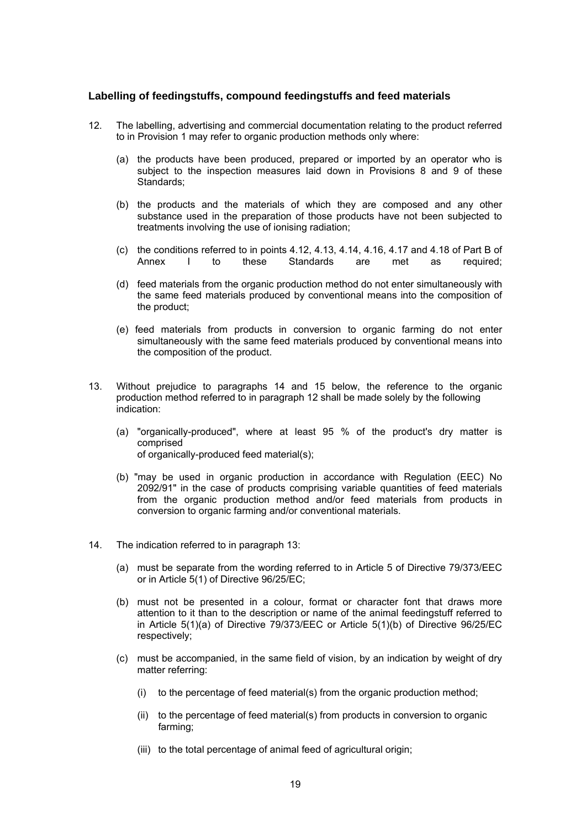#### **Labelling of feedingstuffs, compound feedingstuffs and feed materials**

- 12. The labelling, advertising and commercial documentation relating to the product referred to in Provision 1 may refer to organic production methods only where:
	- (a) the products have been produced, prepared or imported by an operator who is subject to the inspection measures laid down in Provisions 8 and 9 of these Standards:
	- (b) the products and the materials of which they are composed and any other substance used in the preparation of those products have not been subjected to treatments involving the use of ionising radiation;
	- (c) the conditions referred to in points 4.12, 4.13, 4.14, 4.16, 4.17 and 4.18 of Part B of Annex I to these Standards are met as required:
	- (d) feed materials from the organic production method do not enter simultaneously with the same feed materials produced by conventional means into the composition of the product;
	- (e) feed materials from products in conversion to organic farming do not enter simultaneously with the same feed materials produced by conventional means into the composition of the product.
- 13. Without prejudice to paragraphs 14 and 15 below, the reference to the organic production method referred to in paragraph 12 shall be made solely by the following indication:
	- (a) "organically-produced", where at least 95 % of the product's dry matter is comprised of organically-produced feed material(s);
	- (b) "may be used in organic production in accordance with Regulation (EEC) No 2092/91" in the case of products comprising variable quantities of feed materials from the organic production method and/or feed materials from products in conversion to organic farming and/or conventional materials.
- 14. The indication referred to in paragraph 13:
	- (a) must be separate from the wording referred to in Article 5 of Directive 79/373/EEC or in Article 5(1) of Directive 96/25/EC;
	- (b) must not be presented in a colour, format or character font that draws more attention to it than to the description or name of the animal feedingstuff referred to in Article 5(1)(a) of Directive 79/373/EEC or Article 5(1)(b) of Directive 96/25/EC respectively;
	- (c) must be accompanied, in the same field of vision, by an indication by weight of dry matter referring:
		- (i) to the percentage of feed material(s) from the organic production method;
		- (ii) to the percentage of feed material(s) from products in conversion to organic farming;
		- (iii) to the total percentage of animal feed of agricultural origin;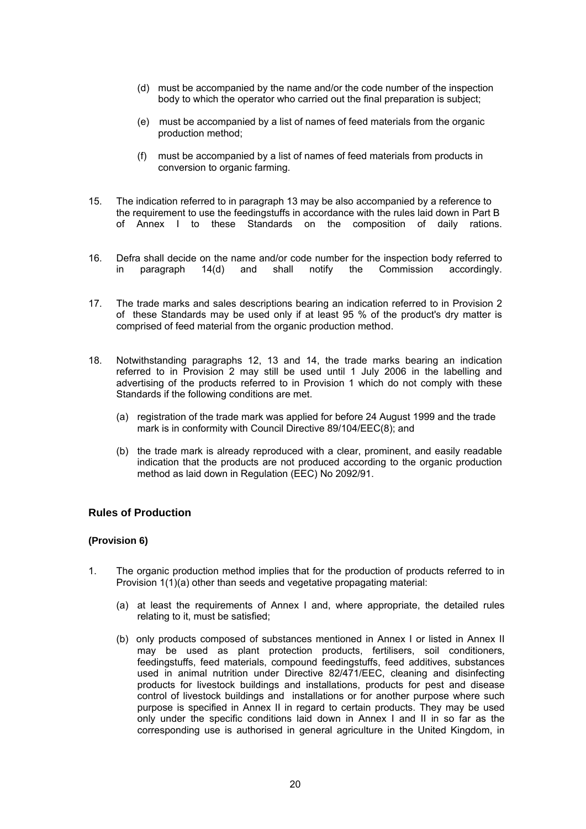- (d) must be accompanied by the name and/or the code number of the inspection body to which the operator who carried out the final preparation is subject;
- (e) must be accompanied by a list of names of feed materials from the organic production method;
- (f) must be accompanied by a list of names of feed materials from products in conversion to organic farming.
- 15. The indication referred to in paragraph 13 may be also accompanied by a reference to the requirement to use the feedingstuffs in accordance with the rules laid down in Part B of Annex I to these Standards on the composition of daily rations.
- 16. Defra shall decide on the name and/or code number for the inspection body referred to in paragraph 14(d) and shall notify the Commission accordingly.
- 17. The trade marks and sales descriptions bearing an indication referred to in Provision 2 of these Standards may be used only if at least 95 % of the product's dry matter is comprised of feed material from the organic production method.
- 18. Notwithstanding paragraphs 12, 13 and 14, the trade marks bearing an indication referred to in Provision 2 may still be used until 1 July 2006 in the labelling and advertising of the products referred to in Provision 1 which do not comply with these Standards if the following conditions are met.
	- (a) registration of the trade mark was applied for before 24 August 1999 and the trade mark is in conformity with Council Directive 89/104/EEC(8); and
	- (b) the trade mark is already reproduced with a clear, prominent, and easily readable indication that the products are not produced according to the organic production method as laid down in Regulation (EEC) No 2092/91.

#### **Rules of Production**

#### **(Provision 6)**

- 1. The organic production method implies that for the production of products referred to in Provision 1(1)(a) other than seeds and vegetative propagating material:
	- (a) at least the requirements of Annex I and, where appropriate, the detailed rules relating to it, must be satisfied;
	- (b) only products composed of substances mentioned in Annex I or listed in Annex II may be used as plant protection products, fertilisers, soil conditioners, feedingstuffs, feed materials, compound feedingstuffs, feed additives, substances used in animal nutrition under Directive 82/471/EEC, cleaning and disinfecting products for livestock buildings and installations, products for pest and disease control of livestock buildings and installations or for another purpose where such purpose is specified in Annex II in regard to certain products. They may be used only under the specific conditions laid down in Annex I and II in so far as the corresponding use is authorised in general agriculture in the United Kingdom, in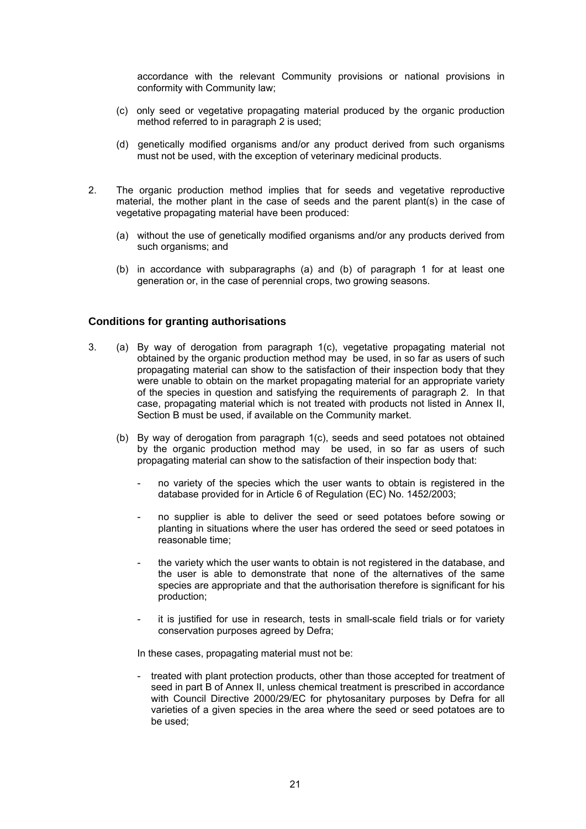accordance with the relevant Community provisions or national provisions in conformity with Community law;

- (c) only seed or vegetative propagating material produced by the organic production method referred to in paragraph 2 is used;
- (d) genetically modified organisms and/or any product derived from such organisms must not be used, with the exception of veterinary medicinal products.
- 2. The organic production method implies that for seeds and vegetative reproductive material, the mother plant in the case of seeds and the parent plant(s) in the case of vegetative propagating material have been produced:
	- (a) without the use of genetically modified organisms and/or any products derived from such organisms; and
	- (b) in accordance with subparagraphs (a) and (b) of paragraph 1 for at least one generation or, in the case of perennial crops, two growing seasons.

#### **Conditions for granting authorisations**

- 3. (a) By way of derogation from paragraph 1(c), vegetative propagating material not obtained by the organic production method may be used, in so far as users of such propagating material can show to the satisfaction of their inspection body that they were unable to obtain on the market propagating material for an appropriate variety of the species in question and satisfying the requirements of paragraph 2. In that case, propagating material which is not treated with products not listed in Annex II, Section B must be used, if available on the Community market.
	- (b) By way of derogation from paragraph 1(c), seeds and seed potatoes not obtained by the organic production method may be used, in so far as users of such propagating material can show to the satisfaction of their inspection body that:
		- no variety of the species which the user wants to obtain is registered in the database provided for in Article 6 of Regulation (EC) No. 1452/2003;
		- no supplier is able to deliver the seed or seed potatoes before sowing or planting in situations where the user has ordered the seed or seed potatoes in reasonable time;
		- the variety which the user wants to obtain is not registered in the database, and the user is able to demonstrate that none of the alternatives of the same species are appropriate and that the authorisation therefore is significant for his production;
		- it is justified for use in research, tests in small-scale field trials or for variety conservation purposes agreed by Defra;

In these cases, propagating material must not be:

 - treated with plant protection products, other than those accepted for treatment of seed in part B of Annex II, unless chemical treatment is prescribed in accordance with Council Directive 2000/29/EC for phytosanitary purposes by Defra for all varieties of a given species in the area where the seed or seed potatoes are to be used;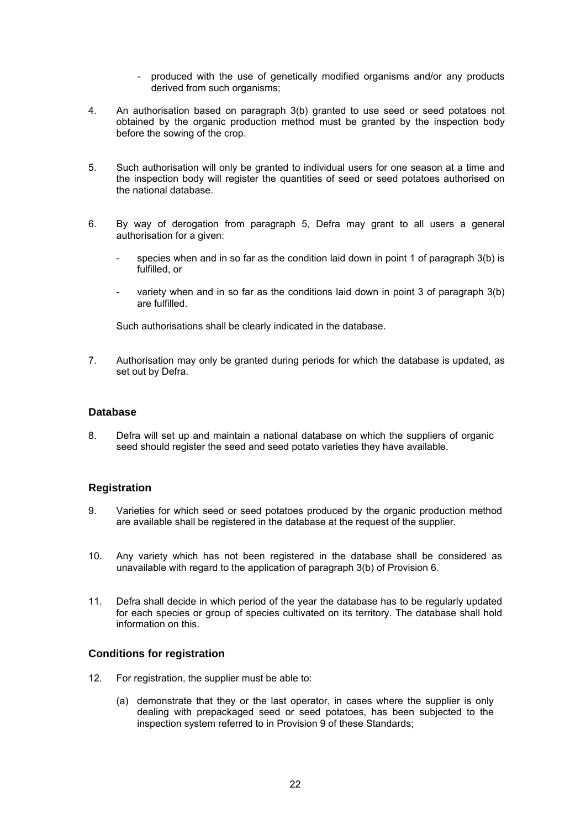- produced with the use of genetically modified organisms and/or any products derived from such organisms;
- 4. An authorisation based on paragraph 3(b) granted to use seed or seed potatoes not obtained by the organic production method must be granted by the inspection body before the sowing of the crop.
- 5. Such authorisation will only be granted to individual users for one season at a time and the inspection body will register the quantities of seed or seed potatoes authorised on the national database.
- 6. By way of derogation from paragraph 5, Defra may grant to all users a general authorisation for a given:
	- species when and in so far as the condition laid down in point 1 of paragraph 3(b) is fulfilled, or
	- variety when and in so far as the conditions laid down in point 3 of paragraph 3(b) are fulfilled.

Such authorisations shall be clearly indicated in the database.

7. Authorisation may only be granted during periods for which the database is updated, as set out by Defra.

#### **Database**

8. Defra will set up and maintain a national database on which the suppliers of organic seed should register the seed and seed potato varieties they have available.

#### **Registration**

- 9. Varieties for which seed or seed potatoes produced by the organic production method are available shall be registered in the database at the request of the supplier.
- 10. Any variety which has not been registered in the database shall be considered as unavailable with regard to the application of paragraph 3(b) of Provision 6.
- 11. Defra shall decide in which period of the year the database has to be regularly updated for each species or group of species cultivated on its territory. The database shall hold information on this.

#### **Conditions for registration**

- 12. For registration, the supplier must be able to:
	- (a) demonstrate that they or the last operator, in cases where the supplier is only dealing with prepackaged seed or seed potatoes, has been subjected to the inspection system referred to in Provision 9 of these Standards;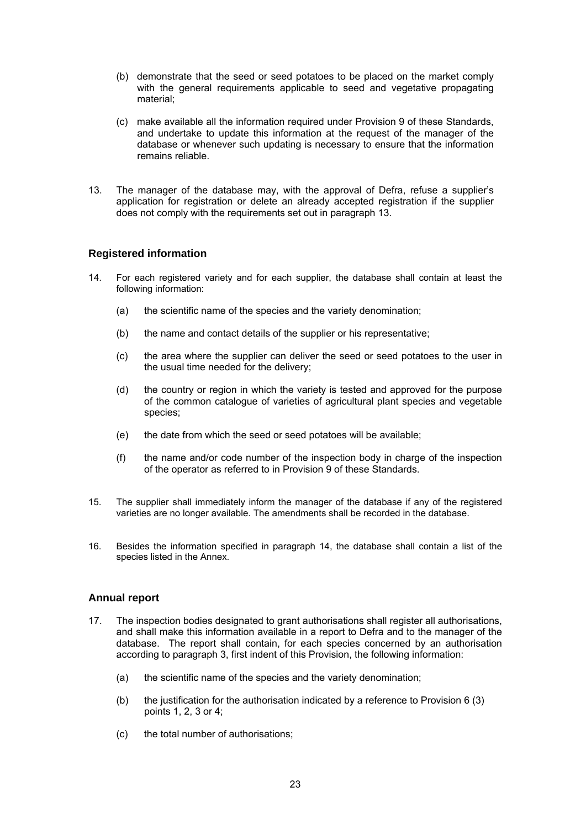- (b) demonstrate that the seed or seed potatoes to be placed on the market comply with the general requirements applicable to seed and vegetative propagating material;
- (c) make available all the information required under Provision 9 of these Standards, and undertake to update this information at the request of the manager of the database or whenever such updating is necessary to ensure that the information remains reliable.
- 13. The manager of the database may, with the approval of Defra, refuse a supplier's application for registration or delete an already accepted registration if the supplier does not comply with the requirements set out in paragraph 13.

#### **Registered information**

- 14. For each registered variety and for each supplier, the database shall contain at least the following information:
	- (a) the scientific name of the species and the variety denomination;
	- (b) the name and contact details of the supplier or his representative;
	- (c) the area where the supplier can deliver the seed or seed potatoes to the user in the usual time needed for the delivery;
	- (d) the country or region in which the variety is tested and approved for the purpose of the common catalogue of varieties of agricultural plant species and vegetable species;
	- (e) the date from which the seed or seed potatoes will be available;
	- (f) the name and/or code number of the inspection body in charge of the inspection of the operator as referred to in Provision 9 of these Standards.
- 15. The supplier shall immediately inform the manager of the database if any of the registered varieties are no longer available. The amendments shall be recorded in the database.
- 16. Besides the information specified in paragraph 14, the database shall contain a list of the species listed in the Annex.

#### **Annual report**

- 17. The inspection bodies designated to grant authorisations shall register all authorisations, and shall make this information available in a report to Defra and to the manager of the database. The report shall contain, for each species concerned by an authorisation according to paragraph 3, first indent of this Provision, the following information:
	- (a) the scientific name of the species and the variety denomination;
	- (b) the justification for the authorisation indicated by a reference to Provision 6 (3) points 1, 2, 3 or 4;
	- (c) the total number of authorisations;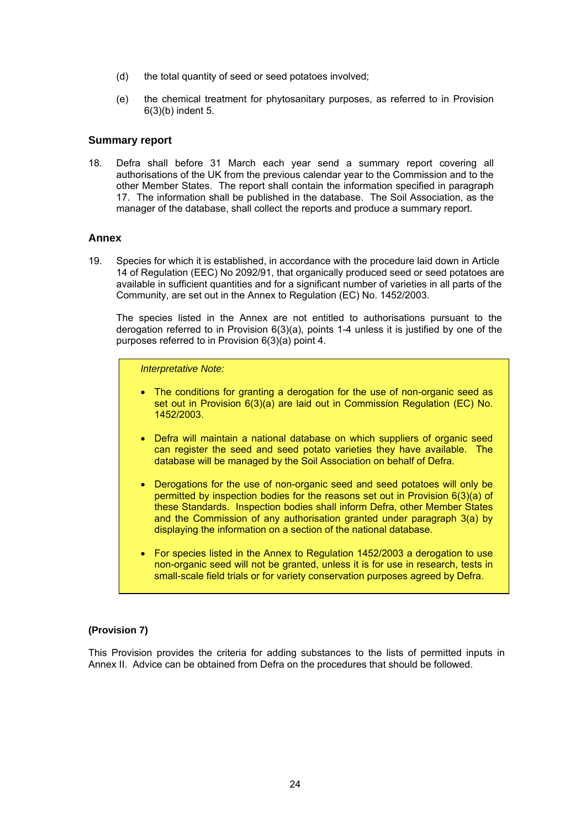- (d) the total quantity of seed or seed potatoes involved;
- (e) the chemical treatment for phytosanitary purposes, as referred to in Provision 6(3)(b) indent 5.

#### **Summary report**

18. Defra shall before 31 March each year send a summary report covering all authorisations of the UK from the previous calendar year to the Commission and to the other Member States. The report shall contain the information specified in paragraph 17. The information shall be published in the database. The Soil Association, as the manager of the database, shall collect the reports and produce a summary report.

#### **Annex**

19. Species for which it is established, in accordance with the procedure laid down in Article 14 of Regulation (EEC) No 2092/91, that organically produced seed or seed potatoes are available in sufficient quantities and for a significant number of varieties in all parts of the Community, are set out in the Annex to Regulation (EC) No. 1452/2003.

The species listed in the Annex are not entitled to authorisations pursuant to the derogation referred to in Provision 6(3)(a), points 1-4 unless it is justified by one of the purposes referred to in Provision  $6(3)(a)$  point 4.

*Interpretative Note:* 

- The conditions for granting a derogation for the use of non-organic seed as set out in Provision 6(3)(a) are laid out in Commission Regulation (EC) No. 1452/2003.
- Defra will maintain a national database on which suppliers of organic seed can register the seed and seed potato varieties they have available. The database will be managed by the Soil Association on behalf of Defra.
- Derogations for the use of non-organic seed and seed potatoes will only be permitted by inspection bodies for the reasons set out in Provision 6(3)(a) of these Standards. Inspection bodies shall inform Defra, other Member States and the Commission of any authorisation granted under paragraph 3(a) by displaying the information on a section of the national database.
- For species listed in the Annex to Regulation 1452/2003 a derogation to use non-organic seed will not be granted, unless it is for use in research, tests in small-scale field trials or for variety conservation purposes agreed by Defra.

#### **(Provision 7)**

This Provision provides the criteria for adding substances to the lists of permitted inputs in Annex II. Advice can be obtained from Defra on the procedures that should be followed.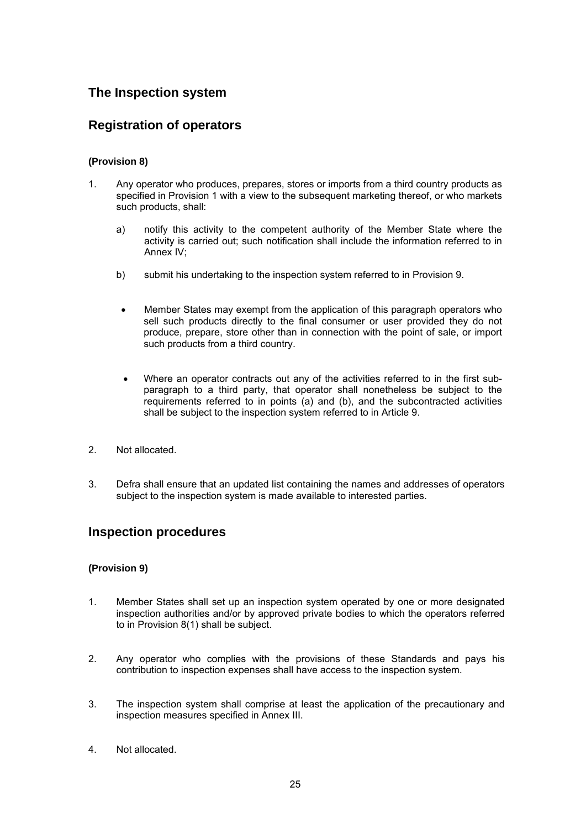## **The Inspection system**

## **Registration of operators**

#### **(Provision 8)**

- 1. Any operator who produces, prepares, stores or imports from a third country products as specified in Provision 1 with a view to the subsequent marketing thereof, or who markets such products, shall:
	- a) notify this activity to the competent authority of the Member State where the activity is carried out; such notification shall include the information referred to in Annex IV;
	- b) submit his undertaking to the inspection system referred to in Provision 9.
	- Member States may exempt from the application of this paragraph operators who sell such products directly to the final consumer or user provided they do not produce, prepare, store other than in connection with the point of sale, or import such products from a third country.
	- Where an operator contracts out any of the activities referred to in the first subparagraph to a third party, that operator shall nonetheless be subject to the requirements referred to in points (a) and (b), and the subcontracted activities shall be subject to the inspection system referred to in Article 9.
- 2. Not allocated.
- 3. Defra shall ensure that an updated list containing the names and addresses of operators subject to the inspection system is made available to interested parties.

## **Inspection procedures**

#### **(Provision 9)**

- 1. Member States shall set up an inspection system operated by one or more designated inspection authorities and/or by approved private bodies to which the operators referred to in Provision 8(1) shall be subject.
- 2. Any operator who complies with the provisions of these Standards and pays his contribution to inspection expenses shall have access to the inspection system.
- 3. The inspection system shall comprise at least the application of the precautionary and inspection measures specified in Annex III.
- 4. Not allocated.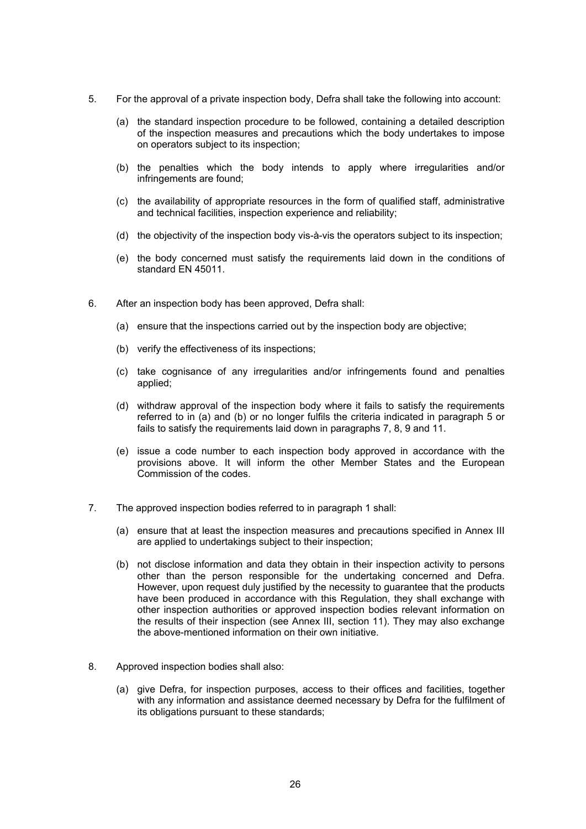- 5. For the approval of a private inspection body, Defra shall take the following into account:
	- (a) the standard inspection procedure to be followed, containing a detailed description of the inspection measures and precautions which the body undertakes to impose on operators subject to its inspection;
	- (b) the penalties which the body intends to apply where irregularities and/or infringements are found;
	- (c) the availability of appropriate resources in the form of qualified staff, administrative and technical facilities, inspection experience and reliability;
	- (d) the objectivity of the inspection body vis-à-vis the operators subject to its inspection;
	- (e) the body concerned must satisfy the requirements laid down in the conditions of standard EN 45011.
- 6. After an inspection body has been approved, Defra shall:
	- (a) ensure that the inspections carried out by the inspection body are objective;
	- (b) verify the effectiveness of its inspections;
	- (c) take cognisance of any irregularities and/or infringements found and penalties applied;
	- (d) withdraw approval of the inspection body where it fails to satisfy the requirements referred to in (a) and (b) or no longer fulfils the criteria indicated in paragraph 5 or fails to satisfy the requirements laid down in paragraphs 7, 8, 9 and 11.
	- (e) issue a code number to each inspection body approved in accordance with the provisions above. It will inform the other Member States and the European Commission of the codes.
- 7. The approved inspection bodies referred to in paragraph 1 shall:
	- (a) ensure that at least the inspection measures and precautions specified in Annex III are applied to undertakings subject to their inspection;
	- (b) not disclose information and data they obtain in their inspection activity to persons other than the person responsible for the undertaking concerned and Defra. However, upon request duly justified by the necessity to guarantee that the products have been produced in accordance with this Regulation, they shall exchange with other inspection authorities or approved inspection bodies relevant information on the results of their inspection (see Annex III, section 11). They may also exchange the above-mentioned information on their own initiative.
- 8. Approved inspection bodies shall also:
	- (a) give Defra, for inspection purposes, access to their offices and facilities, together with any information and assistance deemed necessary by Defra for the fulfilment of its obligations pursuant to these standards;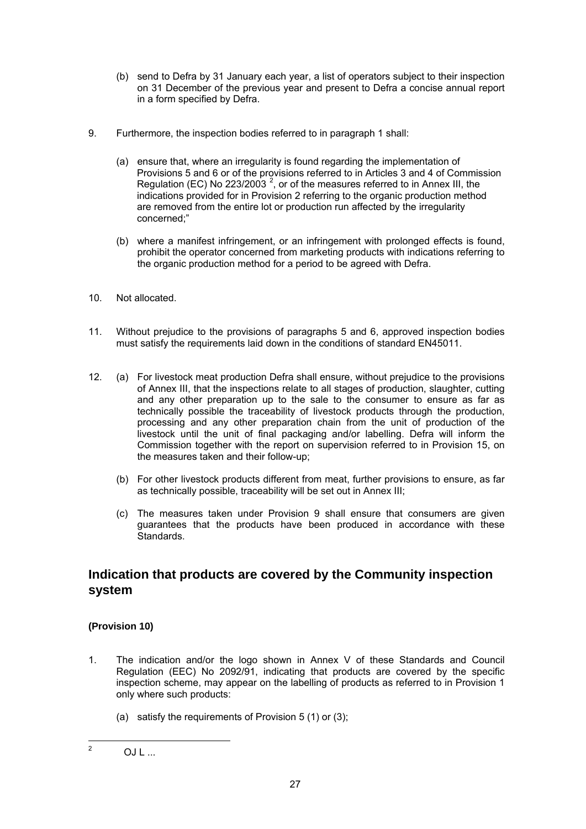- (b) send to Defra by 31 January each year, a list of operators subject to their inspection on 31 December of the previous year and present to Defra a concise annual report in a form specified by Defra.
- 9. Furthermore, the inspection bodies referred to in paragraph 1 shall:
	- (a) ensure that, where an irregularity is found regarding the implementation of Provisions 5 and 6 or of the provisions referred to in Articles 3 and 4 of Commission Regulation (EC) No 223/2003<sup>2</sup>, or of the measures referred to in Annex III, the indications provided for in Provision 2 referring to the organic production method are removed from the entire lot or production run affected by the irregularity concerned;"
	- (b) where a manifest infringement, or an infringement with prolonged effects is found, prohibit the operator concerned from marketing products with indications referring to the organic production method for a period to be agreed with Defra.
- 10. Not allocated.
- 11. Without prejudice to the provisions of paragraphs 5 and 6, approved inspection bodies must satisfy the requirements laid down in the conditions of standard EN45011.
- 12. (a) For livestock meat production Defra shall ensure, without prejudice to the provisions of Annex III, that the inspections relate to all stages of production, slaughter, cutting and any other preparation up to the sale to the consumer to ensure as far as technically possible the traceability of livestock products through the production, processing and any other preparation chain from the unit of production of the livestock until the unit of final packaging and/or labelling. Defra will inform the Commission together with the report on supervision referred to in Provision 15, on the measures taken and their follow-up;
	- (b) For other livestock products different from meat, further provisions to ensure, as far as technically possible, traceability will be set out in Annex III;
	- (c) The measures taken under Provision 9 shall ensure that consumers are given guarantees that the products have been produced in accordance with these Standards.

## **Indication that products are covered by the Community inspection system**

#### **(Provision 10)**

- 1. The indication and/or the logo shown in Annex V of these Standards and Council Regulation (EEC) No 2092/91, indicating that products are covered by the specific inspection scheme, may appear on the labelling of products as referred to in Provision 1 only where such products:
	- (a) satisfy the requirements of Provision 5 (1) or (3);

 $\frac{1}{2}$ 

 $O.I.1$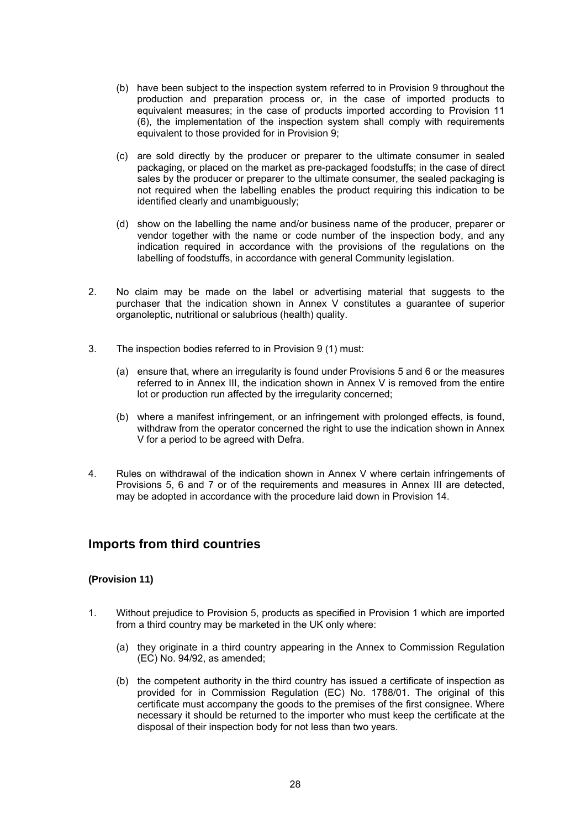- (b) have been subject to the inspection system referred to in Provision 9 throughout the production and preparation process or, in the case of imported products to equivalent measures; in the case of products imported according to Provision 11 (6), the implementation of the inspection system shall comply with requirements equivalent to those provided for in Provision 9;
- (c) are sold directly by the producer or preparer to the ultimate consumer in sealed packaging, or placed on the market as pre-packaged foodstuffs; in the case of direct sales by the producer or preparer to the ultimate consumer, the sealed packaging is not required when the labelling enables the product requiring this indication to be identified clearly and unambiguously;
- (d) show on the labelling the name and/or business name of the producer, preparer or vendor together with the name or code number of the inspection body, and any indication required in accordance with the provisions of the regulations on the labelling of foodstuffs, in accordance with general Community legislation.
- 2. No claim may be made on the label or advertising material that suggests to the purchaser that the indication shown in Annex V constitutes a guarantee of superior organoleptic, nutritional or salubrious (health) quality.
- 3. The inspection bodies referred to in Provision 9 (1) must:
	- (a) ensure that, where an irregularity is found under Provisions 5 and 6 or the measures referred to in Annex III, the indication shown in Annex V is removed from the entire lot or production run affected by the irregularity concerned;
	- (b) where a manifest infringement, or an infringement with prolonged effects, is found, withdraw from the operator concerned the right to use the indication shown in Annex V for a period to be agreed with Defra.
- 4. Rules on withdrawal of the indication shown in Annex V where certain infringements of Provisions 5, 6 and 7 or of the requirements and measures in Annex III are detected, may be adopted in accordance with the procedure laid down in Provision 14.

### **Imports from third countries**

#### **(Provision 11)**

- 1. Without prejudice to Provision 5, products as specified in Provision 1 which are imported from a third country may be marketed in the UK only where:
	- (a) they originate in a third country appearing in the Annex to Commission Regulation (EC) No. 94/92, as amended;
	- (b) the competent authority in the third country has issued a certificate of inspection as provided for in Commission Regulation (EC) No. 1788/01. The original of this certificate must accompany the goods to the premises of the first consignee. Where necessary it should be returned to the importer who must keep the certificate at the disposal of their inspection body for not less than two years.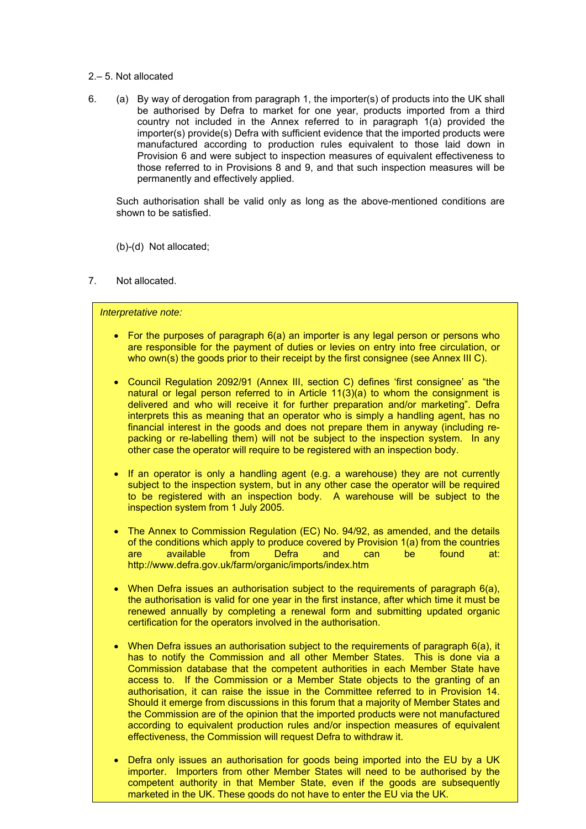- 2.– 5. Not allocated
- 6. (a) By way of derogation from paragraph 1, the importer(s) of products into the UK shall be authorised by Defra to market for one year, products imported from a third country not included in the Annex referred to in paragraph 1(a) provided the importer(s) provide(s) Defra with sufficient evidence that the imported products were manufactured according to production rules equivalent to those laid down in Provision 6 and were subject to inspection measures of equivalent effectiveness to those referred to in Provisions 8 and 9, and that such inspection measures will be permanently and effectively applied.

 Such authorisation shall be valid only as long as the above-mentioned conditions are shown to be satisfied.

(b)-(d) Not allocated;

7. Not allocated.

#### *Interpretative note:*

- For the purposes of paragraph 6(a) an importer is any legal person or persons who are responsible for the payment of duties or levies on entry into free circulation, or who own(s) the goods prior to their receipt by the first consignee (see Annex III C).
- Council Regulation 2092/91 (Annex III, section C) defines 'first consignee' as "the natural or legal person referred to in Article  $11(3)(a)$  to whom the consignment is delivered and who will receive it for further preparation and/or marketing". Defra interprets this as meaning that an operator who is simply a handling agent, has no financial interest in the goods and does not prepare them in anyway (including repacking or re-labelling them) will not be subject to the inspection system. In any other case the operator will require to be registered with an inspection body.
- If an operator is only a handling agent (e.g. a warehouse) they are not currently subject to the inspection system, but in any other case the operator will be required to be registered with an inspection body. A warehouse will be subject to the inspection system from 1 July 2005.
- The Annex to Commission Regulation (EC) No. 94/92, as amended, and the details of the conditions which apply to produce covered by Provision 1(a) from the countries are available from Defra and can be found at: http://www.defra.gov.uk/farm/organic/imports/index.htm
- When Defra issues an authorisation subject to the requirements of paragraph 6(a), the authorisation is valid for one year in the first instance, after which time it must be renewed annually by completing a renewal form and submitting updated organic certification for the operators involved in the authorisation.
- When Defra issues an authorisation subject to the requirements of paragraph 6(a), it has to notify the Commission and all other Member States. This is done via a Commission database that the competent authorities in each Member State have access to. If the Commission or a Member State objects to the granting of an authorisation, it can raise the issue in the Committee referred to in Provision 14. Should it emerge from discussions in this forum that a majority of Member States and the Commission are of the opinion that the imported products were not manufactured according to equivalent production rules and/or inspection measures of equivalent effectiveness, the Commission will request Defra to withdraw it.
- competent authority in that Member State, even if the goods are subsequently • Defra only issues an authorisation for goods being imported into the EU by a UK importer. Importers from other Member States will need to be authorised by the marketed in the UK. These goods do not have to enter the EU via the UK.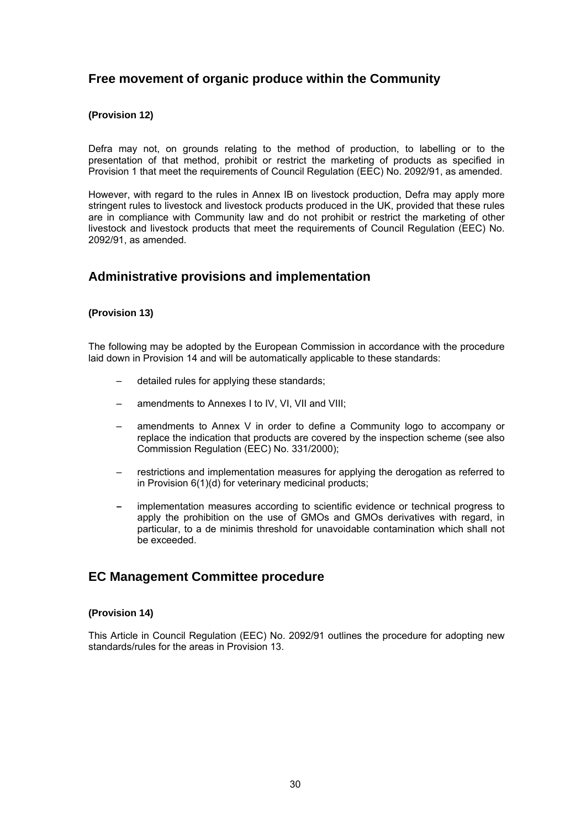## **Free movement of organic produce within the Community**

#### **(Provision 12)**

Defra may not, on grounds relating to the method of production, to labelling or to the presentation of that method, prohibit or restrict the marketing of products as specified in Provision 1 that meet the requirements of Council Regulation (EEC) No. 2092/91, as amended.

However, with regard to the rules in Annex IB on livestock production, Defra may apply more stringent rules to livestock and livestock products produced in the UK, provided that these rules are in compliance with Community law and do not prohibit or restrict the marketing of other livestock and livestock products that meet the requirements of Council Regulation (EEC) No. 2092/91, as amended.

## **Administrative provisions and implementation**

#### **(Provision 13)**

The following may be adopted by the European Commission in accordance with the procedure laid down in Provision 14 and will be automatically applicable to these standards:

- detailed rules for applying these standards;
- amendments to Annexes I to IV, VI, VII and VIII;
- amendments to Annex V in order to define a Community logo to accompany or replace the indication that products are covered by the inspection scheme (see also Commission Regulation (EEC) No. 331/2000);
- restrictions and implementation measures for applying the derogation as referred to in Provision 6(1)(d) for veterinary medicinal products;
- implementation measures according to scientific evidence or technical progress to apply the prohibition on the use of GMOs and GMOs derivatives with regard, in particular, to a de minimis threshold for unavoidable contamination which shall not be exceeded.

### **EC Management Committee procedure**

#### **(Provision 14)**

This Article in Council Regulation (EEC) No. 2092/91 outlines the procedure for adopting new standards/rules for the areas in Provision 13.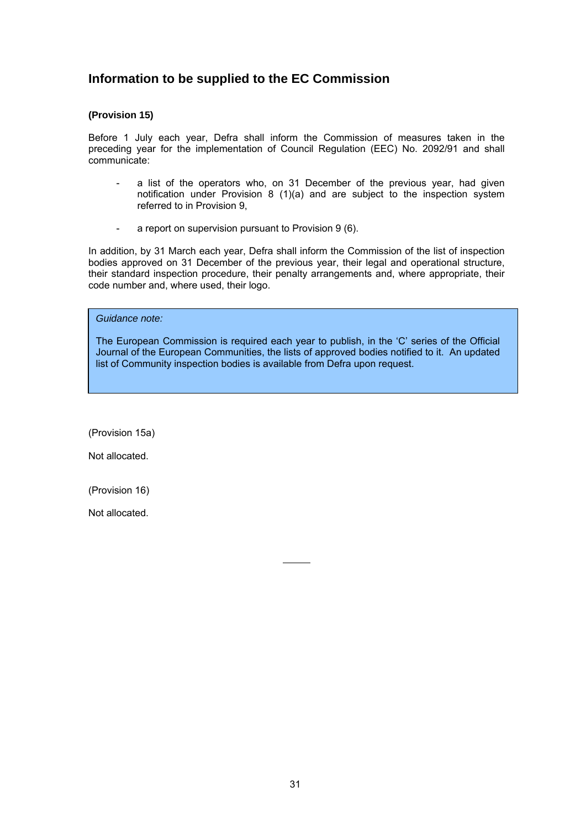## **Information to be supplied to the EC Commission**

#### **(Provision 15)**

Before 1 July each year, Defra shall inform the Commission of measures taken in the preceding year for the implementation of Council Regulation (EEC) No. 2092/91 and shall communicate:

- a list of the operators who, on 31 December of the previous year, had given notification under Provision 8 (1)(a) and are subject to the inspection system referred to in Provision 9,
- a report on supervision pursuant to Provision 9 (6).

In addition, by 31 March each year, Defra shall inform the Commission of the list of inspection bodies approved on 31 December of the previous year, their legal and operational structure, their standard inspection procedure, their penalty arrangements and, where appropriate, their code number and, where used, their logo.

*Guidance note:* 

The European Commission is required each year to publish, in the 'C' series of the Official Journal of the European Communities, the lists of approved bodies notified to it. An updated list of Community inspection bodies is available from Defra upon request.

 $\mathbf{r}$ 

(Provision 15a)

Not allocated.

(Provision 16)

Not allocated.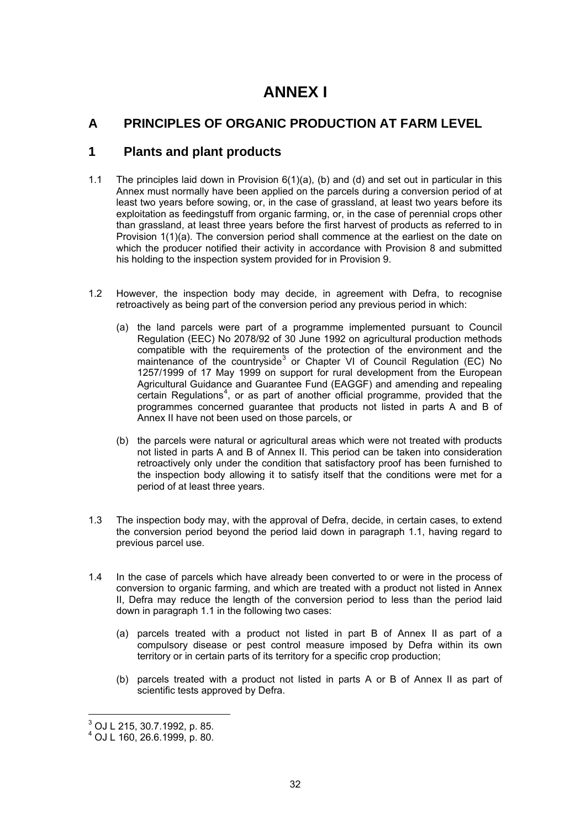## **ANNEX I**

## **A PRINCIPLES OF ORGANIC PRODUCTION AT FARM LEVEL**

## **1 Plants and plant products**

- 1.1 The principles laid down in Provision 6(1)(a), (b) and (d) and set out in particular in this Annex must normally have been applied on the parcels during a conversion period of at least two years before sowing, or, in the case of grassland, at least two years before its exploitation as feedingstuff from organic farming, or, in the case of perennial crops other than grassland, at least three years before the first harvest of products as referred to in Provision 1(1)(a). The conversion period shall commence at the earliest on the date on which the producer notified their activity in accordance with Provision 8 and submitted his holding to the inspection system provided for in Provision 9.
- 1.2 However, the inspection body may decide, in agreement with Defra, to recognise retroactively as being part of the conversion period any previous period in which:
	- (a) the land parcels were part of a programme implemented pursuant to Council Regulation (EEC) No 2078/92 of 30 June 1992 on agricultural production methods compatible with the requirements of the protection of the environment and the maintenance of the countryside<sup>3</sup> or Chapter VI of Council Regulation (EC) No 1257/1999 of 17 May 1999 on support for rural development from the European Agricultural Guidance and Guarantee Fund (EAGGF) and amending and repealing certain Regulations<sup>4</sup>, or as part of another official programme, provided that the programmes concerned guarantee that products not listed in parts A and B of Annex II have not been used on those parcels, or
	- (b) the parcels were natural or agricultural areas which were not treated with products not listed in parts A and B of Annex II. This period can be taken into consideration retroactively only under the condition that satisfactory proof has been furnished to the inspection body allowing it to satisfy itself that the conditions were met for a period of at least three years.
- 1.3 The inspection body may, with the approval of Defra, decide, in certain cases, to extend the conversion period beyond the period laid down in paragraph 1.1, having regard to previous parcel use.
- 1.4 In the case of parcels which have already been converted to or were in the process of conversion to organic farming, and which are treated with a product not listed in Annex II, Defra may reduce the length of the conversion period to less than the period laid down in paragraph 1.1 in the following two cases:
	- (a) parcels treated with a product not listed in part B of Annex II as part of a compulsory disease or pest control measure imposed by Defra within its own territory or in certain parts of its territory for a specific crop production;
	- (b) parcels treated with a product not listed in parts A or B of Annex II as part of scientific tests approved by Defra.

 $^3$  OJ L 215, 30.7.1992, p. 85.

<sup>4</sup> OJ L 160, 26.6.1999, p. 80.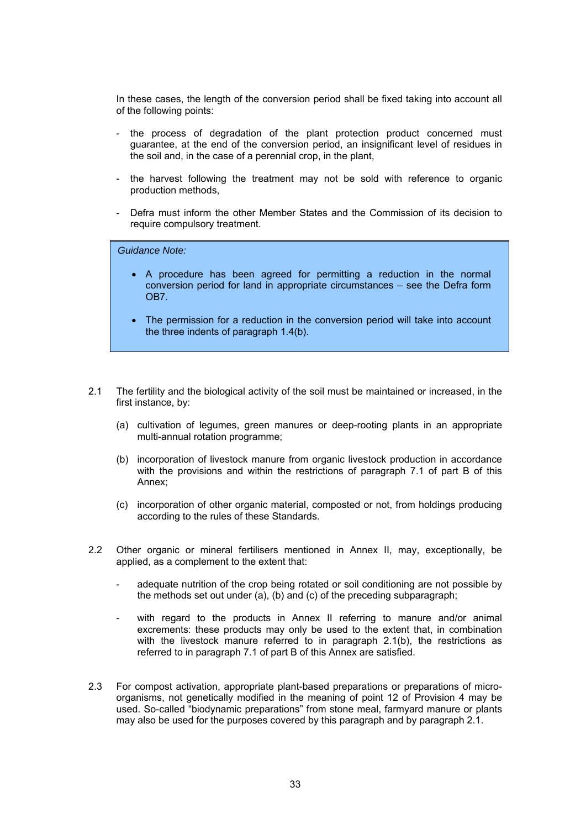In these cases, the length of the conversion period shall be fixed taking into account all of the following points:

- the process of degradation of the plant protection product concerned must guarantee, at the end of the conversion period, an insignificant level of residues in the soil and, in the case of a perennial crop, in the plant,
- the harvest following the treatment may not be sold with reference to organic production methods,
- Defra must inform the other Member States and the Commission of its decision to require compulsory treatment.

*Guidance Note:* 

- A procedure has been agreed for permitting a reduction in the normal conversion period for land in appropriate circumstances – see the Defra form OB7.
- The permission for a reduction in the conversion period will take into account the three indents of paragraph 1.4(b).
- 2.1 The fertility and the biological activity of the soil must be maintained or increased, in the first instance, by:
	- (a) cultivation of legumes, green manures or deep-rooting plants in an appropriate multi-annual rotation programme;
	- (b) incorporation of livestock manure from organic livestock production in accordance with the provisions and within the restrictions of paragraph 7.1 of part B of this Annex;
	- (c) incorporation of other organic material, composted or not, from holdings producing according to the rules of these Standards.
- 2.2 Other organic or mineral fertilisers mentioned in Annex II, may, exceptionally, be applied, as a complement to the extent that:
	- adequate nutrition of the crop being rotated or soil conditioning are not possible by the methods set out under (a), (b) and (c) of the preceding subparagraph;
	- with regard to the products in Annex II referring to manure and/or animal excrements: these products may only be used to the extent that, in combination with the livestock manure referred to in paragraph 2.1(b), the restrictions as referred to in paragraph 7.1 of part B of this Annex are satisfied.
- 2.3 For compost activation, appropriate plant-based preparations or preparations of microorganisms, not genetically modified in the meaning of point 12 of Provision 4 may be used. So-called "biodynamic preparations" from stone meal, farmyard manure or plants may also be used for the purposes covered by this paragraph and by paragraph 2.1.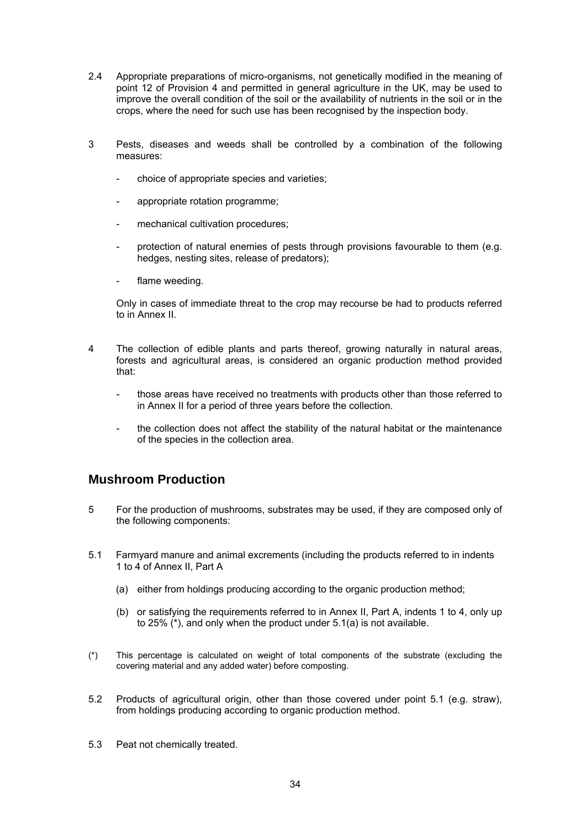- 2.4 Appropriate preparations of micro-organisms, not genetically modified in the meaning of point 12 of Provision 4 and permitted in general agriculture in the UK, may be used to improve the overall condition of the soil or the availability of nutrients in the soil or in the crops, where the need for such use has been recognised by the inspection body.
- 3 Pests, diseases and weeds shall be controlled by a combination of the following measures:
	- choice of appropriate species and varieties;
	- appropriate rotation programme;
	- mechanical cultivation procedures;
	- protection of natural enemies of pests through provisions favourable to them (e.g. hedges, nesting sites, release of predators);
	- flame weeding.

Only in cases of immediate threat to the crop may recourse be had to products referred to in Annex II.

- 4 The collection of edible plants and parts thereof, growing naturally in natural areas, forests and agricultural areas, is considered an organic production method provided that:
	- those areas have received no treatments with products other than those referred to in Annex II for a period of three years before the collection.
	- the collection does not affect the stability of the natural habitat or the maintenance of the species in the collection area.

## **Mushroom Production**

- 5 For the production of mushrooms, substrates may be used, if they are composed only of the following components:
- 5.1 Farmyard manure and animal excrements (including the products referred to in indents 1 to 4 of Annex II, Part A
	- (a) either from holdings producing according to the organic production method;
	- (b) or satisfying the requirements referred to in Annex II, Part A, indents 1 to 4, only up to 25% (\*), and only when the product under 5.1(a) is not available.
- (\*) This percentage is calculated on weight of total components of the substrate (excluding the covering material and any added water) before composting.
- 5.2 Products of agricultural origin, other than those covered under point 5.1 (e.g. straw), from holdings producing according to organic production method.
- 5.3 Peat not chemically treated.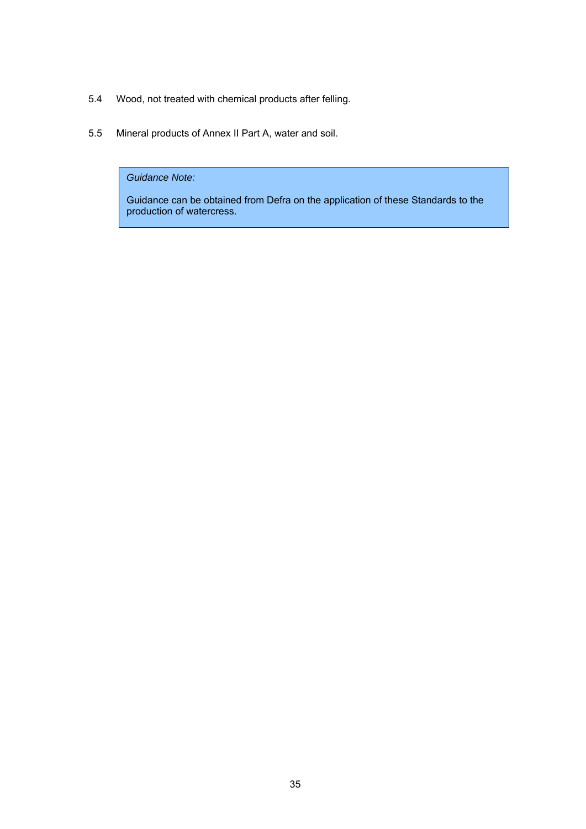- 5.4 Wood, not treated with chemical products after felling.
- 5.5 Mineral products of Annex II Part A, water and soil.

*Guidance Note:* 

Guidance can be obtained from Defra on the application of these Standards to the production of watercress.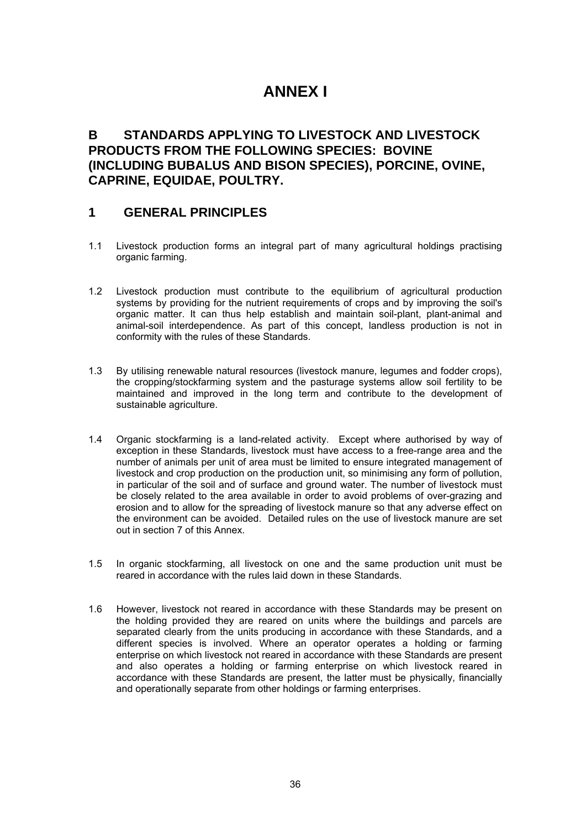## **ANNEX I**

## **B STANDARDS APPLYING TO LIVESTOCK AND LIVESTOCK PRODUCTS FROM THE FOLLOWING SPECIES: BOVINE (INCLUDING BUBALUS AND BISON SPECIES), PORCINE, OVINE, CAPRINE, EQUIDAE, POULTRY.**

## **1 GENERAL PRINCIPLES**

- 1.1 Livestock production forms an integral part of many agricultural holdings practising organic farming.
- 1.2 Livestock production must contribute to the equilibrium of agricultural production systems by providing for the nutrient requirements of crops and by improving the soil's organic matter. It can thus help establish and maintain soil-plant, plant-animal and animal-soil interdependence. As part of this concept, landless production is not in conformity with the rules of these Standards.
- 1.3 By utilising renewable natural resources (livestock manure, legumes and fodder crops), the cropping/stockfarming system and the pasturage systems allow soil fertility to be maintained and improved in the long term and contribute to the development of sustainable agriculture.
- 1.4 Organic stockfarming is a land-related activity. Except where authorised by way of exception in these Standards, livestock must have access to a free-range area and the number of animals per unit of area must be limited to ensure integrated management of livestock and crop production on the production unit, so minimising any form of pollution, in particular of the soil and of surface and ground water. The number of livestock must be closely related to the area available in order to avoid problems of over-grazing and erosion and to allow for the spreading of livestock manure so that any adverse effect on the environment can be avoided. Detailed rules on the use of livestock manure are set out in section 7 of this Annex.
- 1.5 In organic stockfarming, all livestock on one and the same production unit must be reared in accordance with the rules laid down in these Standards.
- 1.6 However, livestock not reared in accordance with these Standards may be present on the holding provided they are reared on units where the buildings and parcels are separated clearly from the units producing in accordance with these Standards, and a different species is involved. Where an operator operates a holding or farming enterprise on which livestock not reared in accordance with these Standards are present and also operates a holding or farming enterprise on which livestock reared in accordance with these Standards are present, the latter must be physically, financially and operationally separate from other holdings or farming enterprises.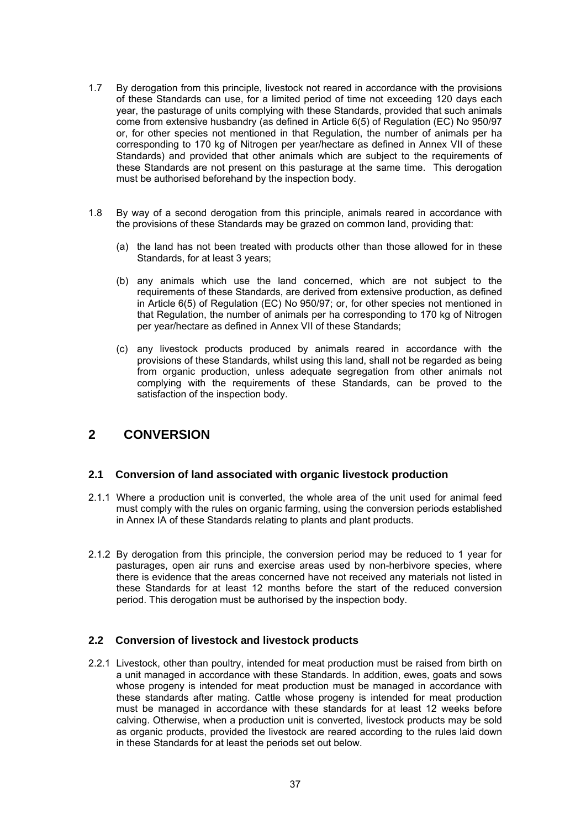- 1.7 By derogation from this principle, livestock not reared in accordance with the provisions of these Standards can use, for a limited period of time not exceeding 120 days each year, the pasturage of units complying with these Standards, provided that such animals come from extensive husbandry (as defined in Article 6(5) of Regulation (EC) No 950/97 or, for other species not mentioned in that Regulation, the number of animals per ha corresponding to 170 kg of Nitrogen per year/hectare as defined in Annex VII of these Standards) and provided that other animals which are subject to the requirements of these Standards are not present on this pasturage at the same time. This derogation must be authorised beforehand by the inspection body.
- 1.8 By way of a second derogation from this principle, animals reared in accordance with the provisions of these Standards may be grazed on common land, providing that:
	- (a) the land has not been treated with products other than those allowed for in these Standards, for at least 3 years;
	- (b) any animals which use the land concerned, which are not subject to the requirements of these Standards, are derived from extensive production, as defined in Article 6(5) of Regulation (EC) No 950/97; or, for other species not mentioned in that Regulation, the number of animals per ha corresponding to 170 kg of Nitrogen per year/hectare as defined in Annex VII of these Standards;
	- (c) any livestock products produced by animals reared in accordance with the provisions of these Standards, whilst using this land, shall not be regarded as being from organic production, unless adequate segregation from other animals not complying with the requirements of these Standards, can be proved to the satisfaction of the inspection body.

# **2 CONVERSION**

### **2.1 Conversion of land associated with organic livestock production**

- 2.1.1 Where a production unit is converted, the whole area of the unit used for animal feed must comply with the rules on organic farming, using the conversion periods established in Annex IA of these Standards relating to plants and plant products.
- 2.1.2 By derogation from this principle, the conversion period may be reduced to 1 year for pasturages, open air runs and exercise areas used by non-herbivore species, where there is evidence that the areas concerned have not received any materials not listed in these Standards for at least 12 months before the start of the reduced conversion period. This derogation must be authorised by the inspection body.

### **2.2 Conversion of livestock and livestock products**

2.2.1 Livestock, other than poultry, intended for meat production must be raised from birth on a unit managed in accordance with these Standards. In addition, ewes, goats and sows whose progeny is intended for meat production must be managed in accordance with these standards after mating. Cattle whose progeny is intended for meat production must be managed in accordance with these standards for at least 12 weeks before calving. Otherwise, when a production unit is converted, livestock products may be sold as organic products, provided the livestock are reared according to the rules laid down in these Standards for at least the periods set out below.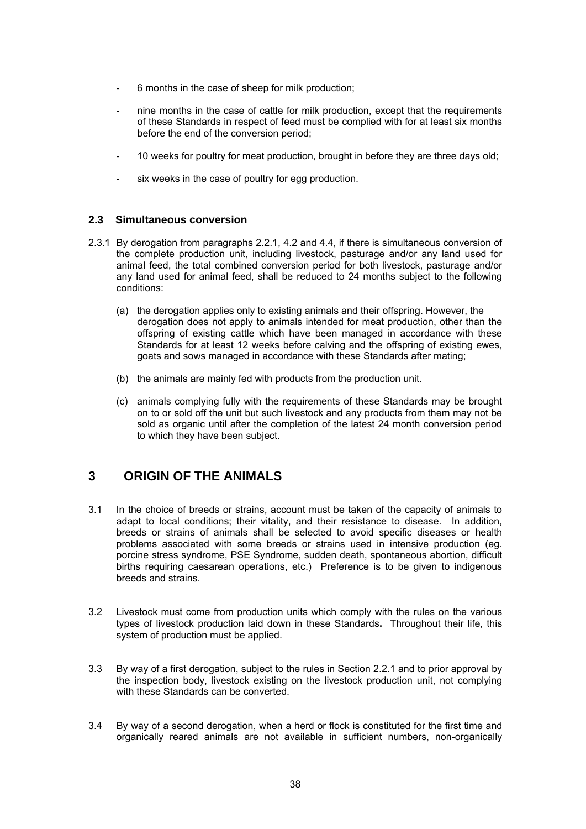- 6 months in the case of sheep for milk production;
- hine months in the case of cattle for milk production, except that the requirements of these Standards in respect of feed must be complied with for at least six months before the end of the conversion period;
- 10 weeks for poultry for meat production, brought in before they are three days old;
- six weeks in the case of poultry for egg production.

## **2.3 Simultaneous conversion**

- 2.3.1 By derogation from paragraphs 2.2.1, 4.2 and 4.4, if there is simultaneous conversion of the complete production unit, including livestock, pasturage and/or any land used for animal feed, the total combined conversion period for both livestock, pasturage and/or any land used for animal feed, shall be reduced to 24 months subject to the following conditions:
	- (a) the derogation applies only to existing animals and their offspring. However, the derogation does not apply to animals intended for meat production, other than the offspring of existing cattle which have been managed in accordance with these Standards for at least 12 weeks before calving and the offspring of existing ewes, goats and sows managed in accordance with these Standards after mating;
	- (b) the animals are mainly fed with products from the production unit.
	- (c) animals complying fully with the requirements of these Standards may be brought on to or sold off the unit but such livestock and any products from them may not be sold as organic until after the completion of the latest 24 month conversion period to which they have been subject.

# **3 ORIGIN OF THE ANIMALS**

- 3.1 In the choice of breeds or strains, account must be taken of the capacity of animals to adapt to local conditions; their vitality, and their resistance to disease. In addition, breeds or strains of animals shall be selected to avoid specific diseases or health problems associated with some breeds or strains used in intensive production (eg. porcine stress syndrome, PSE Syndrome, sudden death, spontaneous abortion, difficult births requiring caesarean operations, etc.) Preference is to be given to indigenous breeds and strains.
- 3.2 Livestock must come from production units which comply with the rules on the various types of livestock production laid down in these Standards**.** Throughout their life, this system of production must be applied.
- 3.3 By way of a first derogation, subject to the rules in Section 2.2.1 and to prior approval by the inspection body, livestock existing on the livestock production unit, not complying with these Standards can be converted.
- 3.4 By way of a second derogation, when a herd or flock is constituted for the first time and organically reared animals are not available in sufficient numbers, non-organically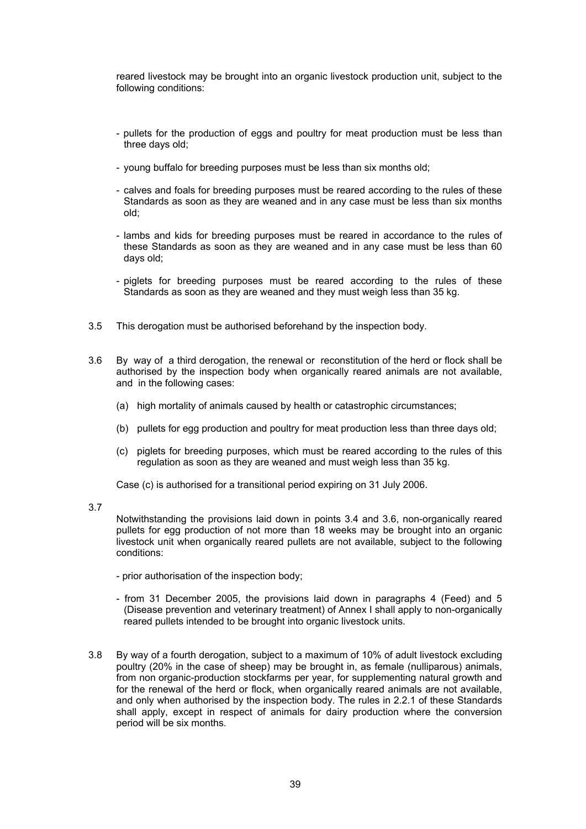reared livestock may be brought into an organic livestock production unit, subject to the following conditions:

- pullets for the production of eggs and poultry for meat production must be less than three days old;
- young buffalo for breeding purposes must be less than six months old;
- calves and foals for breeding purposes must be reared according to the rules of these Standards as soon as they are weaned and in any case must be less than six months old;
- lambs and kids for breeding purposes must be reared in accordance to the rules of these Standards as soon as they are weaned and in any case must be less than 60 days old;
- piglets for breeding purposes must be reared according to the rules of these Standards as soon as they are weaned and they must weigh less than 35 kg.
- 3.5 This derogation must be authorised beforehand by the inspection body.
- 3.6 By way of a third derogation, the renewal or reconstitution of the herd or flock shall be authorised by the inspection body when organically reared animals are not available, and in the following cases:
	- (a) high mortality of animals caused by health or catastrophic circumstances;
	- (b) pullets for egg production and poultry for meat production less than three days old;
	- (c) piglets for breeding purposes, which must be reared according to the rules of this regulation as soon as they are weaned and must weigh less than 35 kg.

Case (c) is authorised for a transitional period expiring on 31 July 2006.

3.7

 Notwithstanding the provisions laid down in points 3.4 and 3.6, non-organically reared pullets for egg production of not more than 18 weeks may be brought into an organic livestock unit when organically reared pullets are not available, subject to the following conditions:

- prior authorisation of the inspection body;
- from 31 December 2005, the provisions laid down in paragraphs 4 (Feed) and 5 (Disease prevention and veterinary treatment) of Annex I shall apply to non-organically reared pullets intended to be brought into organic livestock units.
- 3.8 By way of a fourth derogation, subject to a maximum of 10% of adult livestock excluding poultry (20% in the case of sheep) may be brought in, as female (nulliparous) animals, from non organic-production stockfarms per year, for supplementing natural growth and for the renewal of the herd or flock, when organically reared animals are not available, and only when authorised by the inspection body. The rules in 2.2.1 of these Standards shall apply, except in respect of animals for dairy production where the conversion period will be six months.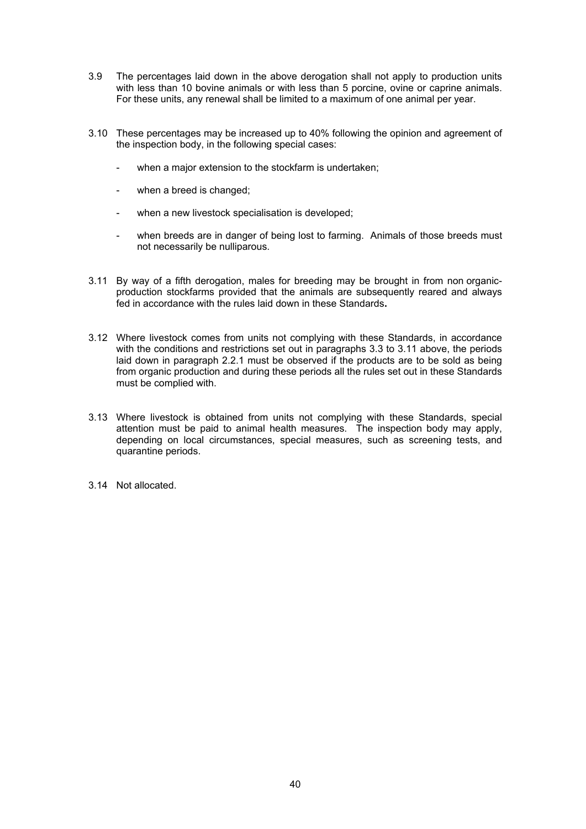- 3.9 The percentages laid down in the above derogation shall not apply to production units with less than 10 bovine animals or with less than 5 porcine, ovine or caprine animals. For these units, any renewal shall be limited to a maximum of one animal per year.
- 3.10 These percentages may be increased up to 40% following the opinion and agreement of the inspection body, in the following special cases:
	- when a major extension to the stockfarm is undertaken;
	- when a breed is changed;
	- when a new livestock specialisation is developed;
	- when breeds are in danger of being lost to farming. Animals of those breeds must not necessarily be nulliparous.
- 3.11 By way of a fifth derogation, males for breeding may be brought in from non organicproduction stockfarms provided that the animals are subsequently reared and always fed in accordance with the rules laid down in these Standards**.**
- 3.12 Where livestock comes from units not complying with these Standards, in accordance with the conditions and restrictions set out in paragraphs 3.3 to 3.11 above, the periods laid down in paragraph 2.2.1 must be observed if the products are to be sold as being from organic production and during these periods all the rules set out in these Standards must be complied with.
- 3.13 Where livestock is obtained from units not complying with these Standards, special attention must be paid to animal health measures. The inspection body may apply, depending on local circumstances, special measures, such as screening tests, and quarantine periods.
- 3.14 Not allocated.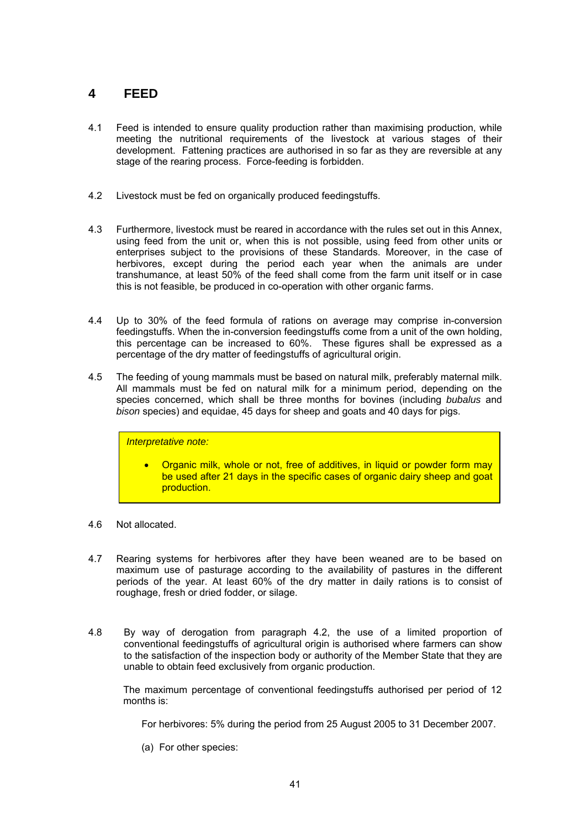# **4 FEED**

- 4.1 Feed is intended to ensure quality production rather than maximising production, while meeting the nutritional requirements of the livestock at various stages of their development. Fattening practices are authorised in so far as they are reversible at any stage of the rearing process. Force-feeding is forbidden.
- 4.2 Livestock must be fed on organically produced feedingstuffs.
- 4.3 Furthermore, livestock must be reared in accordance with the rules set out in this Annex, using feed from the unit or, when this is not possible, using feed from other units or enterprises subject to the provisions of these Standards. Moreover, in the case of herbivores, except during the period each year when the animals are under transhumance, at least 50% of the feed shall come from the farm unit itself or in case this is not feasible, be produced in co-operation with other organic farms.
- 4.4 Up to 30% of the feed formula of rations on average may comprise in-conversion feedingstuffs. When the in-conversion feedingstuffs come from a unit of the own holding, this percentage can be increased to 60%. These figures shall be expressed as a percentage of the dry matter of feedingstuffs of agricultural origin.
- 4.5 The feeding of young mammals must be based on natural milk, preferably maternal milk. All mammals must be fed on natural milk for a minimum period, depending on the species concerned, which shall be three months for bovines (including *bubalus* and *bison* species) and equidae, 45 days for sheep and goats and 40 days for pigs.

### *Interpretative note:*

- Organic milk, whole or not, free of additives, in liquid or powder form may be used after 21 days in the specific cases of organic dairy sheep and goat production.
- 4.6 Not allocated.
- 4.7 Rearing systems for herbivores after they have been weaned are to be based on maximum use of pasturage according to the availability of pastures in the different periods of the year. At least 60% of the dry matter in daily rations is to consist of roughage, fresh or dried fodder, or silage.
- 4.8 By way of derogation from paragraph 4.2, the use of a limited proportion of conventional feedingstuffs of agricultural origin is authorised where farmers can show to the satisfaction of the inspection body or authority of the Member State that they are unable to obtain feed exclusively from organic production.

The maximum percentage of conventional feedingstuffs authorised per period of 12 months is:

For herbivores: 5% during the period from 25 August 2005 to 31 December 2007.

(a) For other species: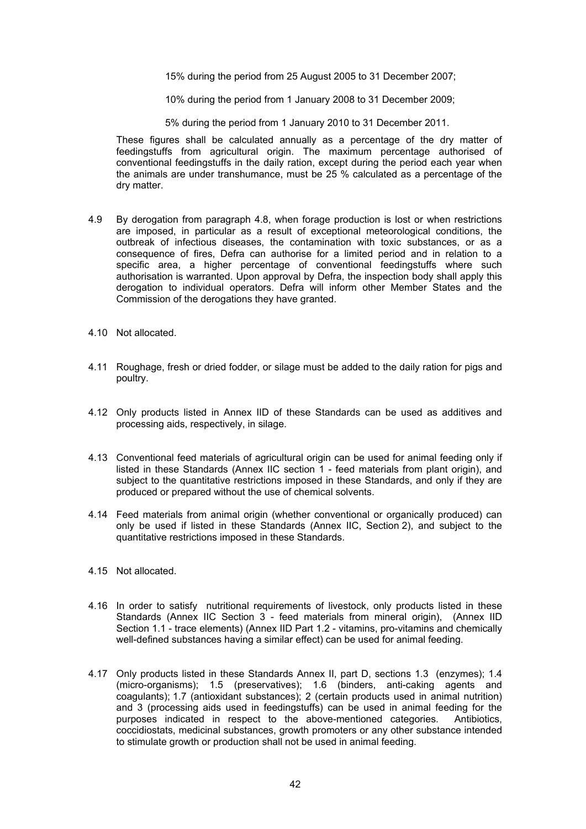15% during the period from 25 August 2005 to 31 December 2007;

10% during the period from 1 January 2008 to 31 December 2009;

5% during the period from 1 January 2010 to 31 December 2011.

These figures shall be calculated annually as a percentage of the dry matter of feedingstuffs from agricultural origin. The maximum percentage authorised of conventional feedingstuffs in the daily ration, except during the period each year when the animals are under transhumance, must be 25 % calculated as a percentage of the dry matter.

- 4.9 By derogation from paragraph 4.8, when forage production is lost or when restrictions are imposed, in particular as a result of exceptional meteorological conditions, the outbreak of infectious diseases, the contamination with toxic substances, or as a consequence of fires, Defra can authorise for a limited period and in relation to a specific area, a higher percentage of conventional feedingstuffs where such authorisation is warranted. Upon approval by Defra, the inspection body shall apply this derogation to individual operators. Defra will inform other Member States and the Commission of the derogations they have granted.
- 4.10 Not allocated.
- 4.11 Roughage, fresh or dried fodder, or silage must be added to the daily ration for pigs and poultry.
- 4.12 Only products listed in Annex IID of these Standards can be used as additives and processing aids, respectively, in silage.
- 4.13 Conventional feed materials of agricultural origin can be used for animal feeding only if listed in these Standards (Annex IIC section 1 - feed materials from plant origin), and subject to the quantitative restrictions imposed in these Standards, and only if they are produced or prepared without the use of chemical solvents.
- 4.14 Feed materials from animal origin (whether conventional or organically produced) can only be used if listed in these Standards (Annex IIC, Section 2), and subject to the quantitative restrictions imposed in these Standards.
- 4.15 Not allocated.
- 4.16 In order to satisfy nutritional requirements of livestock, only products listed in these Standards (Annex IIC Section 3 - feed materials from mineral origin), (Annex IID Section 1.1 - trace elements) (Annex IID Part 1.2 - vitamins, pro-vitamins and chemically well-defined substances having a similar effect) can be used for animal feeding.
- 4.17 Only products listed in these Standards Annex II, part D, sections 1.3 (enzymes); 1.4 (micro-organisms); 1.5 (preservatives); 1.6 (binders, anti-caking agents and coagulants); 1.7 (antioxidant substances); 2 (certain products used in animal nutrition) and 3 (processing aids used in feedingstuffs) can be used in animal feeding for the purposes indicated in respect to the above-mentioned categories. Antibiotics, coccidiostats, medicinal substances, growth promoters or any other substance intended to stimulate growth or production shall not be used in animal feeding.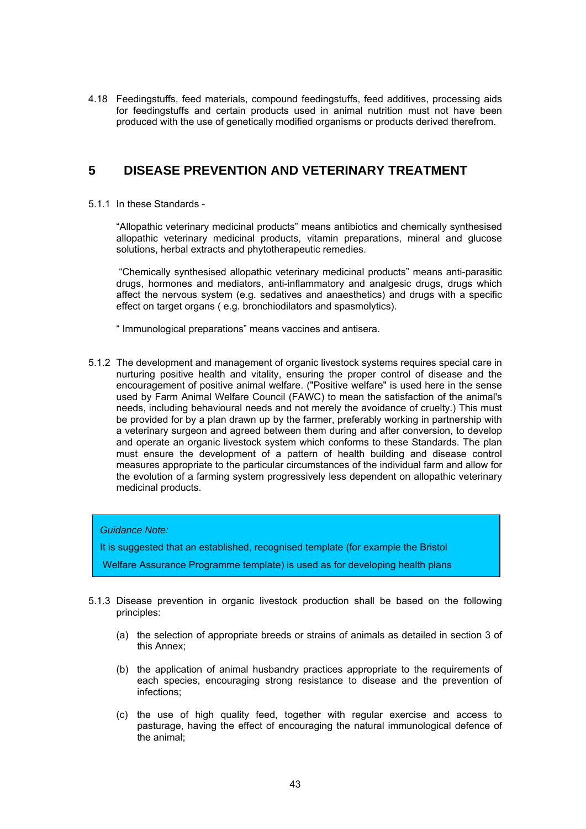4.18 Feedingstuffs, feed materials, compound feedingstuffs, feed additives, processing aids for feedingstuffs and certain products used in animal nutrition must not have been produced with the use of genetically modified organisms or products derived therefrom.

# **5 DISEASE PREVENTION AND VETERINARY TREATMENT**

5.1.1 In these Standards -

"Allopathic veterinary medicinal products" means antibiotics and chemically synthesised allopathic veterinary medicinal products, vitamin preparations, mineral and glucose solutions, herbal extracts and phytotherapeutic remedies.

 "Chemically synthesised allopathic veterinary medicinal products" means anti-parasitic drugs, hormones and mediators, anti-inflammatory and analgesic drugs, drugs which affect the nervous system (e.g. sedatives and anaesthetics) and drugs with a specific effect on target organs ( e.g. bronchiodilators and spasmolytics).

" Immunological preparations" means vaccines and antisera.

5.1.2 The development and management of organic livestock systems requires special care in nurturing positive health and vitality, ensuring the proper control of disease and the encouragement of positive animal welfare. ("Positive welfare" is used here in the sense used by Farm Animal Welfare Council (FAWC) to mean the satisfaction of the animal's needs, including behavioural needs and not merely the avoidance of cruelty.) This must be provided for by a plan drawn up by the farmer, preferably working in partnership with a veterinary surgeon and agreed between them during and after conversion, to develop and operate an organic livestock system which conforms to these Standards. The plan must ensure the development of a pattern of health building and disease control measures appropriate to the particular circumstances of the individual farm and allow for the evolution of a farming system progressively less dependent on allopathic veterinary medicinal products.

### *Guidance Note:*

It is suggested that an established, recognised template (for example the Bristol

Welfare Assurance Programme template) is used as for developing health plans

- 5.1.3 Disease prevention in organic livestock production shall be based on the following principles:
	- (a) the selection of appropriate breeds or strains of animals as detailed in section 3 of this Annex;
	- (b) the application of animal husbandry practices appropriate to the requirements of each species, encouraging strong resistance to disease and the prevention of infections;
	- (c) the use of high quality feed, together with regular exercise and access to pasturage, having the effect of encouraging the natural immunological defence of the animal;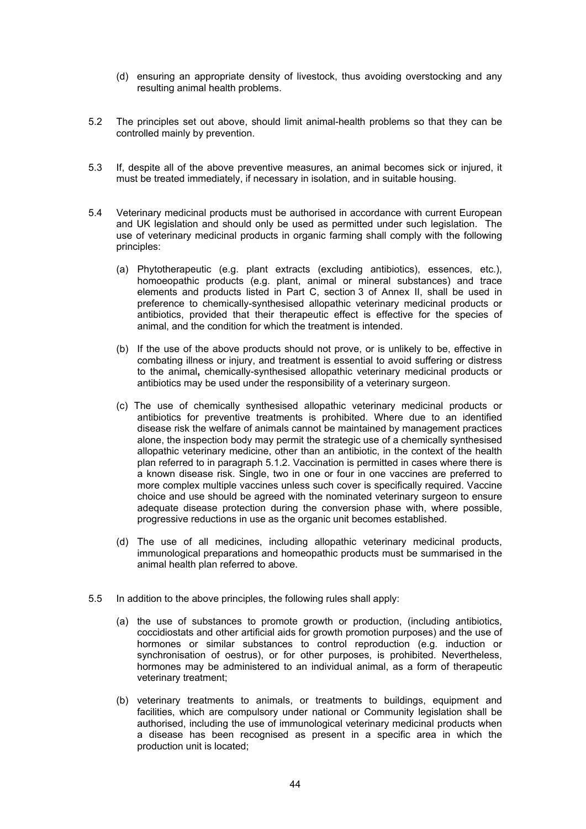- (d) ensuring an appropriate density of livestock, thus avoiding overstocking and any resulting animal health problems.
- 5.2 The principles set out above, should limit animal-health problems so that they can be controlled mainly by prevention.
- 5.3 If, despite all of the above preventive measures, an animal becomes sick or injured, it must be treated immediately, if necessary in isolation, and in suitable housing.
- 5.4 Veterinary medicinal products must be authorised in accordance with current European and UK legislation and should only be used as permitted under such legislation. The use of veterinary medicinal products in organic farming shall comply with the following principles:
	- (a) Phytotherapeutic (e.g. plant extracts (excluding antibiotics), essences, etc.), homoeopathic products (e.g. plant, animal or mineral substances) and trace elements and products listed in Part C, section 3 of Annex II, shall be used in preference to chemically-synthesised allopathic veterinary medicinal products or antibiotics, provided that their therapeutic effect is effective for the species of animal, and the condition for which the treatment is intended.
	- (b) If the use of the above products should not prove, or is unlikely to be, effective in combating illness or injury, and treatment is essential to avoid suffering or distress to the animal**,** chemically-synthesised allopathic veterinary medicinal products or antibiotics may be used under the responsibility of a veterinary surgeon.
	- (c) The use of chemically synthesised allopathic veterinary medicinal products or antibiotics for preventive treatments is prohibited. Where due to an identified disease risk the welfare of animals cannot be maintained by management practices alone, the inspection body may permit the strategic use of a chemically synthesised allopathic veterinary medicine, other than an antibiotic, in the context of the health plan referred to in paragraph 5.1.2. Vaccination is permitted in cases where there is a known disease risk. Single, two in one or four in one vaccines are preferred to more complex multiple vaccines unless such cover is specifically required. Vaccine choice and use should be agreed with the nominated veterinary surgeon to ensure adequate disease protection during the conversion phase with, where possible, progressive reductions in use as the organic unit becomes established.
	- (d) The use of all medicines, including allopathic veterinary medicinal products, immunological preparations and homeopathic products must be summarised in the animal health plan referred to above.
- 5.5 In addition to the above principles, the following rules shall apply:
	- (a) the use of substances to promote growth or production, (including antibiotics, coccidiostats and other artificial aids for growth promotion purposes) and the use of hormones or similar substances to control reproduction (e.g. induction or synchronisation of oestrus), or for other purposes, is prohibited. Nevertheless, hormones may be administered to an individual animal, as a form of therapeutic veterinary treatment;
	- (b) veterinary treatments to animals, or treatments to buildings, equipment and facilities, which are compulsory under national or Community legislation shall be authorised, including the use of immunological veterinary medicinal products when a disease has been recognised as present in a specific area in which the production unit is located;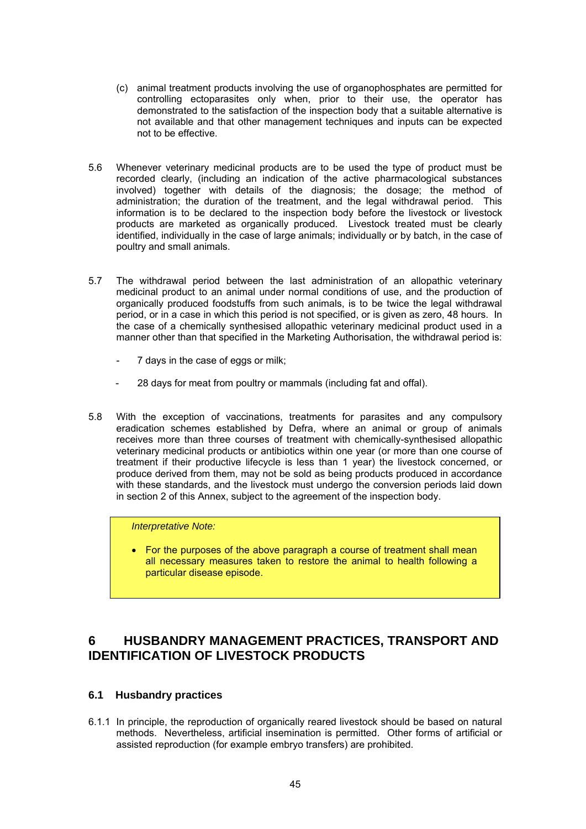- (c) animal treatment products involving the use of organophosphates are permitted for controlling ectoparasites only when, prior to their use, the operator has demonstrated to the satisfaction of the inspection body that a suitable alternative is not available and that other management techniques and inputs can be expected not to be effective.
- 5.6 Whenever veterinary medicinal products are to be used the type of product must be recorded clearly, (including an indication of the active pharmacological substances involved) together with details of the diagnosis; the dosage; the method of administration; the duration of the treatment, and the legal withdrawal period. This information is to be declared to the inspection body before the livestock or livestock products are marketed as organically produced. Livestock treated must be clearly identified, individually in the case of large animals; individually or by batch, in the case of poultry and small animals.
- 5.7 The withdrawal period between the last administration of an allopathic veterinary medicinal product to an animal under normal conditions of use, and the production of organically produced foodstuffs from such animals, is to be twice the legal withdrawal period, or in a case in which this period is not specified, or is given as zero, 48 hours. In the case of a chemically synthesised allopathic veterinary medicinal product used in a manner other than that specified in the Marketing Authorisation, the withdrawal period is:
	- 7 days in the case of eggs or milk;
	- 28 days for meat from poultry or mammals (including fat and offal).
- 5.8 With the exception of vaccinations, treatments for parasites and any compulsory eradication schemes established by Defra, where an animal or group of animals receives more than three courses of treatment with chemically-synthesised allopathic veterinary medicinal products or antibiotics within one year (or more than one course of treatment if their productive lifecycle is less than 1 year) the livestock concerned, or produce derived from them, may not be sold as being products produced in accordance with these standards, and the livestock must undergo the conversion periods laid down in section 2 of this Annex, subject to the agreement of the inspection body.

*Interpretative Note:* 

• For the purposes of the above paragraph a course of treatment shall mean all necessary measures taken to restore the animal to health following a particular disease episode.

# **6 HUSBANDRY MANAGEMENT PRACTICES, TRANSPORT AND IDENTIFICATION OF LIVESTOCK PRODUCTS**

### **6.1 Husbandry practices**

6.1.1 In principle, the reproduction of organically reared livestock should be based on natural methods. Nevertheless, artificial insemination is permitted. Other forms of artificial or assisted reproduction (for example embryo transfers) are prohibited.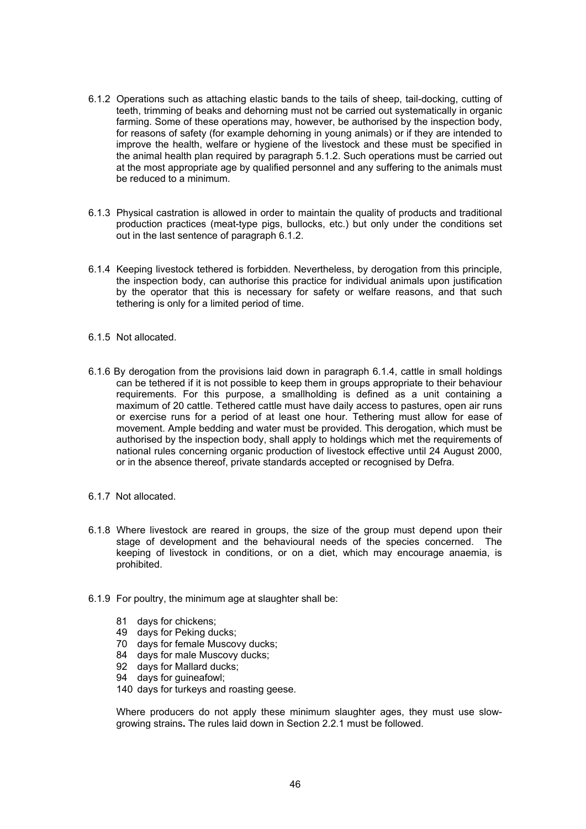- 6.1.2 Operations such as attaching elastic bands to the tails of sheep, tail-docking, cutting of teeth, trimming of beaks and dehorning must not be carried out systematically in organic farming. Some of these operations may, however, be authorised by the inspection body, for reasons of safety (for example dehorning in young animals) or if they are intended to improve the health, welfare or hygiene of the livestock and these must be specified in the animal health plan required by paragraph 5.1.2. Such operations must be carried out at the most appropriate age by qualified personnel and any suffering to the animals must be reduced to a minimum.
- 6.1.3 Physical castration is allowed in order to maintain the quality of products and traditional production practices (meat-type pigs, bullocks, etc.) but only under the conditions set out in the last sentence of paragraph 6.1.2.
- 6.1.4 Keeping livestock tethered is forbidden. Nevertheless, by derogation from this principle, the inspection body, can authorise this practice for individual animals upon justification by the operator that this is necessary for safety or welfare reasons, and that such tethering is only for a limited period of time.
- 6.1.5 Not allocated.
- 6.1.6 By derogation from the provisions laid down in paragraph 6.1.4, cattle in small holdings can be tethered if it is not possible to keep them in groups appropriate to their behaviour requirements. For this purpose, a smallholding is defined as a unit containing a maximum of 20 cattle. Tethered cattle must have daily access to pastures, open air runs or exercise runs for a period of at least one hour. Tethering must allow for ease of movement. Ample bedding and water must be provided. This derogation, which must be authorised by the inspection body, shall apply to holdings which met the requirements of national rules concerning organic production of livestock effective until 24 August 2000, or in the absence thereof, private standards accepted or recognised by Defra.
- 6.1.7 Not allocated.
- 6.1.8 Where livestock are reared in groups, the size of the group must depend upon their stage of development and the behavioural needs of the species concerned. The keeping of livestock in conditions, or on a diet, which may encourage anaemia, is prohibited.
- 6.1.9 For poultry, the minimum age at slaughter shall be:
	- 81 days for chickens;
	- 49 days for Peking ducks;
	- 70 days for female Muscovy ducks;
	- 84 days for male Muscovy ducks;
	- 92 days for Mallard ducks;
	- 94 days for guineafowl;
	- 140 days for turkeys and roasting geese.

Where producers do not apply these minimum slaughter ages, they must use slowgrowing strains**.** The rules laid down in Section 2.2.1 must be followed.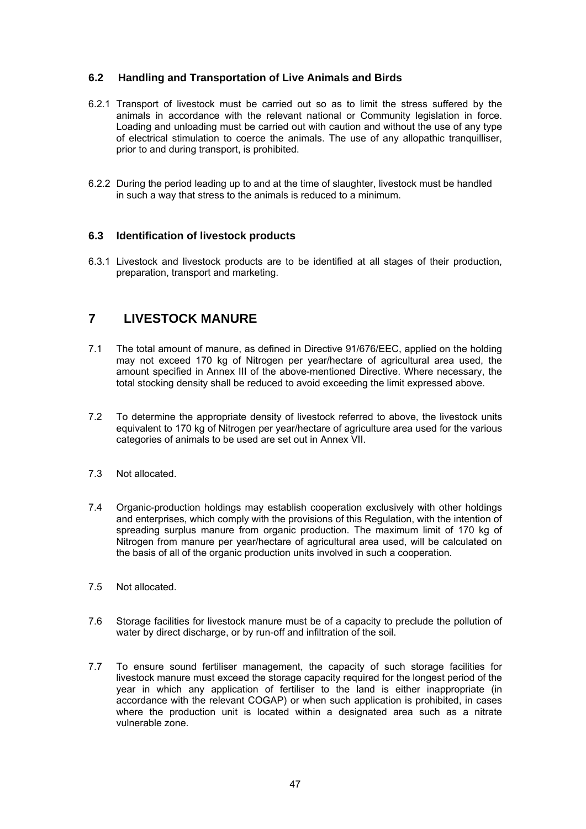## **6.2 Handling and Transportation of Live Animals and Birds**

- 6.2.1 Transport of livestock must be carried out so as to limit the stress suffered by the animals in accordance with the relevant national or Community legislation in force. Loading and unloading must be carried out with caution and without the use of any type of electrical stimulation to coerce the animals. The use of any allopathic tranquilliser, prior to and during transport, is prohibited.
- 6.2.2 During the period leading up to and at the time of slaughter, livestock must be handled in such a way that stress to the animals is reduced to a minimum.

## **6.3 Identification of livestock products**

6.3.1 Livestock and livestock products are to be identified at all stages of their production, preparation, transport and marketing.

# **7 LIVESTOCK MANURE**

- 7.1 The total amount of manure, as defined in Directive 91/676/EEC, applied on the holding may not exceed 170 kg of Nitrogen per year/hectare of agricultural area used, the amount specified in Annex III of the above-mentioned Directive. Where necessary, the total stocking density shall be reduced to avoid exceeding the limit expressed above.
- 7.2 To determine the appropriate density of livestock referred to above, the livestock units equivalent to 170 kg of Nitrogen per year/hectare of agriculture area used for the various categories of animals to be used are set out in Annex VII.
- 7.3 Not allocated.
- 7.4 Organic-production holdings may establish cooperation exclusively with other holdings and enterprises, which comply with the provisions of this Regulation, with the intention of spreading surplus manure from organic production. The maximum limit of 170 kg of Nitrogen from manure per year/hectare of agricultural area used, will be calculated on the basis of all of the organic production units involved in such a cooperation.
- 7.5 Not allocated.
- 7.6 Storage facilities for livestock manure must be of a capacity to preclude the pollution of water by direct discharge, or by run-off and infiltration of the soil.
- 7.7 To ensure sound fertiliser management, the capacity of such storage facilities for livestock manure must exceed the storage capacity required for the longest period of the year in which any application of fertiliser to the land is either inappropriate (in accordance with the relevant COGAP) or when such application is prohibited, in cases where the production unit is located within a designated area such as a nitrate vulnerable zone.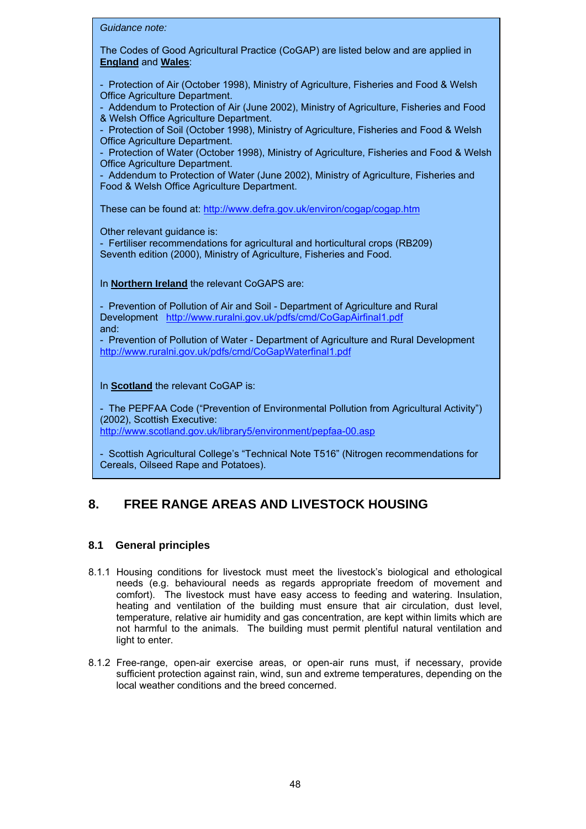| Guidance note:                                                                                                                                                                                                                                                                                                                                                                                                                                                                                                                                                                                                                                                       |
|----------------------------------------------------------------------------------------------------------------------------------------------------------------------------------------------------------------------------------------------------------------------------------------------------------------------------------------------------------------------------------------------------------------------------------------------------------------------------------------------------------------------------------------------------------------------------------------------------------------------------------------------------------------------|
| The Codes of Good Agricultural Practice (CoGAP) are listed below and are applied in<br><b>England and Wales:</b>                                                                                                                                                                                                                                                                                                                                                                                                                                                                                                                                                     |
| - Protection of Air (October 1998), Ministry of Agriculture, Fisheries and Food & Welsh<br>Office Agriculture Department.<br>- Addendum to Protection of Air (June 2002), Ministry of Agriculture, Fisheries and Food<br>& Welsh Office Agriculture Department.<br>- Protection of Soil (October 1998), Ministry of Agriculture, Fisheries and Food & Welsh<br>Office Agriculture Department.<br>- Protection of Water (October 1998), Ministry of Agriculture, Fisheries and Food & Welsh<br>Office Agriculture Department.<br>- Addendum to Protection of Water (June 2002), Ministry of Agriculture, Fisheries and<br>Food & Welsh Office Agriculture Department. |
| These can be found at: http://www.defra.gov.uk/environ/cogap/cogap.htm<br>Other relevant guidance is:<br>- Fertiliser recommendations for agricultural and horticultural crops (RB209)<br>Seventh edition (2000), Ministry of Agriculture, Fisheries and Food.                                                                                                                                                                                                                                                                                                                                                                                                       |
| In Northern Ireland the relevant CoGAPS are:                                                                                                                                                                                                                                                                                                                                                                                                                                                                                                                                                                                                                         |
| - Prevention of Pollution of Air and Soil - Department of Agriculture and Rural<br>Development http://www.ruralni.gov.uk/pdfs/cmd/CoGapAirfinal1.pdf<br>and:<br>- Prevention of Pollution of Water - Department of Agriculture and Rural Development<br>http://www.ruralni.gov.uk/pdfs/cmd/CoGapWaterfinal1.pdf                                                                                                                                                                                                                                                                                                                                                      |
| In Scotland the relevant CoGAP is:<br>- The PEPFAA Code ("Prevention of Environmental Pollution from Agricultural Activity")<br>(2002), Scottish Executive:<br>http://www.scotland.gov.uk/library5/environment/pepfaa-00.asp                                                                                                                                                                                                                                                                                                                                                                                                                                         |

- Scottish Agricultural College's "Technical Note T516" (Nitrogen recommendations for Cereals, Oilseed Rape and Potatoes).

# **8. FREE RANGE AREAS AND LIVESTOCK HOUSING**

## **8.1 General principles**

- 8.1.1 Housing conditions for livestock must meet the livestock's biological and ethological needs (e.g. behavioural needs as regards appropriate freedom of movement and comfort). The livestock must have easy access to feeding and watering. Insulation, heating and ventilation of the building must ensure that air circulation, dust level, temperature, relative air humidity and gas concentration, are kept within limits which are not harmful to the animals. The building must permit plentiful natural ventilation and light to enter.
- 8.1.2 Free-range, open-air exercise areas, or open-air runs must, if necessary, provide sufficient protection against rain, wind, sun and extreme temperatures, depending on the local weather conditions and the breed concerned.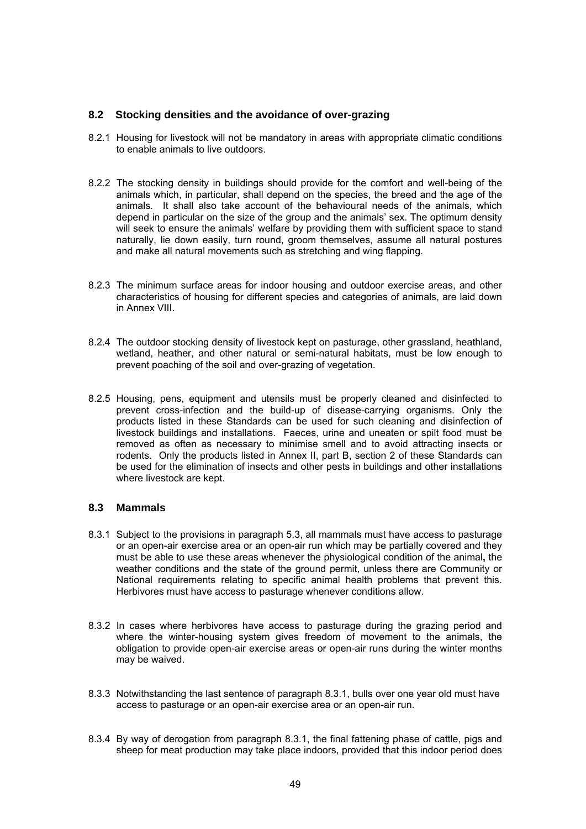### **8.2 Stocking densities and the avoidance of over-grazing**

- 8.2.1 Housing for livestock will not be mandatory in areas with appropriate climatic conditions to enable animals to live outdoors.
- 8.2.2 The stocking density in buildings should provide for the comfort and well-being of the animals which, in particular, shall depend on the species, the breed and the age of the animals. It shall also take account of the behavioural needs of the animals, which depend in particular on the size of the group and the animals' sex. The optimum density will seek to ensure the animals' welfare by providing them with sufficient space to stand naturally, lie down easily, turn round, groom themselves, assume all natural postures and make all natural movements such as stretching and wing flapping.
- 8.2.3 The minimum surface areas for indoor housing and outdoor exercise areas, and other characteristics of housing for different species and categories of animals, are laid down in Annex VIII.
- 8.2.4 The outdoor stocking density of livestock kept on pasturage, other grassland, heathland, wetland, heather, and other natural or semi-natural habitats, must be low enough to prevent poaching of the soil and over-grazing of vegetation.
- 8.2.5 Housing, pens, equipment and utensils must be properly cleaned and disinfected to prevent cross-infection and the build-up of disease-carrying organisms. Only the products listed in these Standards can be used for such cleaning and disinfection of livestock buildings and installations. Faeces, urine and uneaten or spilt food must be removed as often as necessary to minimise smell and to avoid attracting insects or rodents. Only the products listed in Annex II, part B, section 2 of these Standards can be used for the elimination of insects and other pests in buildings and other installations where livestock are kept.

## **8.3 Mammals**

- 8.3.1 Subject to the provisions in paragraph 5.3, all mammals must have access to pasturage or an open-air exercise area or an open-air run which may be partially covered and they must be able to use these areas whenever the physiological condition of the animal**,** the weather conditions and the state of the ground permit, unless there are Community or National requirements relating to specific animal health problems that prevent this. Herbivores must have access to pasturage whenever conditions allow.
- 8.3.2 In cases where herbivores have access to pasturage during the grazing period and where the winter-housing system gives freedom of movement to the animals, the obligation to provide open-air exercise areas or open-air runs during the winter months may be waived.
- 8.3.3 Notwithstanding the last sentence of paragraph 8.3.1, bulls over one year old must have access to pasturage or an open-air exercise area or an open-air run.
- 8.3.4 By way of derogation from paragraph 8.3.1, the final fattening phase of cattle, pigs and sheep for meat production may take place indoors, provided that this indoor period does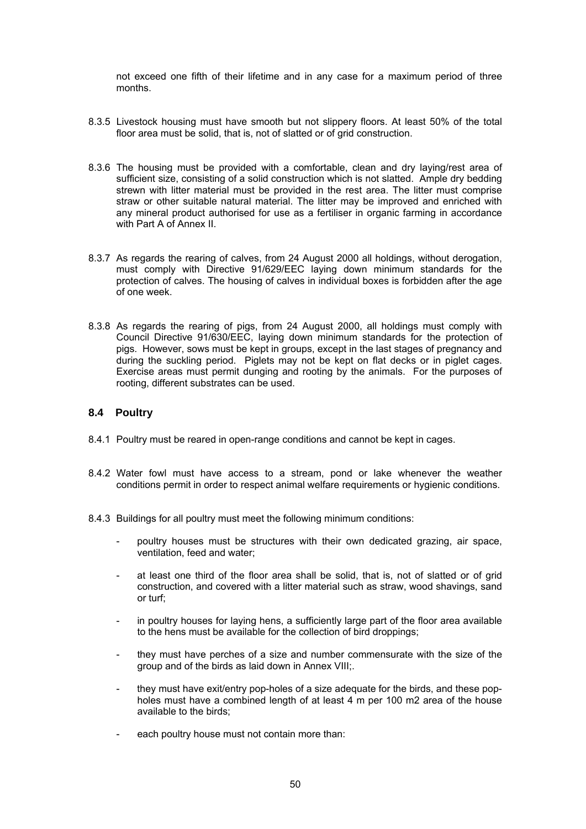not exceed one fifth of their lifetime and in any case for a maximum period of three months.

- 8.3.5 Livestock housing must have smooth but not slippery floors. At least 50% of the total floor area must be solid, that is, not of slatted or of grid construction.
- 8.3.6 The housing must be provided with a comfortable, clean and dry laying/rest area of sufficient size, consisting of a solid construction which is not slatted. Ample dry bedding strewn with litter material must be provided in the rest area. The litter must comprise straw or other suitable natural material. The litter may be improved and enriched with any mineral product authorised for use as a fertiliser in organic farming in accordance with Part A of Annex II.
- 8.3.7 As regards the rearing of calves, from 24 August 2000 all holdings, without derogation, must comply with Directive 91/629/EEC laying down minimum standards for the protection of calves. The housing of calves in individual boxes is forbidden after the age of one week.
- 8.3.8 As regards the rearing of pigs, from 24 August 2000, all holdings must comply with Council Directive 91/630/EEC, laying down minimum standards for the protection of pigs. However, sows must be kept in groups, except in the last stages of pregnancy and during the suckling period. Piglets may not be kept on flat decks or in piglet cages. Exercise areas must permit dunging and rooting by the animals. For the purposes of rooting, different substrates can be used.

## **8.4 Poultry**

- 8.4.1 Poultry must be reared in open-range conditions and cannot be kept in cages.
- 8.4.2 Water fowl must have access to a stream, pond or lake whenever the weather conditions permit in order to respect animal welfare requirements or hygienic conditions.
- 8.4.3 Buildings for all poultry must meet the following minimum conditions:
	- poultry houses must be structures with their own dedicated grazing, air space, ventilation, feed and water;
	- at least one third of the floor area shall be solid, that is, not of slatted or of grid construction, and covered with a litter material such as straw, wood shavings, sand or turf;
	- in poultry houses for laying hens, a sufficiently large part of the floor area available to the hens must be available for the collection of bird droppings;
	- they must have perches of a size and number commensurate with the size of the group and of the birds as laid down in Annex VIII;.
	- they must have exit/entry pop-holes of a size adequate for the birds, and these popholes must have a combined length of at least 4 m per 100 m2 area of the house available to the birds;
	- each poultry house must not contain more than: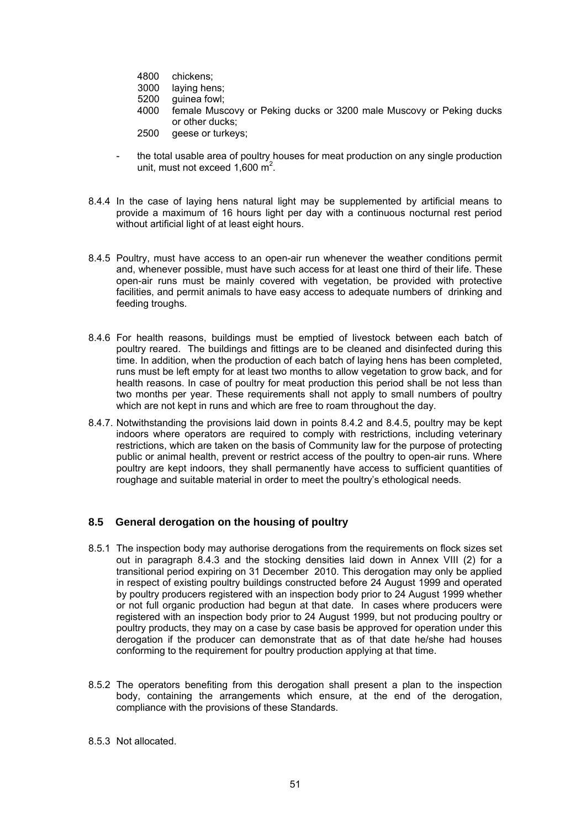- 4800 chickens;
- 3000 laying hens;
- 5200 guinea fowl;
- 4000 female Muscovy or Peking ducks or 3200 male Muscovy or Peking ducks or other ducks;
- 2500 geese or turkeys:
- the total usable area of poultry houses for meat production on any single production unit, must not exceed  $1,600 \text{ m}^2$ .
- 8.4.4 In the case of laying hens natural light may be supplemented by artificial means to provide a maximum of 16 hours light per day with a continuous nocturnal rest period without artificial light of at least eight hours.
- 8.4.5 Poultry, must have access to an open-air run whenever the weather conditions permit and, whenever possible, must have such access for at least one third of their life. These open-air runs must be mainly covered with vegetation, be provided with protective facilities, and permit animals to have easy access to adequate numbers of drinking and feeding troughs.
- 8.4.6 For health reasons, buildings must be emptied of livestock between each batch of poultry reared. The buildings and fittings are to be cleaned and disinfected during this time. In addition, when the production of each batch of laying hens has been completed, runs must be left empty for at least two months to allow vegetation to grow back, and for health reasons. In case of poultry for meat production this period shall be not less than two months per year. These requirements shall not apply to small numbers of poultry which are not kept in runs and which are free to roam throughout the day.
- 8.4.7. Notwithstanding the provisions laid down in points 8.4.2 and 8.4.5, poultry may be kept indoors where operators are required to comply with restrictions, including veterinary restrictions, which are taken on the basis of Community law for the purpose of protecting public or animal health, prevent or restrict access of the poultry to open-air runs. Where poultry are kept indoors, they shall permanently have access to sufficient quantities of roughage and suitable material in order to meet the poultry's ethological needs.

## **8.5 General derogation on the housing of poultry**

- 8.5.1 The inspection body may authorise derogations from the requirements on flock sizes set out in paragraph 8.4.3 and the stocking densities laid down in Annex VIII (2) for a transitional period expiring on 31 December 2010. This derogation may only be applied in respect of existing poultry buildings constructed before 24 August 1999 and operated by poultry producers registered with an inspection body prior to 24 August 1999 whether or not full organic production had begun at that date. In cases where producers were registered with an inspection body prior to 24 August 1999, but not producing poultry or poultry products, they may on a case by case basis be approved for operation under this derogation if the producer can demonstrate that as of that date he/she had houses conforming to the requirement for poultry production applying at that time.
- 8.5.2 The operators benefiting from this derogation shall present a plan to the inspection body, containing the arrangements which ensure, at the end of the derogation, compliance with the provisions of these Standards.
- 8.5.3 Not allocated.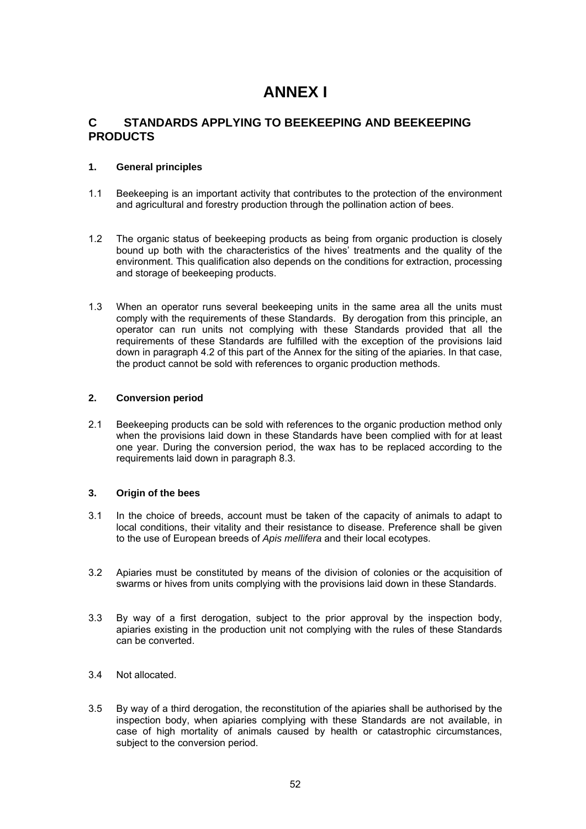# **ANNEX I**

## **C STANDARDS APPLYING TO BEEKEEPING AND BEEKEEPING PRODUCTS**

### **1. General principles**

- 1.1 Beekeeping is an important activity that contributes to the protection of the environment and agricultural and forestry production through the pollination action of bees.
- 1.2 The organic status of beekeeping products as being from organic production is closely bound up both with the characteristics of the hives' treatments and the quality of the environment. This qualification also depends on the conditions for extraction, processing and storage of beekeeping products.
- 1.3 When an operator runs several beekeeping units in the same area all the units must comply with the requirements of these Standards. By derogation from this principle, an operator can run units not complying with these Standards provided that all the requirements of these Standards are fulfilled with the exception of the provisions laid down in paragraph 4.2 of this part of the Annex for the siting of the apiaries. In that case, the product cannot be sold with references to organic production methods.

#### **2. Conversion period**

2.1 Beekeeping products can be sold with references to the organic production method only when the provisions laid down in these Standards have been complied with for at least one year. During the conversion period, the wax has to be replaced according to the requirements laid down in paragraph 8.3.

### **3. Origin of the bees**

- 3.1 In the choice of breeds, account must be taken of the capacity of animals to adapt to local conditions, their vitality and their resistance to disease. Preference shall be given to the use of European breeds of *Apis mellifera* and their local ecotypes.
- 3.2 Apiaries must be constituted by means of the division of colonies or the acquisition of swarms or hives from units complying with the provisions laid down in these Standards.
- 3.3 By way of a first derogation, subject to the prior approval by the inspection body, apiaries existing in the production unit not complying with the rules of these Standards can be converted.
- 3.4 Not allocated.
- 3.5 By way of a third derogation, the reconstitution of the apiaries shall be authorised by the inspection body, when apiaries complying with these Standards are not available, in case of high mortality of animals caused by health or catastrophic circumstances, subject to the conversion period.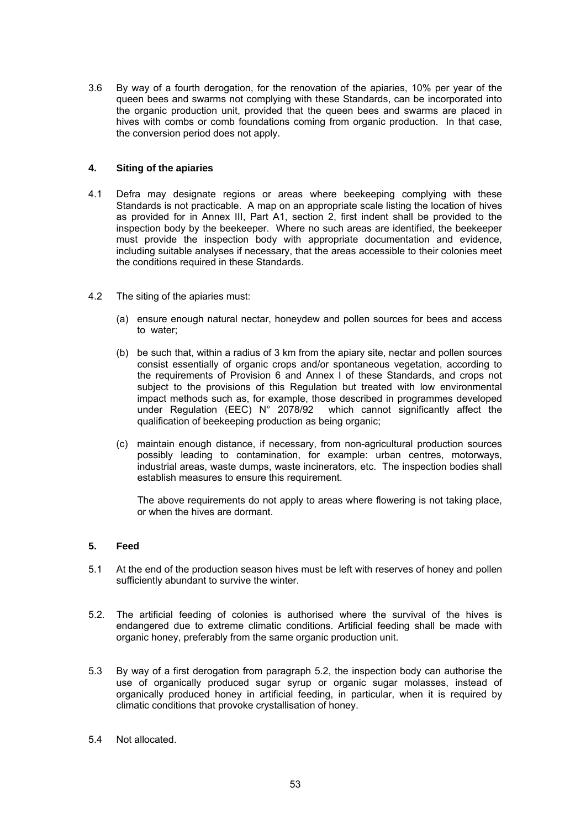3.6 By way of a fourth derogation, for the renovation of the apiaries, 10% per year of the queen bees and swarms not complying with these Standards, can be incorporated into the organic production unit, provided that the queen bees and swarms are placed in hives with combs or comb foundations coming from organic production. In that case, the conversion period does not apply.

### **4. Siting of the apiaries**

- 4.1 Defra may designate regions or areas where beekeeping complying with these Standards is not practicable. A map on an appropriate scale listing the location of hives as provided for in Annex III, Part A1, section 2, first indent shall be provided to the inspection body by the beekeeper. Where no such areas are identified, the beekeeper must provide the inspection body with appropriate documentation and evidence, including suitable analyses if necessary, that the areas accessible to their colonies meet the conditions required in these Standards.
- 4.2 The siting of the apiaries must:
	- (a) ensure enough natural nectar, honeydew and pollen sources for bees and access to water;
	- (b) be such that, within a radius of 3 km from the apiary site, nectar and pollen sources consist essentially of organic crops and/or spontaneous vegetation, according to the requirements of Provision 6 and Annex I of these Standards, and crops not subject to the provisions of this Regulation but treated with low environmental impact methods such as, for example, those described in programmes developed under Regulation (EEC) N° 2078/92 which cannot significantly affect the qualification of beekeeping production as being organic;
	- (c) maintain enough distance, if necessary, from non-agricultural production sources possibly leading to contamination, for example: urban centres, motorways, industrial areas, waste dumps, waste incinerators, etc. The inspection bodies shall establish measures to ensure this requirement.

The above requirements do not apply to areas where flowering is not taking place, or when the hives are dormant.

#### **5. Feed**

- 5.1 At the end of the production season hives must be left with reserves of honey and pollen sufficiently abundant to survive the winter.
- 5.2. The artificial feeding of colonies is authorised where the survival of the hives is endangered due to extreme climatic conditions. Artificial feeding shall be made with organic honey, preferably from the same organic production unit.
- 5.3 By way of a first derogation from paragraph 5.2, the inspection body can authorise the use of organically produced sugar syrup or organic sugar molasses, instead of organically produced honey in artificial feeding, in particular, when it is required by climatic conditions that provoke crystallisation of honey.
- 5.4 Not allocated.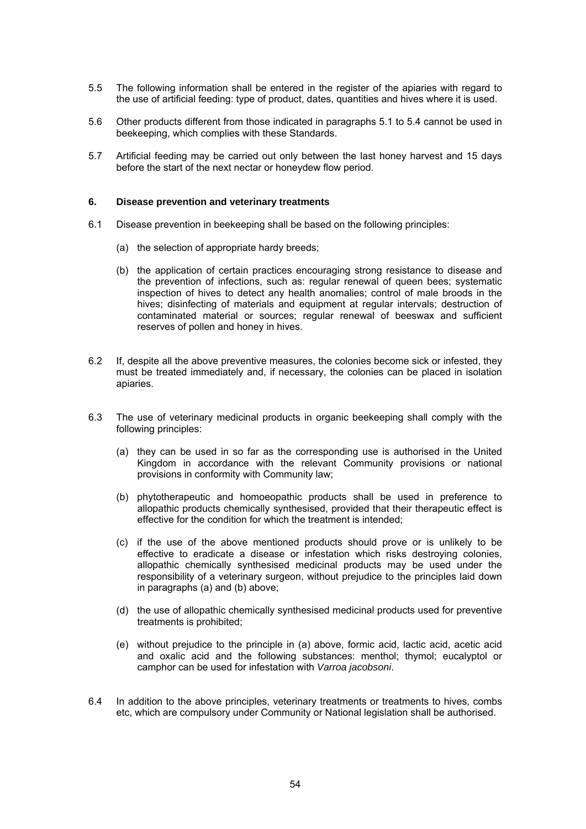- 5.5 The following information shall be entered in the register of the apiaries with regard to the use of artificial feeding: type of product, dates, quantities and hives where it is used.
- 5.6 Other products different from those indicated in paragraphs 5.1 to 5.4 cannot be used in beekeeping, which complies with these Standards.
- 5.7 Artificial feeding may be carried out only between the last honey harvest and 15 days before the start of the next nectar or honeydew flow period.

#### **6. Disease prevention and veterinary treatments**

- 6.1 Disease prevention in beekeeping shall be based on the following principles:
	- (a) the selection of appropriate hardy breeds;
	- (b) the application of certain practices encouraging strong resistance to disease and the prevention of infections, such as: regular renewal of queen bees; systematic inspection of hives to detect any health anomalies; control of male broods in the hives; disinfecting of materials and equipment at regular intervals; destruction of contaminated material or sources; regular renewal of beeswax and sufficient reserves of pollen and honey in hives.
- 6.2 If, despite all the above preventive measures, the colonies become sick or infested, they must be treated immediately and, if necessary, the colonies can be placed in isolation apiaries.
- 6.3 The use of veterinary medicinal products in organic beekeeping shall comply with the following principles:
	- (a) they can be used in so far as the corresponding use is authorised in the United Kingdom in accordance with the relevant Community provisions or national provisions in conformity with Community law;
	- (b) phytotherapeutic and homoeopathic products shall be used in preference to allopathic products chemically synthesised, provided that their therapeutic effect is effective for the condition for which the treatment is intended;
	- (c) if the use of the above mentioned products should prove or is unlikely to be effective to eradicate a disease or infestation which risks destroying colonies, allopathic chemically synthesised medicinal products may be used under the responsibility of a veterinary surgeon, without prejudice to the principles laid down in paragraphs (a) and (b) above;
	- (d) the use of allopathic chemically synthesised medicinal products used for preventive treatments is prohibited;
	- (e) without prejudice to the principle in (a) above, formic acid, lactic acid, acetic acid and oxalic acid and the following substances: menthol; thymol; eucalyptol or camphor can be used for infestation with *Varroa jacobsoni*.
- 6.4 In addition to the above principles, veterinary treatments or treatments to hives, combs etc, which are compulsory under Community or National legislation shall be authorised.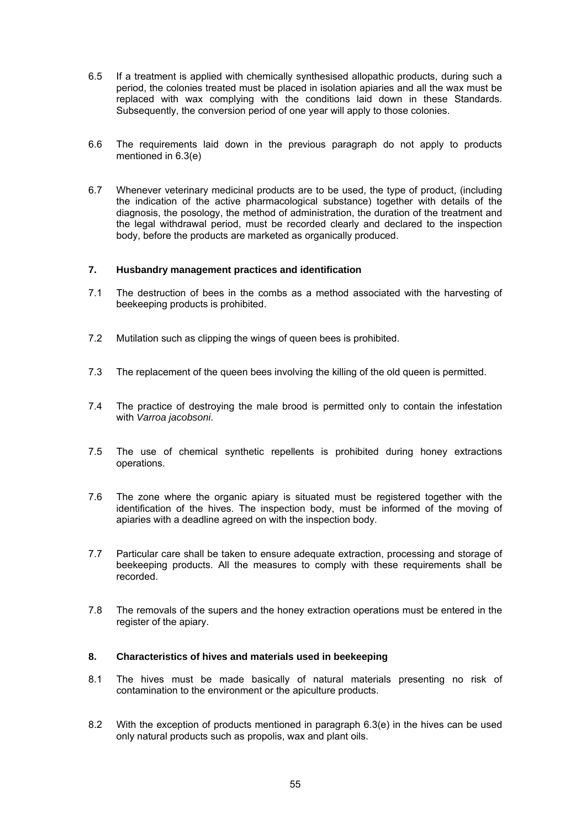- 6.5 If a treatment is applied with chemically synthesised allopathic products, during such a period, the colonies treated must be placed in isolation apiaries and all the wax must be replaced with wax complying with the conditions laid down in these Standards. Subsequently, the conversion period of one year will apply to those colonies.
- 6.6 The requirements laid down in the previous paragraph do not apply to products mentioned in 6.3(e)
- 6.7 Whenever veterinary medicinal products are to be used, the type of product, (including the indication of the active pharmacological substance) together with details of the diagnosis, the posology, the method of administration, the duration of the treatment and the legal withdrawal period, must be recorded clearly and declared to the inspection body, before the products are marketed as organically produced.

#### **7. Husbandry management practices and identification**

- 7.1 The destruction of bees in the combs as a method associated with the harvesting of beekeeping products is prohibited.
- 7.2 Mutilation such as clipping the wings of queen bees is prohibited.
- 7.3 The replacement of the queen bees involving the killing of the old queen is permitted.
- 7.4 The practice of destroying the male brood is permitted only to contain the infestation with *Varroa jacobsoni*.
- 7.5 The use of chemical synthetic repellents is prohibited during honey extractions operations.
- 7.6 The zone where the organic apiary is situated must be registered together with the identification of the hives. The inspection body, must be informed of the moving of apiaries with a deadline agreed on with the inspection body.
- 7.7 Particular care shall be taken to ensure adequate extraction, processing and storage of beekeeping products. All the measures to comply with these requirements shall be recorded.
- 7.8 The removals of the supers and the honey extraction operations must be entered in the register of the apiary.

#### **8. Characteristics of hives and materials used in beekeeping**

- 8.1 The hives must be made basically of natural materials presenting no risk of contamination to the environment or the apiculture products.
- 8.2 With the exception of products mentioned in paragraph 6.3(e) in the hives can be used only natural products such as propolis, wax and plant oils.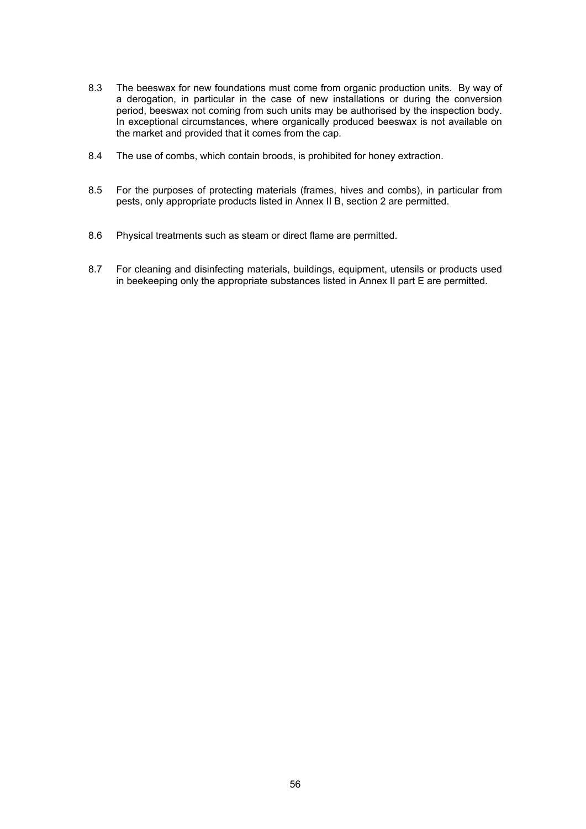- 8.3 The beeswax for new foundations must come from organic production units. By way of a derogation, in particular in the case of new installations or during the conversion period, beeswax not coming from such units may be authorised by the inspection body. In exceptional circumstances, where organically produced beeswax is not available on the market and provided that it comes from the cap.
- 8.4 The use of combs, which contain broods, is prohibited for honey extraction.
- 8.5 For the purposes of protecting materials (frames, hives and combs), in particular from pests, only appropriate products listed in Annex II B, section 2 are permitted.
- 8.6 Physical treatments such as steam or direct flame are permitted.
- 8.7 For cleaning and disinfecting materials, buildings, equipment, utensils or products used in beekeeping only the appropriate substances listed in Annex II part E are permitted.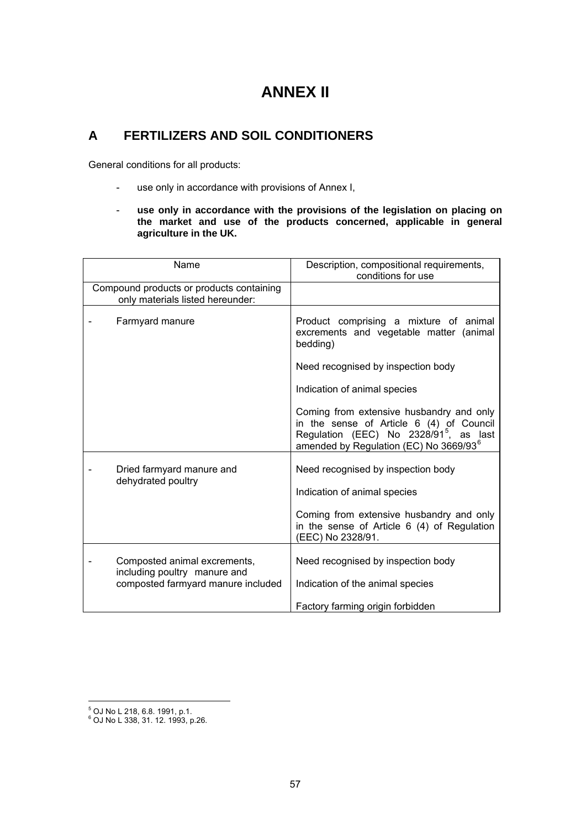# **ANNEX II**

# **A FERTILIZERS AND SOIL CONDITIONERS**

General conditions for all products:

- use only in accordance with provisions of Annex I,
- **use only in accordance with the provisions of the legislation on placing on the market and use of the products concerned, applicable in general agriculture in the UK.**

| Name                                                                         | Description, compositional requirements,<br>conditions for use                                                                                                                                   |
|------------------------------------------------------------------------------|--------------------------------------------------------------------------------------------------------------------------------------------------------------------------------------------------|
| Compound products or products containing<br>only materials listed hereunder: |                                                                                                                                                                                                  |
| Farmyard manure                                                              | Product comprising a mixture of animal<br>excrements and vegetable matter (animal<br>bedding)                                                                                                    |
|                                                                              | Need recognised by inspection body                                                                                                                                                               |
|                                                                              | Indication of animal species                                                                                                                                                                     |
|                                                                              | Coming from extensive husbandry and only<br>in the sense of Article 6 (4) of Council<br>Regulation (EEC) No 2328/91 <sup>5</sup> , as last<br>amended by Regulation (EC) No 3669/93 <sup>6</sup> |
| Dried farmyard manure and<br>dehydrated poultry                              | Need recognised by inspection body<br>Indication of animal species<br>Coming from extensive husbandry and only<br>in the sense of Article $6(4)$ of Regulation                                   |
|                                                                              | (EEC) No 2328/91.                                                                                                                                                                                |
| Composted animal excrements,<br>including poultry manure and                 | Need recognised by inspection body                                                                                                                                                               |
| composted farmyard manure included                                           | Indication of the animal species                                                                                                                                                                 |
|                                                                              | Factory farming origin forbidden                                                                                                                                                                 |

 5 OJ No L 218, 6.8. 1991, p.1. 6 OJ No L 338, 31. 12. 1993, p.26.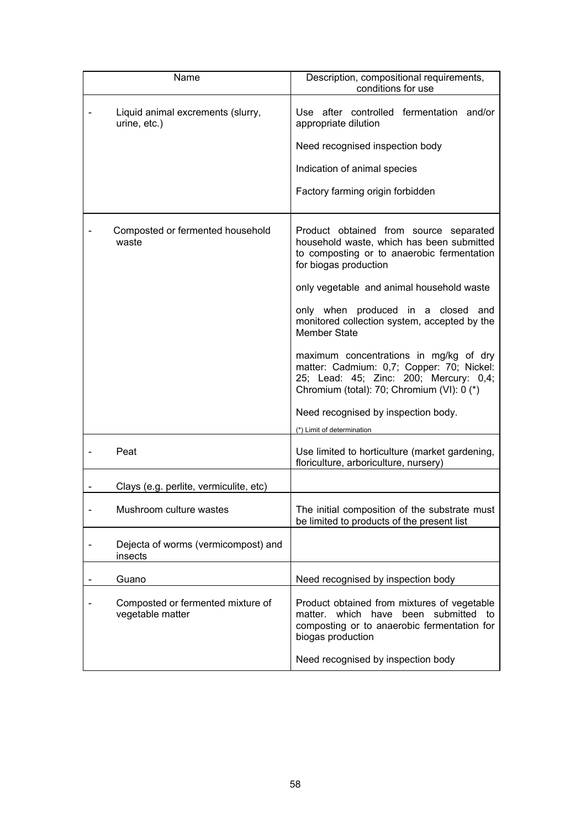| Name                                                  | Description, compositional requirements,<br>conditions for use                                                                                                                                                                                                                                                                                                                                                                                                                                                                                                           |
|-------------------------------------------------------|--------------------------------------------------------------------------------------------------------------------------------------------------------------------------------------------------------------------------------------------------------------------------------------------------------------------------------------------------------------------------------------------------------------------------------------------------------------------------------------------------------------------------------------------------------------------------|
| Liquid animal excrements (slurry,<br>urine, etc.)     | Use after controlled fermentation and/or<br>appropriate dilution<br>Need recognised inspection body<br>Indication of animal species<br>Factory farming origin forbidden                                                                                                                                                                                                                                                                                                                                                                                                  |
| Composted or fermented household<br>waste             | Product obtained from source separated<br>household waste, which has been submitted<br>to composting or to anaerobic fermentation<br>for biogas production<br>only vegetable and animal household waste<br>only when produced in a closed and<br>monitored collection system, accepted by the<br><b>Member State</b><br>maximum concentrations in mg/kg of dry<br>matter: Cadmium: 0,7; Copper: 70; Nickel:<br>25; Lead: 45; Zinc: 200; Mercury: 0,4;<br>Chromium (total): 70; Chromium (VI): 0 (*)<br>Need recognised by inspection body.<br>(*) Limit of determination |
| Peat                                                  | Use limited to horticulture (market gardening,<br>floriculture, arboriculture, nursery)                                                                                                                                                                                                                                                                                                                                                                                                                                                                                  |
| Clays (e.g. perlite, vermiculite, etc)                |                                                                                                                                                                                                                                                                                                                                                                                                                                                                                                                                                                          |
| Mushroom culture wastes                               | The initial composition of the substrate must<br>be limited to products of the present list                                                                                                                                                                                                                                                                                                                                                                                                                                                                              |
| Dejecta of worms (vermicompost) and<br>insects        |                                                                                                                                                                                                                                                                                                                                                                                                                                                                                                                                                                          |
| Guano                                                 | Need recognised by inspection body                                                                                                                                                                                                                                                                                                                                                                                                                                                                                                                                       |
| Composted or fermented mixture of<br>vegetable matter | Product obtained from mixtures of vegetable<br>matter. which have<br>been submitted to<br>composting or to anaerobic fermentation for<br>biogas production<br>Need recognised by inspection body                                                                                                                                                                                                                                                                                                                                                                         |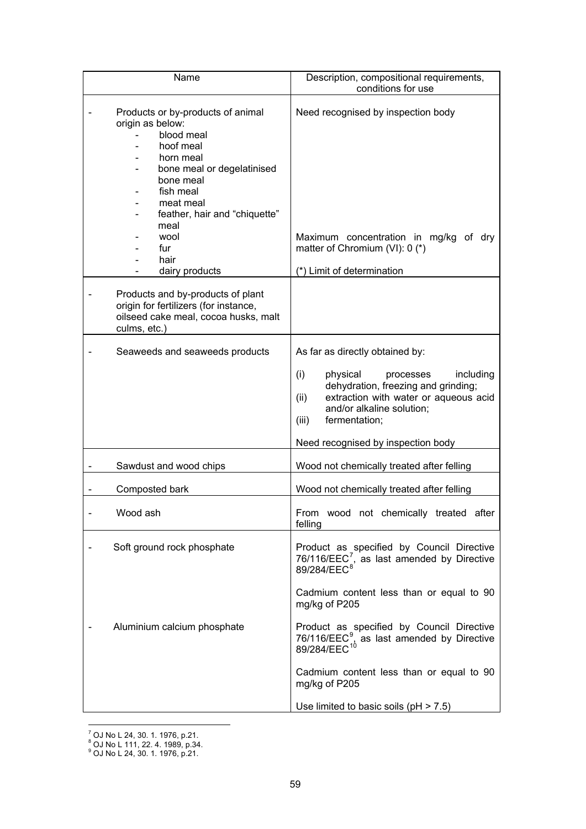| Name                                                                                                                                                                                                                                                 | Description, compositional requirements,<br>conditions for use                                                                                                                                                                                                                                                                                                                        |
|------------------------------------------------------------------------------------------------------------------------------------------------------------------------------------------------------------------------------------------------------|---------------------------------------------------------------------------------------------------------------------------------------------------------------------------------------------------------------------------------------------------------------------------------------------------------------------------------------------------------------------------------------|
| Products or by-products of animal<br>origin as below:<br>blood meal<br>hoof meal<br>horn meal<br>bone meal or degelatinised<br>bone meal<br>fish meal<br>meat meal<br>feather, hair and "chiquette"<br>meal<br>wool<br>fur<br>hair<br>dairy products | Need recognised by inspection body<br>Maximum concentration in mg/kg of dry<br>matter of Chromium (VI): 0 (*)<br>(*) Limit of determination                                                                                                                                                                                                                                           |
| Products and by-products of plant<br>origin for fertilizers (for instance,<br>oilseed cake meal, cocoa husks, malt<br>culms, etc.)                                                                                                                   |                                                                                                                                                                                                                                                                                                                                                                                       |
| Seaweeds and seaweeds products                                                                                                                                                                                                                       | As far as directly obtained by:<br>(i)<br>physical<br>processes<br>including<br>dehydration, freezing and grinding;<br>extraction with water or aqueous acid<br>(ii)<br>and/or alkaline solution;<br>fermentation;<br>(iii)<br>Need recognised by inspection body                                                                                                                     |
| Sawdust and wood chips                                                                                                                                                                                                                               | Wood not chemically treated after felling                                                                                                                                                                                                                                                                                                                                             |
| Composted bark                                                                                                                                                                                                                                       | Wood not chemically treated after felling                                                                                                                                                                                                                                                                                                                                             |
| Wood ash                                                                                                                                                                                                                                             | From wood not chemically treated after<br>felling                                                                                                                                                                                                                                                                                                                                     |
| Soft ground rock phosphate<br>Aluminium calcium phosphate                                                                                                                                                                                            | Product as specified by Council Directive 76/116/EEC <sup>7</sup> , as last amended by Directive 89/284/EEC <sup>8</sup><br>Cadmium content less than or equal to 90<br>mg/kg of P205<br>Product as specified by Council Directive<br>76/116/EEC <sup>9</sup> , as last amended by Directive<br>89/284/EEC <sup>10</sup><br>Cadmium content less than or equal to 90<br>mg/kg of P205 |
|                                                                                                                                                                                                                                                      | Use limited to basic soils $(pH > 7.5)$                                                                                                                                                                                                                                                                                                                                               |

<sup>&</sup>lt;sup>7</sup> OJ No L 24, 30. 1. 1976, p.21.<br><sup>8</sup> OJ No L 111, 22. 4. 1989, p.34.<br><sup>9</sup> OJ No L 24, 30. 1. 1976, p.21.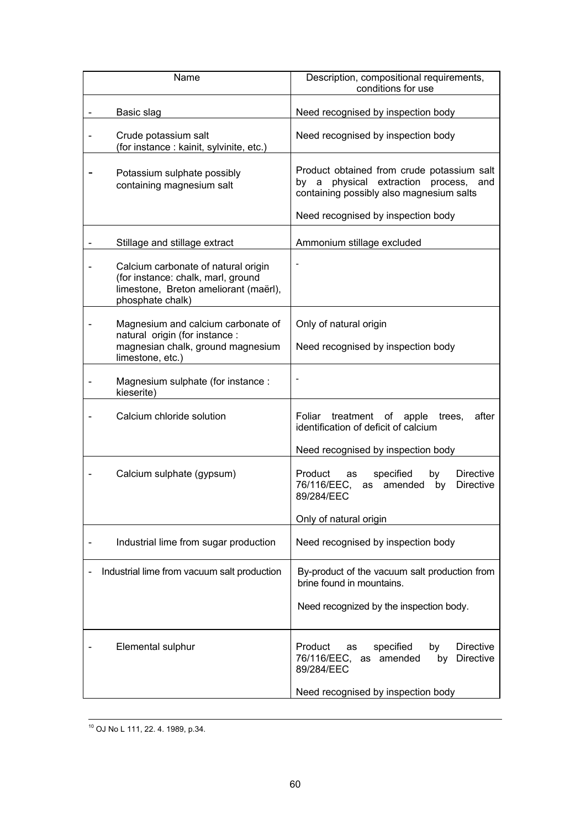| Name                                                                                                                                                                    | Description, compositional requirements,<br>conditions for use                                                                                                        |
|-------------------------------------------------------------------------------------------------------------------------------------------------------------------------|-----------------------------------------------------------------------------------------------------------------------------------------------------------------------|
| Basic slag                                                                                                                                                              | Need recognised by inspection body                                                                                                                                    |
| Crude potassium salt<br>(for instance : kainit, sylvinite, etc.)                                                                                                        | Need recognised by inspection body                                                                                                                                    |
| Potassium sulphate possibly<br>containing magnesium salt                                                                                                                | Product obtained from crude potassium salt<br>by a physical extraction process, and<br>containing possibly also magnesium salts<br>Need recognised by inspection body |
|                                                                                                                                                                         | Ammonium stillage excluded                                                                                                                                            |
| Stillage and stillage extract<br>Calcium carbonate of natural origin<br>(for instance: chalk, marl, ground<br>limestone, Breton ameliorant (maërl),<br>phosphate chalk) |                                                                                                                                                                       |
| Magnesium and calcium carbonate of<br>natural origin (for instance :<br>magnesian chalk, ground magnesium<br>limestone, etc.)                                           | Only of natural origin<br>Need recognised by inspection body                                                                                                          |
| Magnesium sulphate (for instance :<br>kieserite)                                                                                                                        |                                                                                                                                                                       |
| Calcium chloride solution                                                                                                                                               | Foliar<br>treatment of apple<br>after<br>trees,<br>identification of deficit of calcium                                                                               |
|                                                                                                                                                                         | Need recognised by inspection body                                                                                                                                    |
| Calcium sulphate (gypsum)                                                                                                                                               | Product<br>as<br>specified<br>by<br><b>Directive</b><br>76/116/EEC,<br>as amended<br><b>Directive</b><br>by<br>89/284/EEC                                             |
|                                                                                                                                                                         | Only of natural origin                                                                                                                                                |
| Industrial lime from sugar production                                                                                                                                   | Need recognised by inspection body                                                                                                                                    |
| Industrial lime from vacuum salt production                                                                                                                             | By-product of the vacuum salt production from<br>brine found in mountains.                                                                                            |
|                                                                                                                                                                         | Need recognized by the inspection body.                                                                                                                               |
| Elemental sulphur                                                                                                                                                       | Product<br>specified<br>by<br><b>Directive</b><br>as<br>76/116/EEC, as amended<br>by<br><b>Directive</b><br>89/284/EEC                                                |
|                                                                                                                                                                         | Need recognised by inspection body                                                                                                                                    |

10 OJ No L 111, 22. 4. 1989, p.34.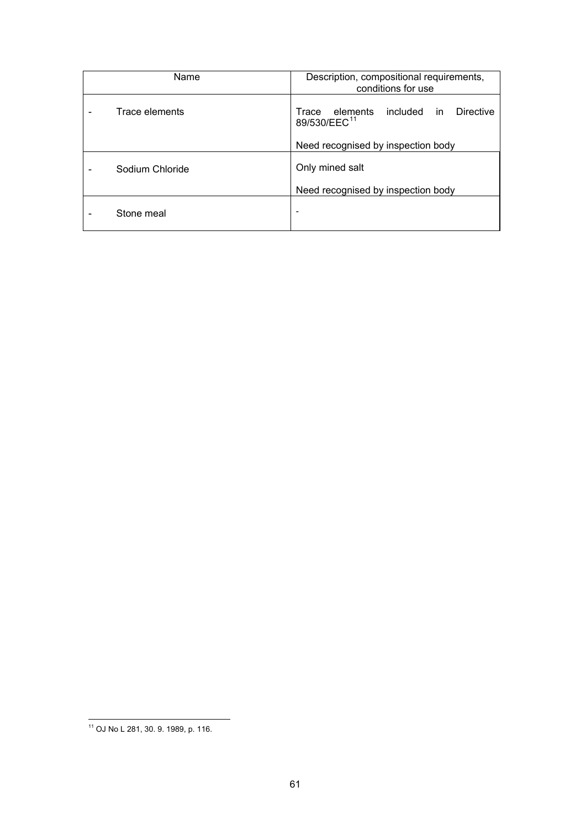| Name            | Description, compositional requirements,<br>conditions for use                |
|-----------------|-------------------------------------------------------------------------------|
| Trace elements  | Trace elements<br><b>Directive</b><br>included in<br>89/530/EEC <sup>11</sup> |
|                 | Need recognised by inspection body                                            |
| Sodium Chloride | Only mined salt                                                               |
|                 | Need recognised by inspection body                                            |
| Stone meal      | -                                                                             |

 $\overline{a}$ 11 OJ No L 281, 30. 9. 1989, p. 116.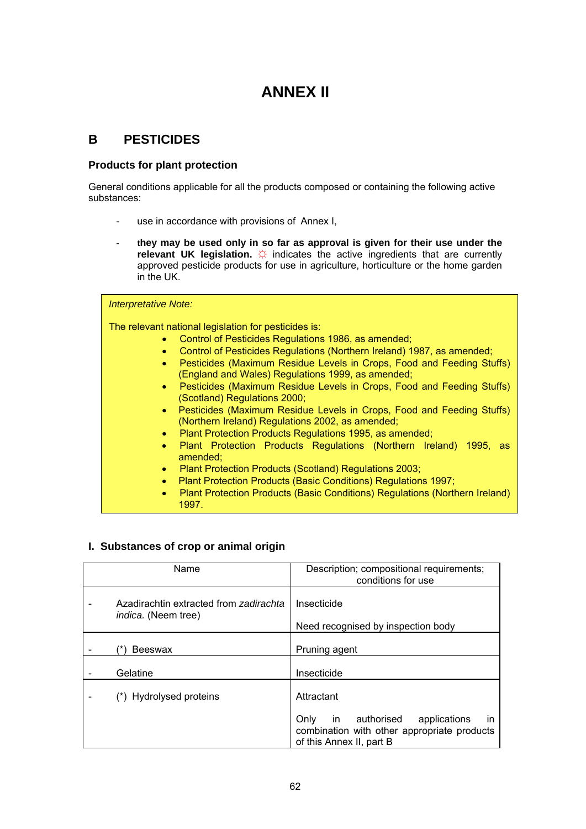# **ANNEX II**

# **B PESTICIDES**

## **Products for plant protection**

General conditions applicable for all the products composed or containing the following active substances:

- use in accordance with provisions of Annex I,
- **they may be used only in so far as approval is given for their use under the relevant UK legislation.**  $\hat{\varphi}$  indicates the active ingredients that are currently approved pesticide products for use in agriculture, horticulture or the home garden in the UK.

| <b>Interpretative Note:</b>                                                                                                             |
|-----------------------------------------------------------------------------------------------------------------------------------------|
| The relevant national legislation for pesticides is:                                                                                    |
| Control of Pesticides Regulations 1986, as amended;<br>$\bullet$                                                                        |
| Control of Pesticides Regulations (Northern Ireland) 1987, as amended;<br>$\bullet$                                                     |
| Pesticides (Maximum Residue Levels in Crops, Food and Feeding Stuffs)<br>$\bullet$<br>(England and Wales) Regulations 1999, as amended; |
| Pesticides (Maximum Residue Levels in Crops, Food and Feeding Stuffs)<br>$\bullet$<br>(Scotland) Regulations 2000;                      |
| Pesticides (Maximum Residue Levels in Crops, Food and Feeding Stuffs)<br>$\bullet$<br>(Northern Ireland) Regulations 2002, as amended;  |
| Plant Protection Products Regulations 1995, as amended;<br>$\bullet$                                                                    |
| Plant Protection Products Regulations (Northern Ireland) 1995, as<br>amended;                                                           |
| Plant Protection Products (Scotland) Regulations 2003;<br>$\bullet$                                                                     |
| Plant Protection Products (Basic Conditions) Regulations 1997;                                                                          |
| Plant Protection Products (Basic Conditions) Regulations (Northern Ireland)<br>$\bullet$<br>1997.                                       |

## **I. Substances of crop or animal origin**

| Name                                                                 | Description; compositional requirements;<br>conditions for use                                                                   |
|----------------------------------------------------------------------|----------------------------------------------------------------------------------------------------------------------------------|
| Azadirachtin extracted from zadirachta<br><i>indica.</i> (Neem tree) | Insecticide<br>Need recognised by inspection body                                                                                |
| <b>Beeswax</b>                                                       | Pruning agent                                                                                                                    |
| Gelatine                                                             | Insecticide                                                                                                                      |
| (*) Hydrolysed proteins                                              | Attractant                                                                                                                       |
|                                                                      | in authorised<br>applications<br>Only<br>$\mathsf{I}$<br>combination with other appropriate products<br>of this Annex II, part B |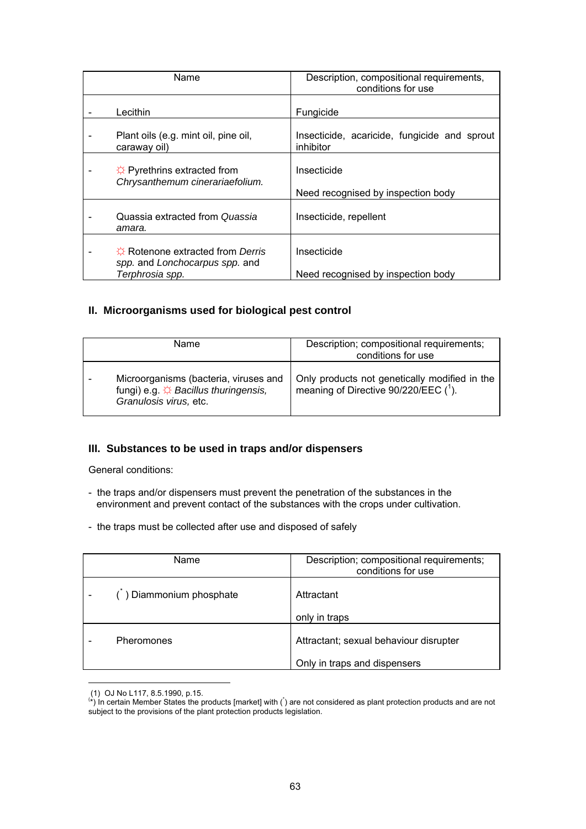| Name                                                                                          | Description, compositional requirements,<br>conditions for use |
|-----------------------------------------------------------------------------------------------|----------------------------------------------------------------|
| Lecithin                                                                                      | Fungicide                                                      |
| Plant oils (e.g. mint oil, pine oil,<br>caraway oil)                                          | Insecticide, acaricide, fungicide and sprout<br>inhibitor      |
| $\hat{\varphi}$ Pyrethrins extracted from<br>Chrysanthemum cinerariaefolium.                  | Insecticide<br>Need recognised by inspection body              |
| Quassia extracted from Quassia<br>amara.                                                      | Insecticide, repellent                                         |
| $\hat{P}$ Rotenone extracted from Derris<br>spp. and Lonchocarpus spp. and<br>Terphrosia spp. | Insecticide<br>Need recognised by inspection body              |

## **II. Microorganisms used for biological pest control**

| <b>Name</b>                                                                                                                              | Description; compositional requirements;<br>conditions for use                        |
|------------------------------------------------------------------------------------------------------------------------------------------|---------------------------------------------------------------------------------------|
| Microorganisms (bacteria, viruses and<br>fungi) e.g. $\overleftrightarrow{\mathcal{L}}$ Bacillus thuringensis,<br>Granulosis virus, etc. | Only products not genetically modified in the<br>meaning of Directive 90/220/EEC (1). |

### **III. Substances to be used in traps and/or dispensers**

General conditions:

- the traps and/or dispensers must prevent the penetration of the substances in the environment and prevent contact of the substances with the crops under cultivation.
- the traps must be collected after use and disposed of safely

| Name                   | Description; compositional requirements;<br>conditions for use |
|------------------------|----------------------------------------------------------------|
| ) Diammonium phosphate | Attractant                                                     |
|                        | only in traps                                                  |
| <b>Pheromones</b>      | Attractant; sexual behaviour disrupter                         |
|                        | Only in traps and dispensers                                   |

 $\overline{a}$ 

 <sup>(1)</sup> OJ No L117, 8.5.1990, p.15. ( \*) In certain Member States the products [market] with (\* ) are not considered as plant protection products and are not subject to the provisions of the plant protection products legislation.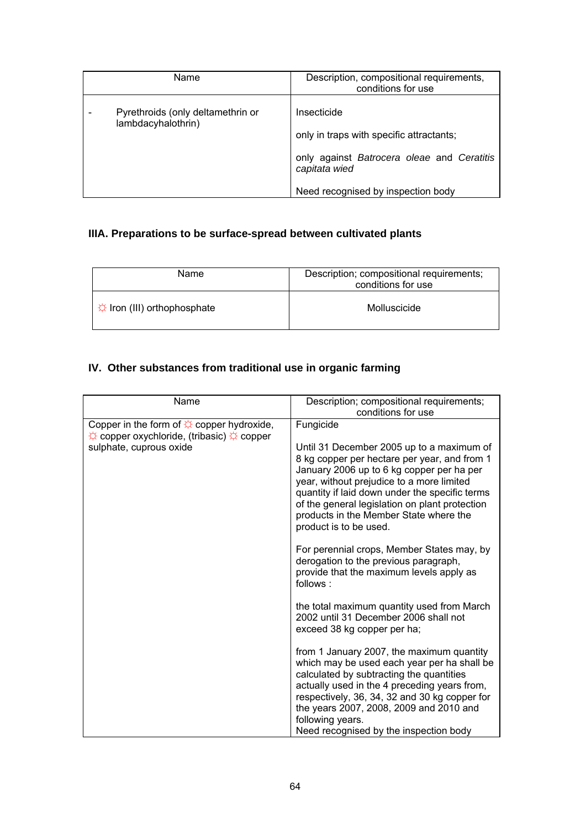| Name                                                    | Description, compositional requirements,                                                                                                                     |
|---------------------------------------------------------|--------------------------------------------------------------------------------------------------------------------------------------------------------------|
|                                                         | conditions for use                                                                                                                                           |
| Pyrethroids (only deltamethrin or<br>lambdacyhalothrin) | Insecticide<br>only in traps with specific attractants;<br>only against Batrocera oleae and Ceratitis<br>capitata wied<br>Need recognised by inspection body |

# **IIIA. Preparations to be surface-spread between cultivated plants**

| Name                             | Description; compositional requirements;<br>conditions for use |
|----------------------------------|----------------------------------------------------------------|
| $\div$ Iron (III) orthophosphate | Molluscicide                                                   |

# **IV. Other substances from traditional use in organic farming**

| Name                                                                                                                                                        | Description; compositional requirements;<br>conditions for use                                                                                                                                                                                                                                                                                                           |
|-------------------------------------------------------------------------------------------------------------------------------------------------------------|--------------------------------------------------------------------------------------------------------------------------------------------------------------------------------------------------------------------------------------------------------------------------------------------------------------------------------------------------------------------------|
| Copper in the form of $\hat{\varphi}$ copper hydroxide,<br>$\hat{\varphi}$ copper oxychloride, (tribasic) $\hat{\varphi}$ copper<br>sulphate, cuprous oxide | Fungicide<br>Until 31 December 2005 up to a maximum of<br>8 kg copper per hectare per year, and from 1<br>January 2006 up to 6 kg copper per ha per<br>year, without prejudice to a more limited<br>quantity if laid down under the specific terms<br>of the general legislation on plant protection<br>products in the Member State where the<br>product is to be used. |
|                                                                                                                                                             | For perennial crops, Member States may, by<br>derogation to the previous paragraph,<br>provide that the maximum levels apply as<br>follows:                                                                                                                                                                                                                              |
|                                                                                                                                                             | the total maximum quantity used from March<br>2002 until 31 December 2006 shall not<br>exceed 38 kg copper per ha;                                                                                                                                                                                                                                                       |
|                                                                                                                                                             | from 1 January 2007, the maximum quantity<br>which may be used each year per ha shall be<br>calculated by subtracting the quantities<br>actually used in the 4 preceding years from,<br>respectively, 36, 34, 32 and 30 kg copper for<br>the years 2007, 2008, 2009 and 2010 and<br>following years.<br>Need recognised by the inspection body                           |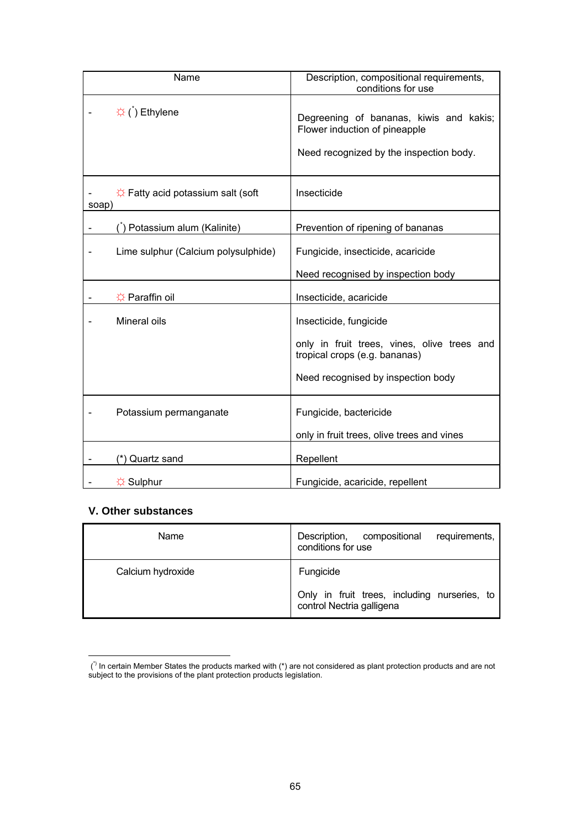| Name                                                            | Description, compositional requirements,<br>conditions for use               |
|-----------------------------------------------------------------|------------------------------------------------------------------------------|
| $\hat{\varphi}$ ( $\hat{\theta}$ ) Ethylene                     | Degreening of bananas, kiwis and kakis;<br>Flower induction of pineapple     |
|                                                                 | Need recognized by the inspection body.                                      |
| $\Diamond$ Fatty acid potassium salt (soft<br>soap)             | Insecticide                                                                  |
| ) Potassium alum (Kalinite)                                     | Prevention of ripening of bananas                                            |
| Lime sulphur (Calcium polysulphide)<br>$\overline{\phantom{a}}$ | Fungicide, insecticide, acaricide                                            |
|                                                                 | Need recognised by inspection body                                           |
| ☆ Paraffin oil                                                  | Insecticide, acaricide                                                       |
| Mineral oils                                                    | Insecticide, fungicide                                                       |
|                                                                 | only in fruit trees, vines, olive trees and<br>tropical crops (e.g. bananas) |
|                                                                 | Need recognised by inspection body                                           |
| Potassium permanganate                                          | Fungicide, bactericide                                                       |
|                                                                 | only in fruit trees, olive trees and vines                                   |
| (*) Quartz sand                                                 | Repellent                                                                    |
| ☆ Sulphur                                                       | Fungicide, acaricide, repellent                                              |

## **V. Other substances**

| Name              | Description,<br>compositional<br>requirements,  <br>conditions for use    |
|-------------------|---------------------------------------------------------------------------|
| Calcium hydroxide | Fungicide                                                                 |
|                   | Only in fruit trees, including nurseries, to<br>control Nectria galligena |

 $\overline{a}$  $(')$  In certain Member States the products marked with  $(*)$  are not considered as plant protection products and are not subject to the provisions of the plant protection products legislation.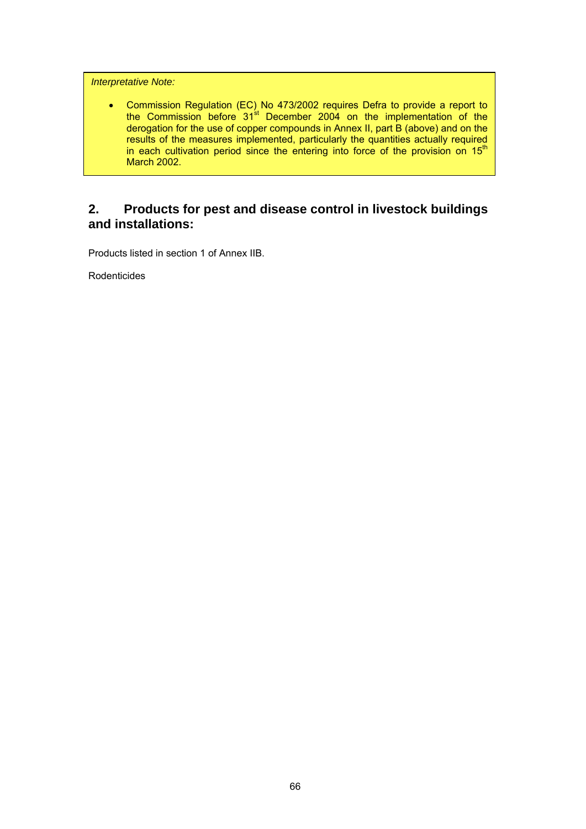*Interpretative Note:* 

• Commission Regulation (EC) No 473/2002 requires Defra to provide a report to the Commission before 31<sup>st</sup> December 2004 on the implementation of the derogation for the use of copper compounds in Annex II, part B (above) and on the results of the measures implemented, particularly the quantities actually required in each cultivation period since the entering into force of the provision on  $15<sup>th</sup>$ March 2002.

# **2. Products for pest and disease control in livestock buildings and installations:**

Products listed in section 1 of Annex IIB.

Rodenticides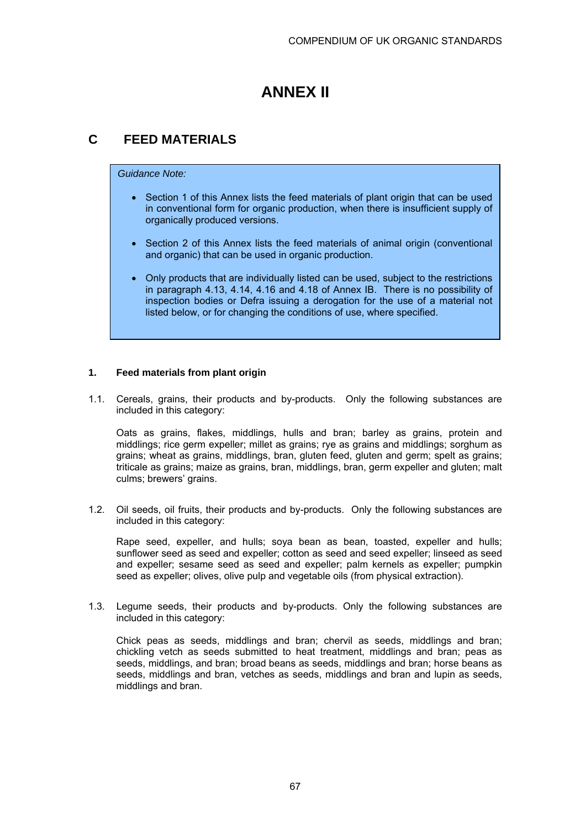# **ANNEX II**

# **C FEED MATERIALS**

### *Guidance Note:*

- Section 1 of this Annex lists the feed materials of plant origin that can be used in conventional form for organic production, when there is insufficient supply of organically produced versions.
- Section 2 of this Annex lists the feed materials of animal origin (conventional and organic) that can be used in organic production.
- Only products that are individually listed can be used, subject to the restrictions in paragraph 4.13, 4.14, 4.16 and 4.18 of Annex IB. There is no possibility of inspection bodies or Defra issuing a derogation for the use of a material not listed below, or for changing the conditions of use, where specified.

## **1. Feed materials from plant origin**

1.1. Cereals, grains, their products and by-products. Only the following substances are included in this category:

Oats as grains, flakes, middlings, hulls and bran; barley as grains, protein and middlings; rice germ expeller; millet as grains; rye as grains and middlings; sorghum as grains; wheat as grains, middlings, bran, gluten feed, gluten and germ; spelt as grains; triticale as grains; maize as grains, bran, middlings, bran, germ expeller and gluten; malt culms; brewers' grains.

1.2. Oil seeds, oil fruits, their products and by-products. Only the following substances are included in this category:

Rape seed, expeller, and hulls; soya bean as bean, toasted, expeller and hulls; sunflower seed as seed and expeller; cotton as seed and seed expeller; linseed as seed and expeller; sesame seed as seed and expeller; palm kernels as expeller; pumpkin seed as expeller; olives, olive pulp and vegetable oils (from physical extraction).

1.3. Legume seeds, their products and by-products. Only the following substances are included in this category:

 Chick peas as seeds, middlings and bran; chervil as seeds, middlings and bran; chickling vetch as seeds submitted to heat treatment, middlings and bran; peas as seeds, middlings, and bran; broad beans as seeds, middlings and bran; horse beans as seeds, middlings and bran, vetches as seeds, middlings and bran and lupin as seeds, middlings and bran.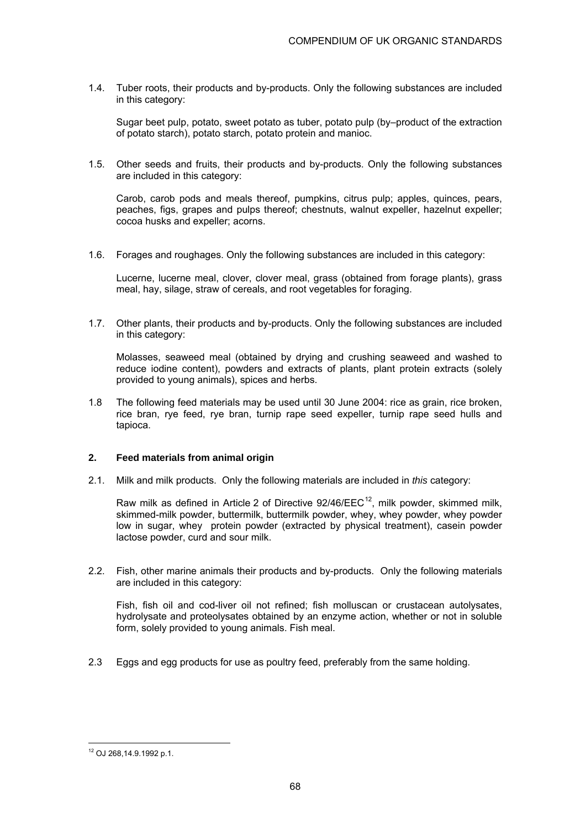1.4. Tuber roots, their products and by-products. Only the following substances are included in this category:

 Sugar beet pulp, potato, sweet potato as tuber, potato pulp (by–product of the extraction of potato starch), potato starch, potato protein and manioc.

1.5. Other seeds and fruits, their products and by-products. Only the following substances are included in this category:

Carob, carob pods and meals thereof, pumpkins, citrus pulp; apples, quinces, pears, peaches, figs, grapes and pulps thereof; chestnuts, walnut expeller, hazelnut expeller; cocoa husks and expeller; acorns.

1.6. Forages and roughages. Only the following substances are included in this category:

Lucerne, lucerne meal, clover, clover meal, grass (obtained from forage plants), grass meal, hay, silage, straw of cereals, and root vegetables for foraging.

1.7. Other plants, their products and by-products. Only the following substances are included in this category:

 Molasses, seaweed meal (obtained by drying and crushing seaweed and washed to reduce iodine content), powders and extracts of plants, plant protein extracts (solely provided to young animals), spices and herbs.

1.8 The following feed materials may be used until 30 June 2004: rice as grain, rice broken, rice bran, rye feed, rye bran, turnip rape seed expeller, turnip rape seed hulls and tapioca.

## **2. Feed materials from animal origin**

2.1. Milk and milk products. Only the following materials are included in *this* category:

Raw milk as defined in Article 2 of Directive  $92/46/EEC^{12}$ , milk powder, skimmed milk, skimmed-milk powder, buttermilk, buttermilk powder, whey, whey powder, whey powder low in sugar, whey protein powder (extracted by physical treatment), casein powder lactose powder, curd and sour milk.

2.2. Fish, other marine animals their products and by-products. Only the following materials are included in this category:

 Fish, fish oil and cod-liver oil not refined; fish molluscan or crustacean autolysates, hydrolysate and proteolysates obtained by an enzyme action, whether or not in soluble form, solely provided to young animals. Fish meal.

2.3 Eggs and egg products for use as poultry feed, preferably from the same holding.

 $\overline{a}$ 12 OJ 268,14.9.1992 p.1.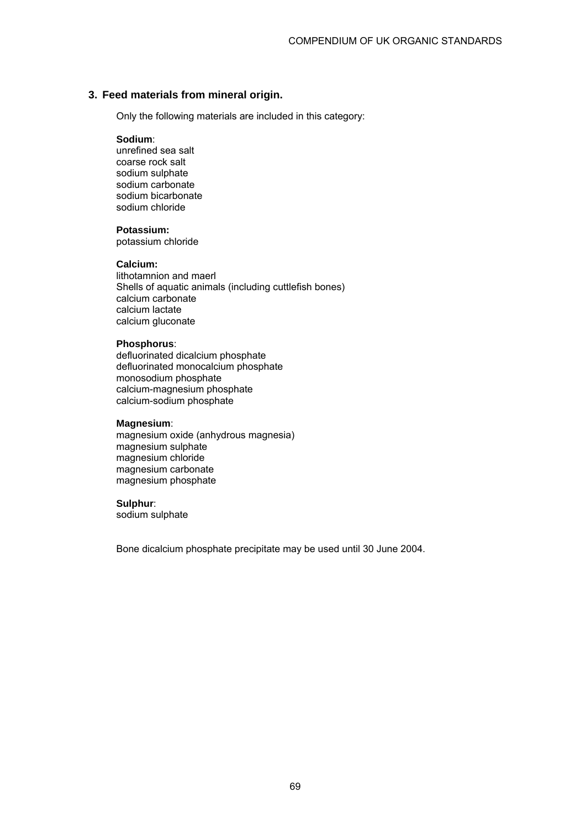## **3. Feed materials from mineral origin.**

Only the following materials are included in this category:

#### **Sodium**:

 unrefined sea salt coarse rock salt sodium sulphate sodium carbonate sodium bicarbonate sodium chloride

#### **Potassium:**

potassium chloride

#### **Calcium:**

 lithotamnion and maerl Shells of aquatic animals (including cuttlefish bones) calcium carbonate calcium lactate calcium gluconate

### **Phosphorus**:

 defluorinated dicalcium phosphate defluorinated monocalcium phosphate monosodium phosphate calcium-magnesium phosphate calcium-sodium phosphate

#### **Magnesium**:

 magnesium oxide (anhydrous magnesia) magnesium sulphate magnesium chloride magnesium carbonate magnesium phosphate

#### **Sulphur**:

sodium sulphate

Bone dicalcium phosphate precipitate may be used until 30 June 2004.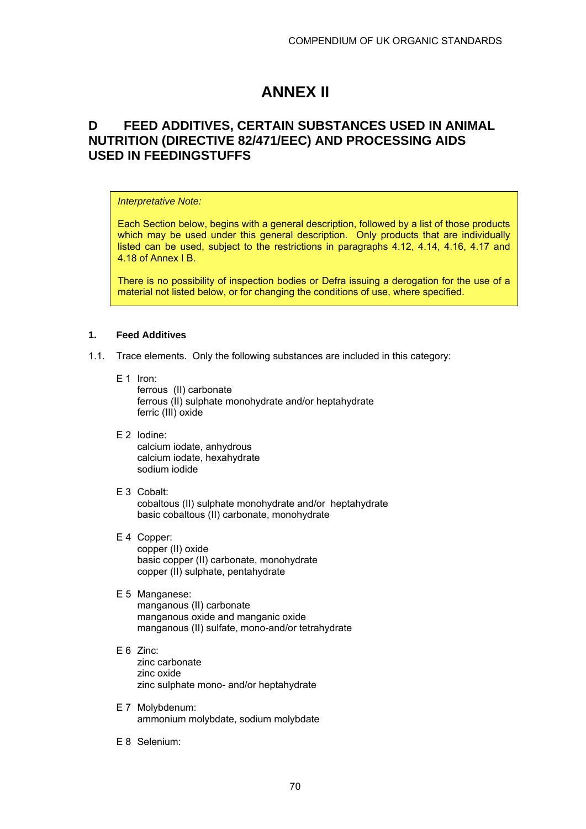# **ANNEX II**

# **D FEED ADDITIVES, CERTAIN SUBSTANCES USED IN ANIMAL NUTRITION (DIRECTIVE 82/471/EEC) AND PROCESSING AIDS USED IN FEEDINGSTUFFS**

#### *Interpretative Note:*

Each Section below, begins with a general description, followed by a list of those products which may be used under this general description. Only products that are individually listed can be used, subject to the restrictions in paragraphs 4.12, 4.14, 4.16, 4.17 and 4.18 of Annex I B.

There is no possibility of inspection bodies or Defra issuing a derogation for the use of a material not listed below, or for changing the conditions of use, where specified.

#### **1. Feed Additives**

- 1.1. Trace elements. Only the following substances are included in this category:
	- E 1 Iron:

 ferrous (II) carbonate ferrous (II) sulphate monohydrate and/or heptahydrate ferric (III) oxide

- E 2 Iodine: calcium iodate, anhydrous calcium iodate, hexahydrate sodium iodide
- E 3 Cobalt: cobaltous (II) sulphate monohydrate and/or heptahydrate basic cobaltous (II) carbonate, monohydrate
- E 4 Copper: copper (II) oxide basic copper (II) carbonate, monohydrate copper (II) sulphate, pentahydrate

# E 5 Manganese:

 manganous (II) carbonate manganous oxide and manganic oxide manganous (II) sulfate, mono-and/or tetrahydrate

### E 6 Zinc:

 zinc carbonate zinc oxide zinc sulphate mono- and/or heptahydrate

- E 7 Molybdenum: ammonium molybdate, sodium molybdate
- E 8 Selenium: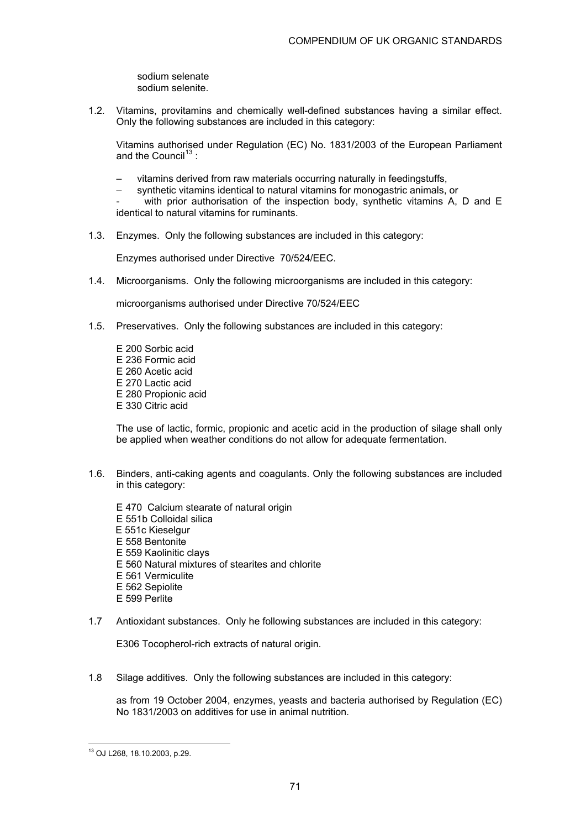sodium selenate sodium selenite.

1.2. Vitamins, provitamins and chemically well-defined substances having a similar effect. Only the following substances are included in this category:

Vitamins authorised under Regulation (EC) No. 1831/2003 of the European Parliament and the Council<sup>13</sup>:

- vitamins derived from raw materials occurring naturally in feedingstuffs,
- synthetic vitamins identical to natural vitamins for monogastric animals, or
- with prior authorisation of the inspection body, synthetic vitamins A, D and  $E$ identical to natural vitamins for ruminants.
- 1.3. Enzymes. Only the following substances are included in this category:

Enzymes authorised under Directive 70/524/EEC.

1.4. Microorganisms. Only the following microorganisms are included in this category:

microorganisms authorised under Directive 70/524/EEC

- 1.5. Preservatives. Only the following substances are included in this category:
	- E 200 Sorbic acid E 236 Formic acid E 260 Acetic acid E 270 Lactic acid E 280 Propionic acid E 330 Citric acid

The use of lactic, formic, propionic and acetic acid in the production of silage shall only be applied when weather conditions do not allow for adequate fermentation.

- 1.6. Binders, anti-caking agents and coagulants. Only the following substances are included in this category:
	- E 470 Calcium stearate of natural origin E 551b Colloidal silica E 551c Kieselgur E 558 Bentonite E 559 Kaolinitic clays E 560 Natural mixtures of stearites and chlorite E 561 Vermiculite E 562 Sepiolite E 599 Perlite
- 1.7 Antioxidant substances. Only he following substances are included in this category:

E306 Tocopherol-rich extracts of natural origin.

1.8 Silage additives. Only the following substances are included in this category:

as from 19 October 2004, enzymes, yeasts and bacteria authorised by Regulation (EC) No 1831/2003 on additives for use in animal nutrition.

 $\overline{a}$ 13 OJ L268, 18.10.2003, p.29.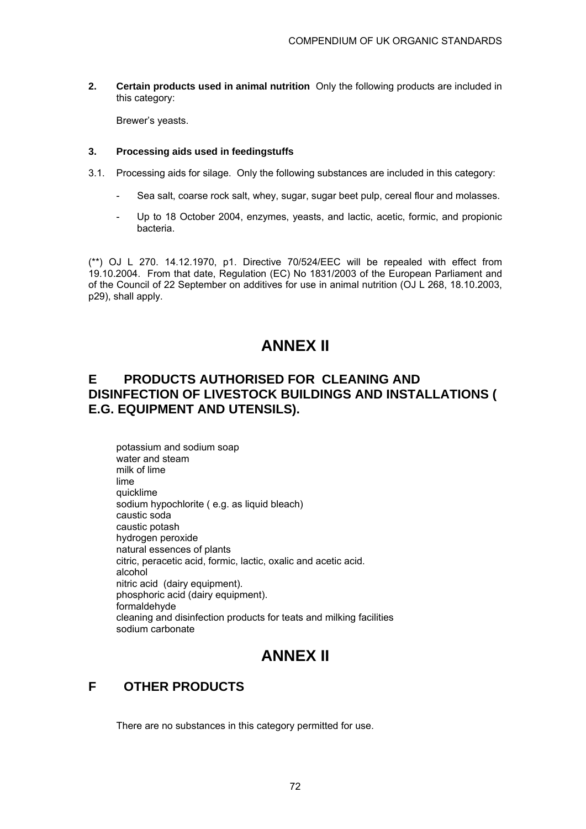**2. Certain products used in animal nutrition** Only the following products are included in this category:

Brewer's yeasts.

#### **3. Processing aids used in feedingstuffs**

- 3.1. Processing aids for silage. Only the following substances are included in this category:
	- Sea salt, coarse rock salt, whey, sugar, sugar beet pulp, cereal flour and molasses.
	- Up to 18 October 2004, enzymes, yeasts, and lactic, acetic, formic, and propionic bacteria.

(\*\*) OJ L 270. 14.12.1970, p1. Directive 70/524/EEC will be repealed with effect from 19.10.2004. From that date, Regulation (EC) No 1831/2003 of the European Parliament and of the Council of 22 September on additives for use in animal nutrition (OJ L 268, 18.10.2003, p29), shall apply.

# **ANNEX II**

# **E PRODUCTS AUTHORISED FOR CLEANING AND DISINFECTION OF LIVESTOCK BUILDINGS AND INSTALLATIONS ( E.G. EQUIPMENT AND UTENSILS).**

potassium and sodium soap water and steam milk of lime lime quicklime sodium hypochlorite ( e.g. as liquid bleach) caustic soda caustic potash hydrogen peroxide natural essences of plants citric, peracetic acid, formic, lactic, oxalic and acetic acid. alcohol nitric acid (dairy equipment). phosphoric acid (dairy equipment). formaldehyde cleaning and disinfection products for teats and milking facilities sodium carbonate

# **ANNEX II**

# **F OTHER PRODUCTS**

There are no substances in this category permitted for use.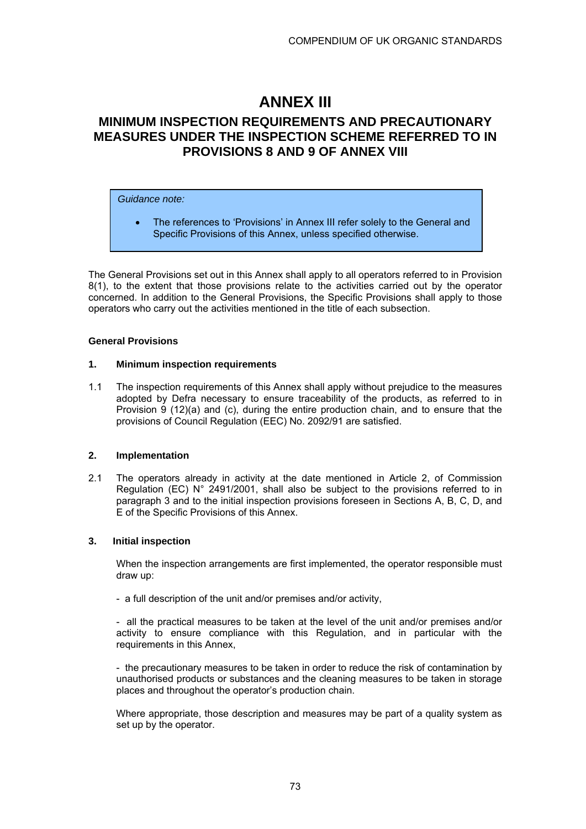# **ANNEX III**

# **MINIMUM INSPECTION REQUIREMENTS AND PRECAUTIONARY MEASURES UNDER THE INSPECTION SCHEME REFERRED TO IN PROVISIONS 8 AND 9 OF ANNEX VIII**

#### *Guidance note:*

• The references to 'Provisions' in Annex III refer solely to the General and Specific Provisions of this Annex, unless specified otherwise.

The General Provisions set out in this Annex shall apply to all operators referred to in Provision 8(1), to the extent that those provisions relate to the activities carried out by the operator concerned. In addition to the General Provisions, the Specific Provisions shall apply to those operators who carry out the activities mentioned in the title of each subsection.

#### **General Provisions**

#### **1. Minimum inspection requirements**

1.1 The inspection requirements of this Annex shall apply without prejudice to the measures adopted by Defra necessary to ensure traceability of the products, as referred to in Provision 9 (12)(a) and (c), during the entire production chain, and to ensure that the provisions of Council Regulation (EEC) No. 2092/91 are satisfied.

### **2. Implementation**

2.1 The operators already in activity at the date mentioned in Article 2, of Commission Regulation (EC)  $N^{\circ}$  2491/2001, shall also be subject to the provisions referred to in paragraph 3 and to the initial inspection provisions foreseen in Sections A, B, C, D, and E of the Specific Provisions of this Annex.

### **3. Initial inspection**

When the inspection arrangements are first implemented, the operator responsible must draw up:

- a full description of the unit and/or premises and/or activity,

- all the practical measures to be taken at the level of the unit and/or premises and/or activity to ensure compliance with this Regulation, and in particular with the requirements in this Annex,

- the precautionary measures to be taken in order to reduce the risk of contamination by unauthorised products or substances and the cleaning measures to be taken in storage places and throughout the operator's production chain.

Where appropriate, those description and measures may be part of a quality system as set up by the operator.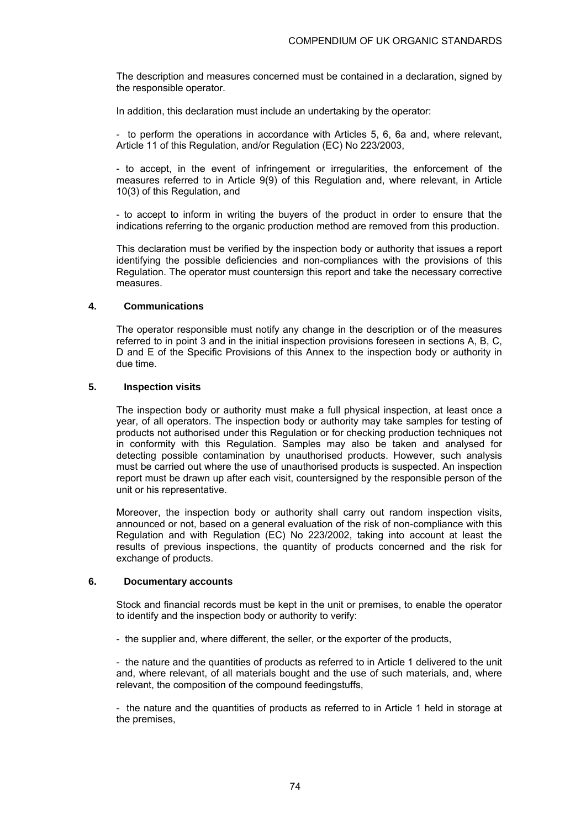The description and measures concerned must be contained in a declaration, signed by the responsible operator.

In addition, this declaration must include an undertaking by the operator:

- to perform the operations in accordance with Articles 5, 6, 6a and, where relevant, Article 11 of this Regulation, and/or Regulation (EC) No 223/2003,

- to accept, in the event of infringement or irregularities, the enforcement of the measures referred to in Article 9(9) of this Regulation and, where relevant, in Article 10(3) of this Regulation, and

- to accept to inform in writing the buyers of the product in order to ensure that the indications referring to the organic production method are removed from this production.

This declaration must be verified by the inspection body or authority that issues a report identifying the possible deficiencies and non-compliances with the provisions of this Regulation. The operator must countersign this report and take the necessary corrective measures.

#### **4. Communications**

The operator responsible must notify any change in the description or of the measures referred to in point 3 and in the initial inspection provisions foreseen in sections A, B, C, D and E of the Specific Provisions of this Annex to the inspection body or authority in due time.

#### **5. Inspection visits**

The inspection body or authority must make a full physical inspection, at least once a year, of all operators. The inspection body or authority may take samples for testing of products not authorised under this Regulation or for checking production techniques not in conformity with this Regulation. Samples may also be taken and analysed for detecting possible contamination by unauthorised products. However, such analysis must be carried out where the use of unauthorised products is suspected. An inspection report must be drawn up after each visit, countersigned by the responsible person of the unit or his representative.

Moreover, the inspection body or authority shall carry out random inspection visits, announced or not, based on a general evaluation of the risk of non-compliance with this Regulation and with Regulation (EC) No 223/2002, taking into account at least the results of previous inspections, the quantity of products concerned and the risk for exchange of products.

#### **6. Documentary accounts**

Stock and financial records must be kept in the unit or premises, to enable the operator to identify and the inspection body or authority to verify:

- the supplier and, where different, the seller, or the exporter of the products,

- the nature and the quantities of products as referred to in Article 1 delivered to the unit and, where relevant, of all materials bought and the use of such materials, and, where relevant, the composition of the compound feedingstuffs,

- the nature and the quantities of products as referred to in Article 1 held in storage at the premises,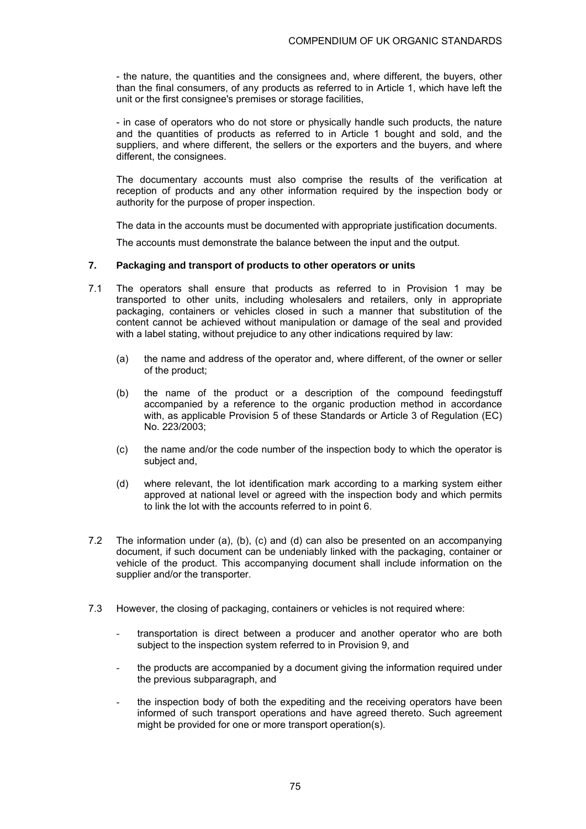- the nature, the quantities and the consignees and, where different, the buyers, other than the final consumers, of any products as referred to in Article 1, which have left the unit or the first consignee's premises or storage facilities,

- in case of operators who do not store or physically handle such products, the nature and the quantities of products as referred to in Article 1 bought and sold, and the suppliers, and where different, the sellers or the exporters and the buyers, and where different, the consignees.

The documentary accounts must also comprise the results of the verification at reception of products and any other information required by the inspection body or authority for the purpose of proper inspection.

The data in the accounts must be documented with appropriate justification documents.

The accounts must demonstrate the balance between the input and the output.

#### **7. Packaging and transport of products to other operators or units**

- 7.1 The operators shall ensure that products as referred to in Provision 1 may be transported to other units, including wholesalers and retailers, only in appropriate packaging, containers or vehicles closed in such a manner that substitution of the content cannot be achieved without manipulation or damage of the seal and provided with a label stating, without prejudice to any other indications required by law:
	- (a) the name and address of the operator and, where different, of the owner or seller of the product;
	- (b) the name of the product or a description of the compound feedingstuff accompanied by a reference to the organic production method in accordance with, as applicable Provision 5 of these Standards or Article 3 of Regulation (EC) No. 223/2003;
	- (c) the name and/or the code number of the inspection body to which the operator is subject and,
	- (d) where relevant, the lot identification mark according to a marking system either approved at national level or agreed with the inspection body and which permits to link the lot with the accounts referred to in point 6.
- 7.2 The information under (a), (b), (c) and (d) can also be presented on an accompanying document, if such document can be undeniably linked with the packaging, container or vehicle of the product. This accompanying document shall include information on the supplier and/or the transporter.
- 7.3 However, the closing of packaging, containers or vehicles is not required where:
	- transportation is direct between a producer and another operator who are both subject to the inspection system referred to in Provision 9, and
	- the products are accompanied by a document giving the information required under the previous subparagraph, and
	- the inspection body of both the expediting and the receiving operators have been informed of such transport operations and have agreed thereto. Such agreement might be provided for one or more transport operation(s).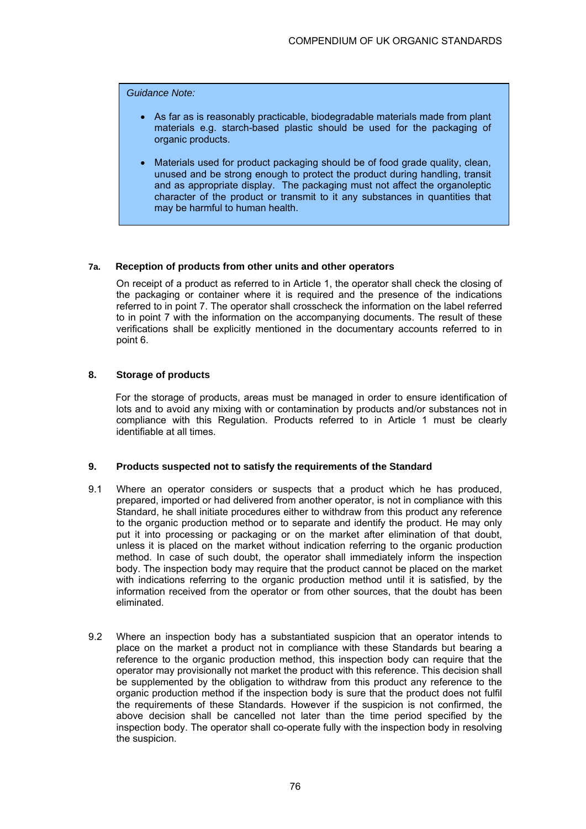*Guidance Note:* 

- As far as is reasonably practicable, biodegradable materials made from plant materials e.g. starch-based plastic should be used for the packaging of organic products.
- Materials used for product packaging should be of food grade quality, clean, unused and be strong enough to protect the product during handling, transit and as appropriate display. The packaging must not affect the organoleptic character of the product or transmit to it any substances in quantities that may be harmful to human health.

#### **7a. Reception of products from other units and other operators**

On receipt of a product as referred to in Article 1, the operator shall check the closing of the packaging or container where it is required and the presence of the indications referred to in point 7. The operator shall crosscheck the information on the label referred to in point 7 with the information on the accompanying documents. The result of these verifications shall be explicitly mentioned in the documentary accounts referred to in point 6.

#### **8. Storage of products**

 For the storage of products, areas must be managed in order to ensure identification of lots and to avoid any mixing with or contamination by products and/or substances not in compliance with this Regulation. Products referred to in Article 1 must be clearly identifiable at all times.

#### **9. Products suspected not to satisfy the requirements of the Standard**

- 9.1 Where an operator considers or suspects that a product which he has produced, prepared, imported or had delivered from another operator, is not in compliance with this Standard, he shall initiate procedures either to withdraw from this product any reference to the organic production method or to separate and identify the product. He may only put it into processing or packaging or on the market after elimination of that doubt, unless it is placed on the market without indication referring to the organic production method. In case of such doubt, the operator shall immediately inform the inspection body. The inspection body may require that the product cannot be placed on the market with indications referring to the organic production method until it is satisfied, by the information received from the operator or from other sources, that the doubt has been eliminated.
- 9.2 Where an inspection body has a substantiated suspicion that an operator intends to place on the market a product not in compliance with these Standards but bearing a reference to the organic production method, this inspection body can require that the operator may provisionally not market the product with this reference. This decision shall be supplemented by the obligation to withdraw from this product any reference to the organic production method if the inspection body is sure that the product does not fulfil the requirements of these Standards. However if the suspicion is not confirmed, the above decision shall be cancelled not later than the time period specified by the inspection body. The operator shall co-operate fully with the inspection body in resolving the suspicion.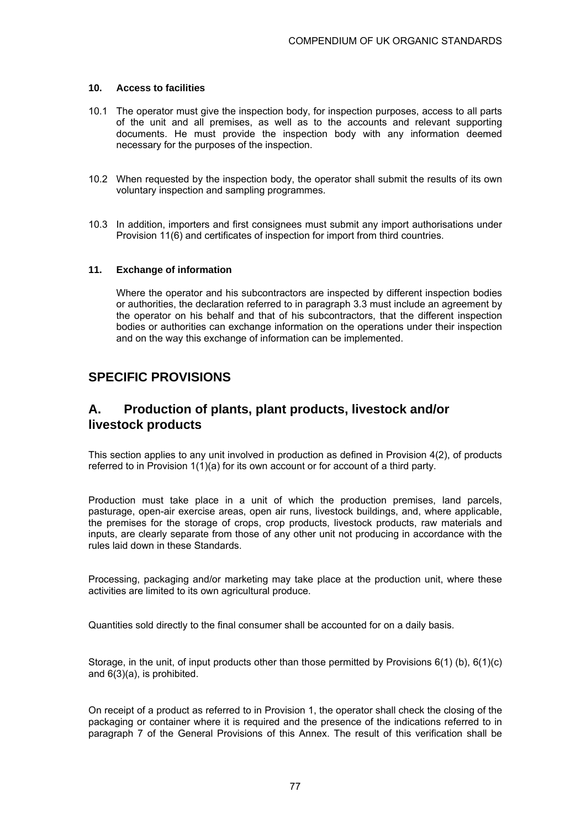#### **10. Access to facilities**

- 10.1 The operator must give the inspection body, for inspection purposes, access to all parts of the unit and all premises, as well as to the accounts and relevant supporting documents. He must provide the inspection body with any information deemed necessary for the purposes of the inspection.
- 10.2 When requested by the inspection body, the operator shall submit the results of its own voluntary inspection and sampling programmes.
- 10.3 In addition, importers and first consignees must submit any import authorisations under Provision 11(6) and certificates of inspection for import from third countries.

#### **11. Exchange of information**

Where the operator and his subcontractors are inspected by different inspection bodies or authorities, the declaration referred to in paragraph 3.3 must include an agreement by the operator on his behalf and that of his subcontractors, that the different inspection bodies or authorities can exchange information on the operations under their inspection and on the way this exchange of information can be implemented.

## **SPECIFIC PROVISIONS**

## **A. Production of plants, plant products, livestock and/or livestock products**

This section applies to any unit involved in production as defined in Provision 4(2), of products referred to in Provision 1(1)(a) for its own account or for account of a third party.

Production must take place in a unit of which the production premises, land parcels, pasturage, open-air exercise areas, open air runs, livestock buildings, and, where applicable, the premises for the storage of crops, crop products, livestock products, raw materials and inputs, are clearly separate from those of any other unit not producing in accordance with the rules laid down in these Standards.

Processing, packaging and/or marketing may take place at the production unit, where these activities are limited to its own agricultural produce.

Quantities sold directly to the final consumer shall be accounted for on a daily basis.

Storage, in the unit, of input products other than those permitted by Provisions  $6(1)$  (b),  $6(1)(c)$ and 6(3)(a), is prohibited.

On receipt of a product as referred to in Provision 1, the operator shall check the closing of the packaging or container where it is required and the presence of the indications referred to in paragraph 7 of the General Provisions of this Annex. The result of this verification shall be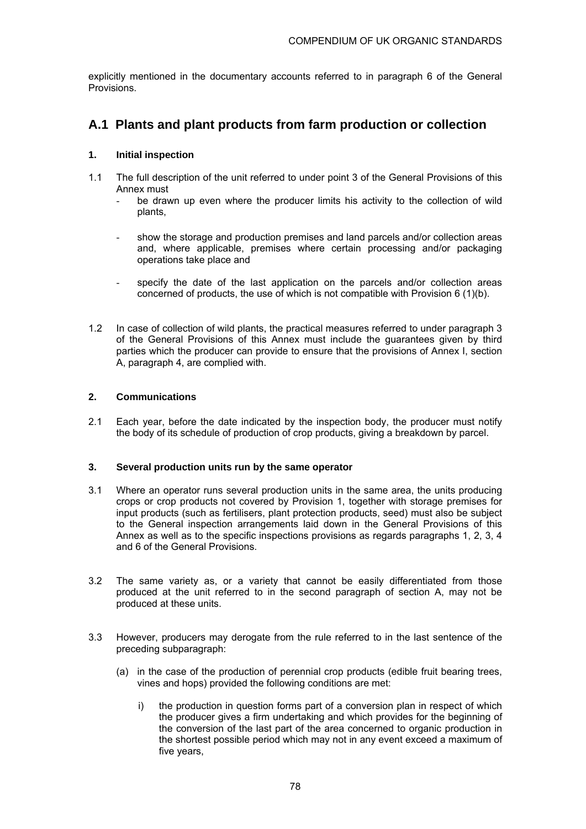explicitly mentioned in the documentary accounts referred to in paragraph 6 of the General Provisions.

# **A.1 Plants and plant products from farm production or collection**

### **1. Initial inspection**

- 1.1 The full description of the unit referred to under point 3 of the General Provisions of this Annex must
	- be drawn up even where the producer limits his activity to the collection of wild plants,
	- show the storage and production premises and land parcels and/or collection areas and, where applicable, premises where certain processing and/or packaging operations take place and
	- specify the date of the last application on the parcels and/or collection areas concerned of products, the use of which is not compatible with Provision 6 (1)(b).
- 1.2 In case of collection of wild plants, the practical measures referred to under paragraph 3 of the General Provisions of this Annex must include the guarantees given by third parties which the producer can provide to ensure that the provisions of Annex I, section A, paragraph 4, are complied with.

### **2. Communications**

2.1 Each year, before the date indicated by the inspection body, the producer must notify the body of its schedule of production of crop products, giving a breakdown by parcel.

### **3. Several production units run by the same operator**

- 3.1 Where an operator runs several production units in the same area, the units producing crops or crop products not covered by Provision 1, together with storage premises for input products (such as fertilisers, plant protection products, seed) must also be subject to the General inspection arrangements laid down in the General Provisions of this Annex as well as to the specific inspections provisions as regards paragraphs 1, 2, 3, 4 and 6 of the General Provisions.
- 3.2 The same variety as, or a variety that cannot be easily differentiated from those produced at the unit referred to in the second paragraph of section A, may not be produced at these units.
- 3.3 However, producers may derogate from the rule referred to in the last sentence of the preceding subparagraph:
	- (a) in the case of the production of perennial crop products (edible fruit bearing trees, vines and hops) provided the following conditions are met:
		- i) the production in question forms part of a conversion plan in respect of which the producer gives a firm undertaking and which provides for the beginning of the conversion of the last part of the area concerned to organic production in the shortest possible period which may not in any event exceed a maximum of five years,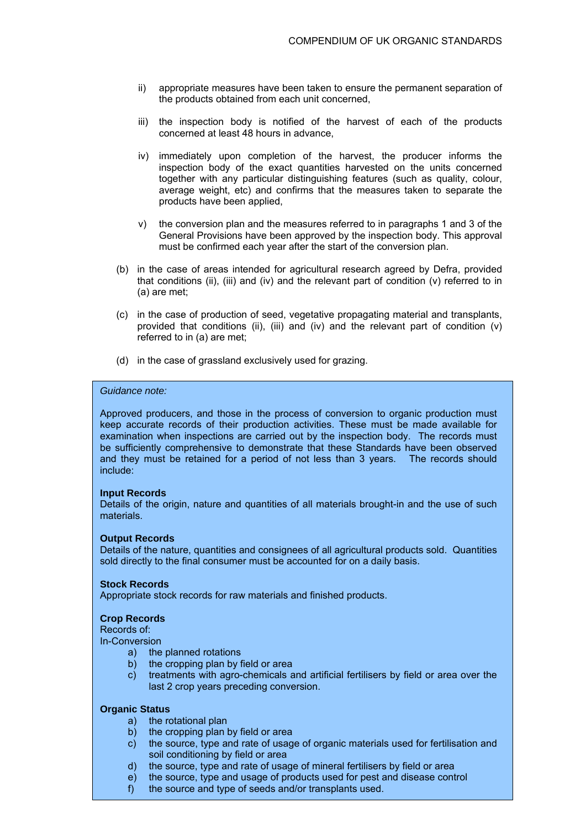- ii) appropriate measures have been taken to ensure the permanent separation of the products obtained from each unit concerned,
- iii) the inspection body is notified of the harvest of each of the products concerned at least 48 hours in advance,
- iv) immediately upon completion of the harvest, the producer informs the inspection body of the exact quantities harvested on the units concerned together with any particular distinguishing features (such as quality, colour, average weight, etc) and confirms that the measures taken to separate the products have been applied,
- v) the conversion plan and the measures referred to in paragraphs 1 and 3 of the General Provisions have been approved by the inspection body. This approval must be confirmed each year after the start of the conversion plan.
- (b) in the case of areas intended for agricultural research agreed by Defra, provided that conditions (ii), (iii) and (iv) and the relevant part of condition (v) referred to in (a) are met;
- (c) in the case of production of seed, vegetative propagating material and transplants, provided that conditions (ii), (iii) and (iv) and the relevant part of condition  $(v)$ referred to in (a) are met;
- (d) in the case of grassland exclusively used for grazing.

#### *Guidance note:*

Approved producers, and those in the process of conversion to organic production must keep accurate records of their production activities. These must be made available for examination when inspections are carried out by the inspection body. The records must be sufficiently comprehensive to demonstrate that these Standards have been observed and they must be retained for a period of not less than 3 years. The records should include:

#### **Input Records**

Details of the origin, nature and quantities of all materials brought-in and the use of such materials.

#### **Output Records**

Details of the nature, quantities and consignees of all agricultural products sold. Quantities sold directly to the final consumer must be accounted for on a daily basis.

#### **Stock Records**

Appropriate stock records for raw materials and finished products.

#### **Crop Records**

Records of:

In-Conversion

- a) the planned rotations
- b) the cropping plan by field or area
- c) treatments with agro-chemicals and artificial fertilisers by field or area over the last 2 crop years preceding conversion.

#### **Organic Status**

- a) the rotational plan
- b) the cropping plan by field or area
- c) the source, type and rate of usage of organic materials used for fertilisation and soil conditioning by field or area
- d) the source, type and rate of usage of mineral fertilisers by field or area
- e) the source, type and usage of products used for pest and disease control
- f) the source and type of seeds and/or transplants used.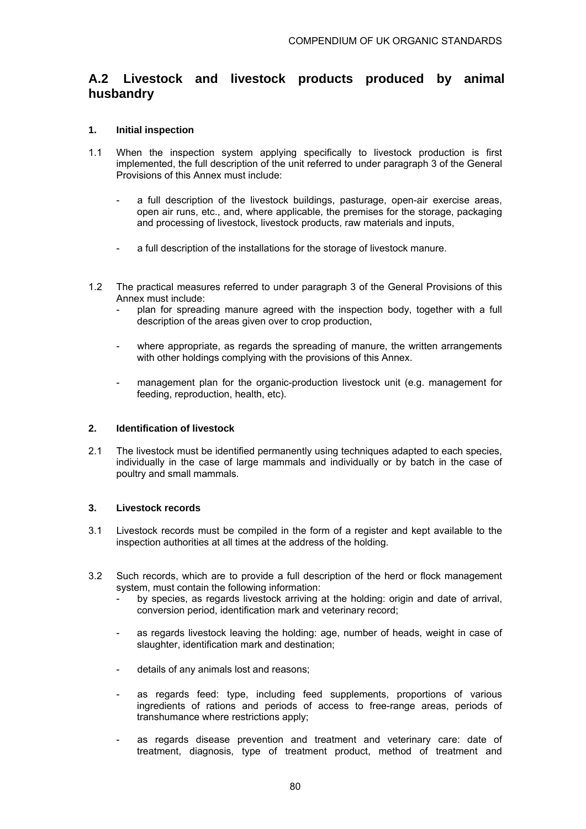# **A.2 Livestock and livestock products produced by animal husbandry**

### **1. Initial inspection**

- 1.1 When the inspection system applying specifically to livestock production is first implemented, the full description of the unit referred to under paragraph 3 of the General Provisions of this Annex must include:
	- a full description of the livestock buildings, pasturage, open-air exercise areas, open air runs, etc., and, where applicable, the premises for the storage, packaging and processing of livestock, livestock products, raw materials and inputs,
	- a full description of the installations for the storage of livestock manure.
- 1.2 The practical measures referred to under paragraph 3 of the General Provisions of this Annex must include:
	- plan for spreading manure agreed with the inspection body, together with a full description of the areas given over to crop production,
	- where appropriate, as regards the spreading of manure, the written arrangements with other holdings complying with the provisions of this Annex.
	- management plan for the organic-production livestock unit (e.g. management for feeding, reproduction, health, etc).

### **2. Identification of livestock**

2.1 The livestock must be identified permanently using techniques adapted to each species, individually in the case of large mammals and individually or by batch in the case of poultry and small mammals.

### **3. Livestock records**

- 3.1 Livestock records must be compiled in the form of a register and kept available to the inspection authorities at all times at the address of the holding.
- 3.2 Such records, which are to provide a full description of the herd or flock management system, must contain the following information:
	- by species, as regards livestock arriving at the holding: origin and date of arrival, conversion period, identification mark and veterinary record;
	- as regards livestock leaving the holding: age, number of heads, weight in case of slaughter, identification mark and destination;
	- details of any animals lost and reasons:
	- as regards feed: type, including feed supplements, proportions of various ingredients of rations and periods of access to free-range areas, periods of transhumance where restrictions apply;
	- as regards disease prevention and treatment and veterinary care: date of treatment, diagnosis, type of treatment product, method of treatment and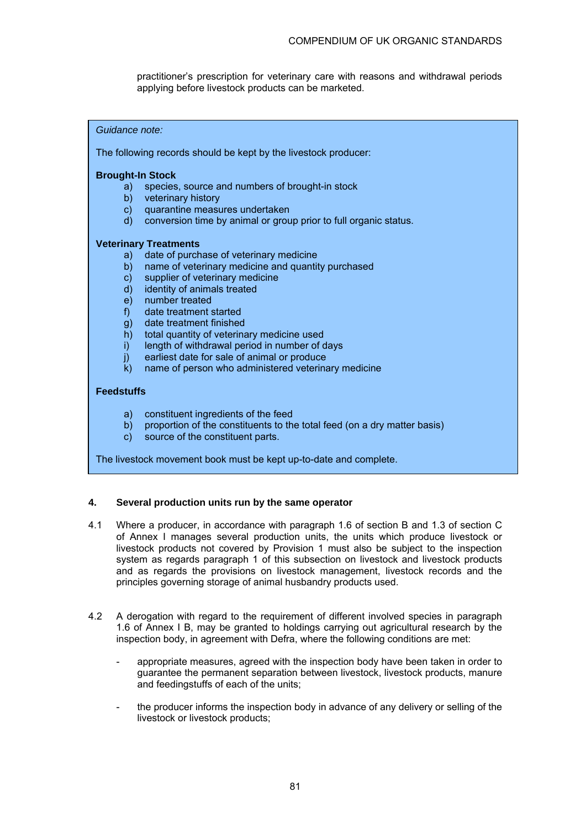practitioner's prescription for veterinary care with reasons and withdrawal periods applying before livestock products can be marketed.

#### *Guidance note:*

The following records should be kept by the livestock producer:

#### **Brought-In Stock**

- a) species, source and numbers of brought-in stock
- b) veterinary history
- c) quarantine measures undertaken
- d) conversion time by animal or group prior to full organic status.

#### **Veterinary Treatments**

- a) date of purchase of veterinary medicine
- b) name of veterinary medicine and quantity purchased
- c) supplier of veterinary medicine
- d) identity of animals treated
- e) number treated
- f) date treatment started
- g) date treatment finished
- h) total quantity of veterinary medicine used
- i) length of withdrawal period in number of days
- j) earliest date for sale of animal or produce
- k) name of person who administered veterinary medicine

#### **Feedstuffs**

- a) constituent ingredients of the feed
- b) proportion of the constituents to the total feed (on a dry matter basis)
- c) source of the constituent parts.

The livestock movement book must be kept up-to-date and complete.

#### **4. Several production units run by the same operator**

- 4.1 Where a producer, in accordance with paragraph 1.6 of section B and 1.3 of section C of Annex I manages several production units, the units which produce livestock or livestock products not covered by Provision 1 must also be subject to the inspection system as regards paragraph 1 of this subsection on livestock and livestock products and as regards the provisions on livestock management, livestock records and the principles governing storage of animal husbandry products used.
- 4.2 A derogation with regard to the requirement of different involved species in paragraph 1.6 of Annex I B, may be granted to holdings carrying out agricultural research by the inspection body, in agreement with Defra, where the following conditions are met:
	- appropriate measures, agreed with the inspection body have been taken in order to guarantee the permanent separation between livestock, livestock products, manure and feedingstuffs of each of the units;
	- the producer informs the inspection body in advance of any delivery or selling of the livestock or livestock products;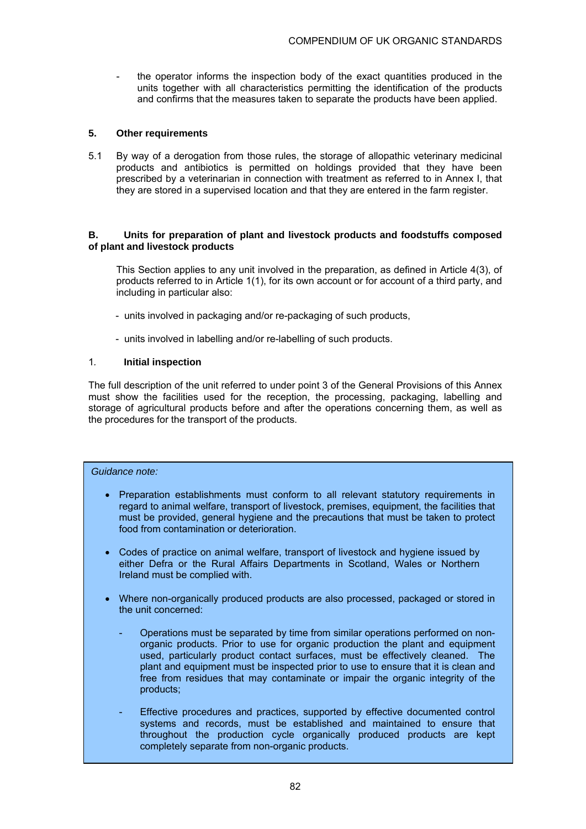the operator informs the inspection body of the exact quantities produced in the units together with all characteristics permitting the identification of the products and confirms that the measures taken to separate the products have been applied.

#### **5. Other requirements**

5.1 By way of a derogation from those rules, the storage of allopathic veterinary medicinal products and antibiotics is permitted on holdings provided that they have been prescribed by a veterinarian in connection with treatment as referred to in Annex I, that they are stored in a supervised location and that they are entered in the farm register.

#### **B. Units for preparation of plant and livestock products and foodstuffs composed of plant and livestock products**

This Section applies to any unit involved in the preparation, as defined in Article 4(3), of products referred to in Article 1(1), for its own account or for account of a third party, and including in particular also:

- units involved in packaging and/or re-packaging of such products,
- units involved in labelling and/or re-labelling of such products.

#### 1*.* **Initial inspection**

The full description of the unit referred to under point 3 of the General Provisions of this Annex must show the facilities used for the reception, the processing, packaging, labelling and storage of agricultural products before and after the operations concerning them, as well as the procedures for the transport of the products.

#### *Guidance note:*

- Preparation establishments must conform to all relevant statutory requirements in regard to animal welfare, transport of livestock, premises, equipment, the facilities that must be provided, general hygiene and the precautions that must be taken to protect food from contamination or deterioration.
- Codes of practice on animal welfare, transport of livestock and hygiene issued by either Defra or the Rural Affairs Departments in Scotland, Wales or Northern Ireland must be complied with.
- Where non-organically produced products are also processed, packaged or stored in the unit concerned:
	- Operations must be separated by time from similar operations performed on nonorganic products. Prior to use for organic production the plant and equipment used, particularly product contact surfaces, must be effectively cleaned. The plant and equipment must be inspected prior to use to ensure that it is clean and free from residues that may contaminate or impair the organic integrity of the products;
	- Effective procedures and practices, supported by effective documented control systems and records, must be established and maintained to ensure that throughout the production cycle organically produced products are kept completely separate from non-organic products.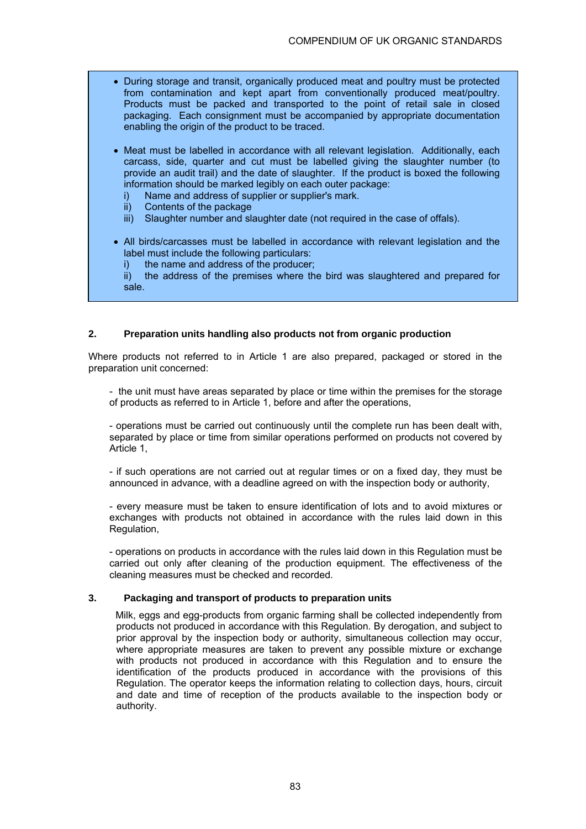- During storage and transit, organically produced meat and poultry must be protected from contamination and kept apart from conventionally produced meat/poultry. Products must be packed and transported to the point of retail sale in closed packaging. Each consignment must be accompanied by appropriate documentation enabling the origin of the product to be traced.
- Meat must be labelled in accordance with all relevant legislation. Additionally, each carcass, side, quarter and cut must be labelled giving the slaughter number (to provide an audit trail) and the date of slaughter. If the product is boxed the following information should be marked legibly on each outer package:
	- i) Name and address of supplier or supplier's mark.
	- ii) Contents of the package
	- iii) Slaughter number and slaughter date (not required in the case of offals).
- All birds/carcasses must be labelled in accordance with relevant legislation and the label must include the following particulars:
	- i) the name and address of the producer;

 ii) the address of the premises where the bird was slaughtered and prepared for sale.

### **2. Preparation units handling also products not from organic production**

Where products not referred to in Article 1 are also prepared, packaged or stored in the preparation unit concerned:

- the unit must have areas separated by place or time within the premises for the storage of products as referred to in Article 1, before and after the operations,

- operations must be carried out continuously until the complete run has been dealt with, separated by place or time from similar operations performed on products not covered by Article 1,

- if such operations are not carried out at regular times or on a fixed day, they must be announced in advance, with a deadline agreed on with the inspection body or authority,

- every measure must be taken to ensure identification of lots and to avoid mixtures or exchanges with products not obtained in accordance with the rules laid down in this Regulation,

- operations on products in accordance with the rules laid down in this Regulation must be carried out only after cleaning of the production equipment. The effectiveness of the cleaning measures must be checked and recorded.

#### **3. Packaging and transport of products to preparation units**

 Milk, eggs and egg-products from organic farming shall be collected independently from products not produced in accordance with this Regulation. By derogation, and subject to prior approval by the inspection body or authority, simultaneous collection may occur, where appropriate measures are taken to prevent any possible mixture or exchange with products not produced in accordance with this Regulation and to ensure the identification of the products produced in accordance with the provisions of this Regulation. The operator keeps the information relating to collection days, hours, circuit and date and time of reception of the products available to the inspection body or authority.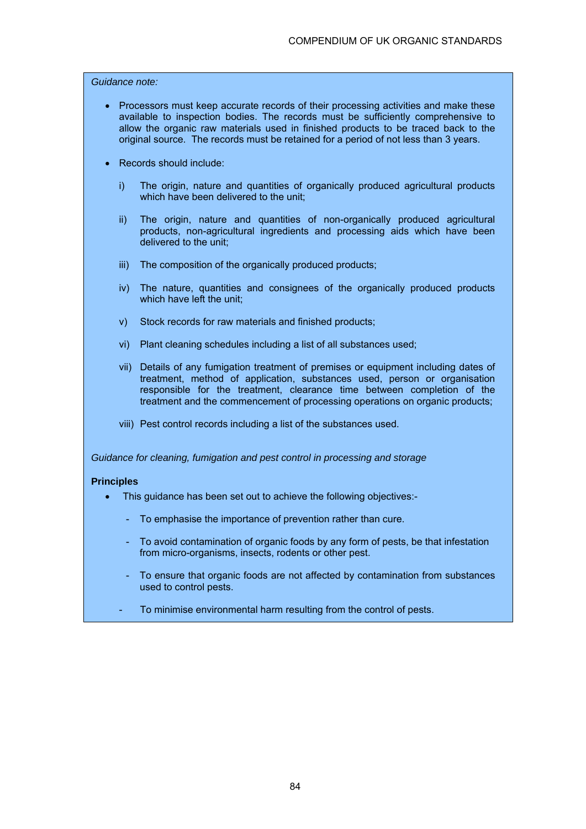### *Guidance note:*

- Processors must keep accurate records of their processing activities and make these available to inspection bodies. The records must be sufficiently comprehensive to allow the organic raw materials used in finished products to be traced back to the original source. The records must be retained for a period of not less than 3 years.
- Records should include:
	- i) The origin, nature and quantities of organically produced agricultural products which have been delivered to the unit;
	- ii) The origin, nature and quantities of non-organically produced agricultural products, non-agricultural ingredients and processing aids which have been delivered to the unit;
	- iii) The composition of the organically produced products;
	- iv) The nature, quantities and consignees of the organically produced products which have left the unit:
	- v) Stock records for raw materials and finished products;
	- vi) Plant cleaning schedules including a list of all substances used;
	- vii) Details of any fumigation treatment of premises or equipment including dates of treatment, method of application, substances used, person or organisation responsible for the treatment, clearance time between completion of the treatment and the commencement of processing operations on organic products;
	- viii) Pest control records including a list of the substances used.

*Guidance for cleaning, fumigation and pest control in processing and storage*

#### **Principles**

- This guidance has been set out to achieve the following objectives:-
	- To emphasise the importance of prevention rather than cure.
	- To avoid contamination of organic foods by any form of pests, be that infestation from micro-organisms, insects, rodents or other pest.
	- To ensure that organic foods are not affected by contamination from substances used to control pests.
	- To minimise environmental harm resulting from the control of pests.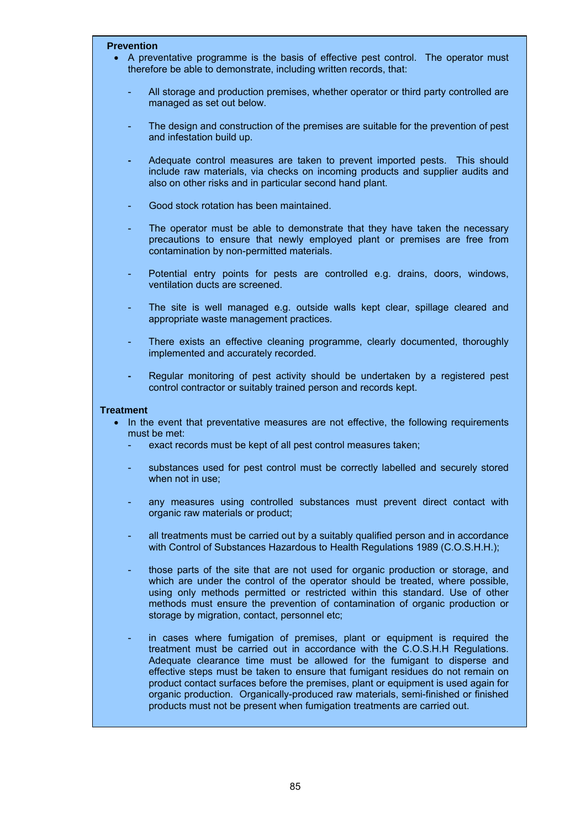#### **Prevention**

- A preventative programme is the basis of effective pest control. The operator must therefore be able to demonstrate, including written records, that:
	- All storage and production premises, whether operator or third party controlled are managed as set out below.
	- The design and construction of the premises are suitable for the prevention of pest and infestation build up.
	- Adequate control measures are taken to prevent imported pests. This should include raw materials, via checks on incoming products and supplier audits and also on other risks and in particular second hand plant.
	- Good stock rotation has been maintained.
	- The operator must be able to demonstrate that they have taken the necessary precautions to ensure that newly employed plant or premises are free from contamination by non-permitted materials.
	- Potential entry points for pests are controlled e.g. drains, doors, windows, ventilation ducts are screened.
	- The site is well managed e.g. outside walls kept clear, spillage cleared and appropriate waste management practices.
	- There exists an effective cleaning programme, clearly documented, thoroughly implemented and accurately recorded.
	- Regular monitoring of pest activity should be undertaken by a registered pest control contractor or suitably trained person and records kept.

#### **Treatment**

- In the event that preventative measures are not effective, the following requirements must be met:
	- exact records must be kept of all pest control measures taken;
	- substances used for pest control must be correctly labelled and securely stored when not in use;
	- any measures using controlled substances must prevent direct contact with organic raw materials or product;
	- all treatments must be carried out by a suitably qualified person and in accordance with Control of Substances Hazardous to Health Regulations 1989 (C.O.S.H.H.);
	- those parts of the site that are not used for organic production or storage, and which are under the control of the operator should be treated, where possible, using only methods permitted or restricted within this standard. Use of other methods must ensure the prevention of contamination of organic production or storage by migration, contact, personnel etc;
	- in cases where fumigation of premises, plant or equipment is required the treatment must be carried out in accordance with the C.O.S.H.H Regulations. Adequate clearance time must be allowed for the fumigant to disperse and effective steps must be taken to ensure that fumigant residues do not remain on product contact surfaces before the premises, plant or equipment is used again for organic production. Organically-produced raw materials, semi-finished or finished products must not be present when fumigation treatments are carried out.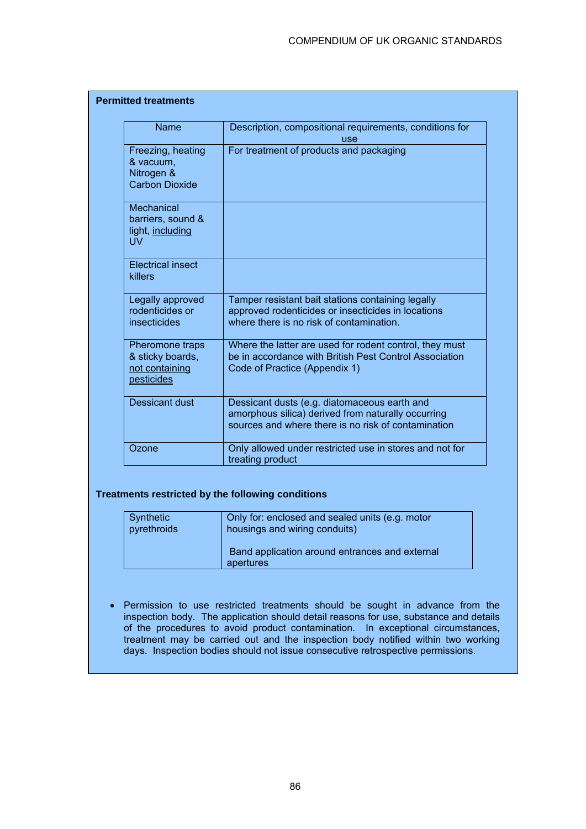| <b>Name</b>                                                           | Description, compositional requirements, conditions for<br>use                                                                                            |
|-----------------------------------------------------------------------|-----------------------------------------------------------------------------------------------------------------------------------------------------------|
| Freezing, heating<br>& vacuum,<br>Nitrogen &<br><b>Carbon Dioxide</b> | For treatment of products and packaging                                                                                                                   |
| Mechanical<br>barriers, sound &<br>light, including<br><b>UV</b>      |                                                                                                                                                           |
| <b>Electrical insect</b><br>killers                                   |                                                                                                                                                           |
| Legally approved<br>rodenticides or<br>insecticides                   | Tamper resistant bait stations containing legally<br>approved rodenticides or insecticides in locations<br>where there is no risk of contamination.       |
| Pheromone traps<br>& sticky boards,<br>not containing<br>pesticides   | Where the latter are used for rodent control, they must<br>be in accordance with British Pest Control Association<br>Code of Practice (Appendix 1)        |
| Dessicant dust                                                        | Dessicant dusts (e.g. diatomaceous earth and<br>amorphous silica) derived from naturally occurring<br>sources and where there is no risk of contamination |
| Ozone                                                                 | Only allowed under restricted use in stores and not for<br>treating product                                                                               |

### **Treatments restricted by the following conditions**

| Synthetic   | Only for: enclosed and sealed units (e.g. motor             |
|-------------|-------------------------------------------------------------|
| pyrethroids | housings and wiring conduits)                               |
|             | Band application around entrances and external<br>apertures |

• Permission to use restricted treatments should be sought in advance from the inspection body. The application should detail reasons for use, substance and details of the procedures to avoid product contamination. In exceptional circumstances, treatment may be carried out and the inspection body notified within two working days. Inspection bodies should not issue consecutive retrospective permissions.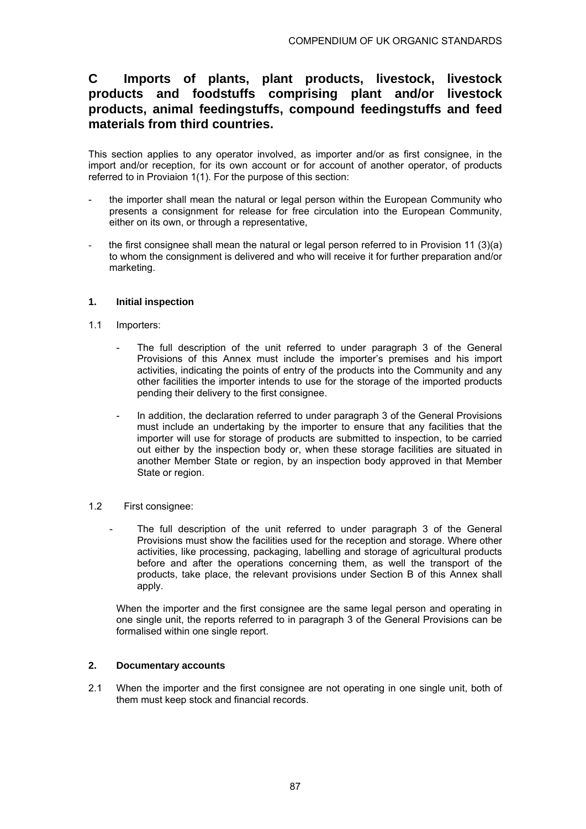# **C Imports of plants, plant products, livestock, livestock products and foodstuffs comprising plant and/or livestock products, animal feedingstuffs, compound feedingstuffs and feed materials from third countries.**

This section applies to any operator involved, as importer and/or as first consignee, in the import and/or reception, for its own account or for account of another operator, of products referred to in Proviaion 1(1). For the purpose of this section:

- the importer shall mean the natural or legal person within the European Community who presents a consignment for release for free circulation into the European Community, either on its own, or through a representative,
- the first consignee shall mean the natural or legal person referred to in Provision 11 (3)(a) to whom the consignment is delivered and who will receive it for further preparation and/or marketing.

### **1. Initial inspection**

- 1.1 Importers:
	- The full description of the unit referred to under paragraph 3 of the General Provisions of this Annex must include the importer's premises and his import activities, indicating the points of entry of the products into the Community and any other facilities the importer intends to use for the storage of the imported products pending their delivery to the first consignee.
	- In addition, the declaration referred to under paragraph 3 of the General Provisions must include an undertaking by the importer to ensure that any facilities that the importer will use for storage of products are submitted to inspection, to be carried out either by the inspection body or, when these storage facilities are situated in another Member State or region, by an inspection body approved in that Member State or region.
- 1.2 First consignee:
	- The full description of the unit referred to under paragraph 3 of the General Provisions must show the facilities used for the reception and storage. Where other activities, like processing, packaging, labelling and storage of agricultural products before and after the operations concerning them, as well the transport of the products, take place, the relevant provisions under Section B of this Annex shall apply.

When the importer and the first consignee are the same legal person and operating in one single unit, the reports referred to in paragraph 3 of the General Provisions can be formalised within one single report.

### **2. Documentary accounts**

2.1 When the importer and the first consignee are not operating in one single unit, both of them must keep stock and financial records.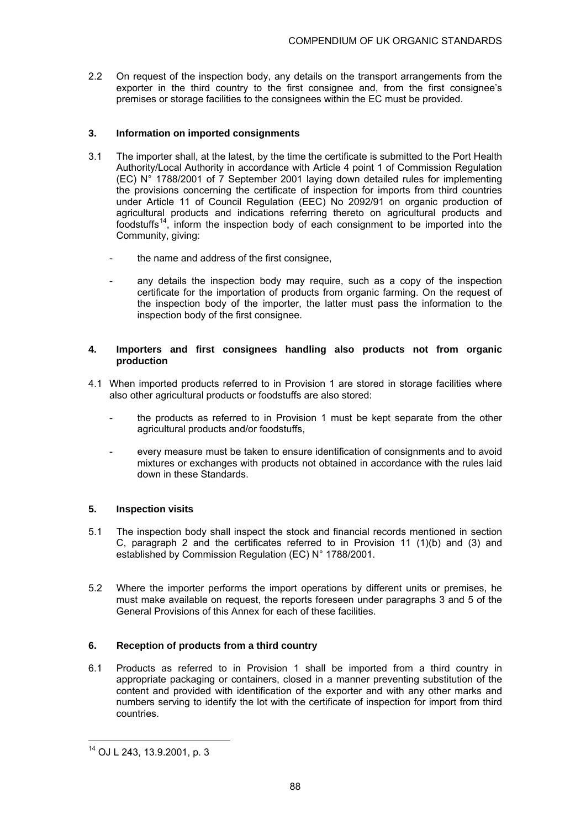2.2 On request of the inspection body, any details on the transport arrangements from the exporter in the third country to the first consignee and, from the first consignee's premises or storage facilities to the consignees within the EC must be provided.

### **3. Information on imported consignments**

- 3.1 The importer shall, at the latest, by the time the certificate is submitted to the Port Health Authority/Local Authority in accordance with Article 4 point 1 of Commission Regulation (EC) N° 1788/2001 of 7 September 2001 laying down detailed rules for implementing the provisions concerning the certificate of inspection for imports from third countries under Article 11 of Council Regulation (EEC) No 2092/91 on organic production of agricultural products and indications referring thereto on agricultural products and foodstuffs<sup>14</sup>, inform the inspection body of each consignment to be imported into the Community, giving:
	- the name and address of the first consignee,
	- any details the inspection body may require, such as a copy of the inspection certificate for the importation of products from organic farming. On the request of the inspection body of the importer, the latter must pass the information to the inspection body of the first consignee.

### **4. Importers and first consignees handling also products not from organic production**

- 4.1 When imported products referred to in Provision 1 are stored in storage facilities where also other agricultural products or foodstuffs are also stored:
	- the products as referred to in Provision 1 must be kept separate from the other agricultural products and/or foodstuffs,
	- every measure must be taken to ensure identification of consignments and to avoid mixtures or exchanges with products not obtained in accordance with the rules laid down in these Standards.

### **5. Inspection visits**

- 5.1 The inspection body shall inspect the stock and financial records mentioned in section C, paragraph 2 and the certificates referred to in Provision 11 (1)(b) and (3) and established by Commission Regulation (EC) N° 1788/2001.
- 5.2 Where the importer performs the import operations by different units or premises, he must make available on request, the reports foreseen under paragraphs 3 and 5 of the General Provisions of this Annex for each of these facilities.

### **6. Reception of products from a third country**

6.1 Products as referred to in Provision 1 shall be imported from a third country in appropriate packaging or containers, closed in a manner preventing substitution of the content and provided with identification of the exporter and with any other marks and numbers serving to identify the lot with the certificate of inspection for import from third countries.

l

<sup>14</sup> OJ L 243, 13.9.2001, p. 3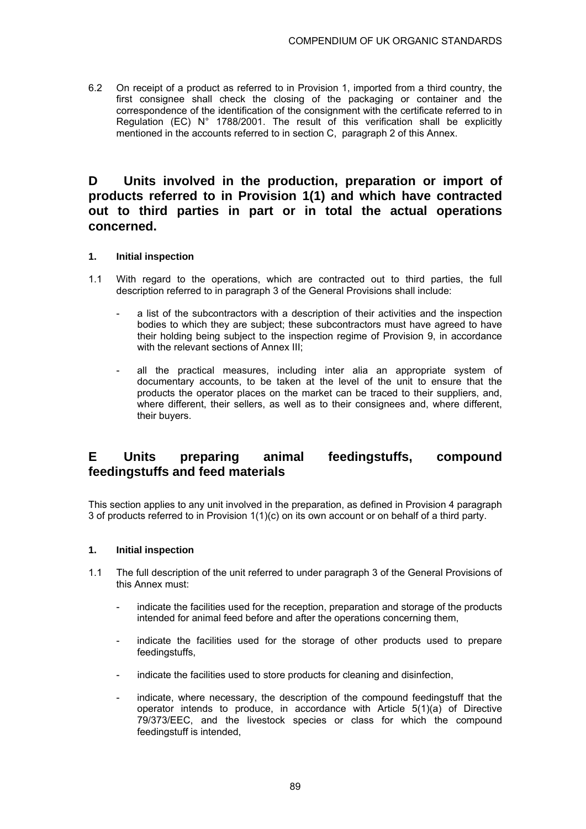6.2 On receipt of a product as referred to in Provision 1, imported from a third country, the first consignee shall check the closing of the packaging or container and the correspondence of the identification of the consignment with the certificate referred to in Regulation (EC) N° 1788/2001. The result of this verification shall be explicitly mentioned in the accounts referred to in section C, paragraph 2 of this Annex.

# **D Units involved in the production, preparation or import of products referred to in Provision 1(1) and which have contracted out to third parties in part or in total the actual operations concerned.**

### **1. Initial inspection**

- 1.1 With regard to the operations, which are contracted out to third parties, the full description referred to in paragraph 3 of the General Provisions shall include:
	- a list of the subcontractors with a description of their activities and the inspection bodies to which they are subject; these subcontractors must have agreed to have their holding being subject to the inspection regime of Provision 9, in accordance with the relevant sections of Annex III:
	- all the practical measures, including inter alia an appropriate system of documentary accounts, to be taken at the level of the unit to ensure that the products the operator places on the market can be traced to their suppliers, and, where different, their sellers, as well as to their consignees and, where different, their buyers.

## **E Units preparing animal feedingstuffs, compound feedingstuffs and feed materials**

This section applies to any unit involved in the preparation, as defined in Provision 4 paragraph 3 of products referred to in Provision 1(1)(c) on its own account or on behalf of a third party.

### **1. Initial inspection**

- 1.1 The full description of the unit referred to under paragraph 3 of the General Provisions of this Annex must:
	- indicate the facilities used for the reception, preparation and storage of the products intended for animal feed before and after the operations concerning them,
	- indicate the facilities used for the storage of other products used to prepare feedingstuffs,
	- indicate the facilities used to store products for cleaning and disinfection,
	- indicate, where necessary, the description of the compound feedingstuff that the operator intends to produce, in accordance with Article 5(1)(a) of Directive 79/373/EEC, and the livestock species or class for which the compound feedingstuff is intended,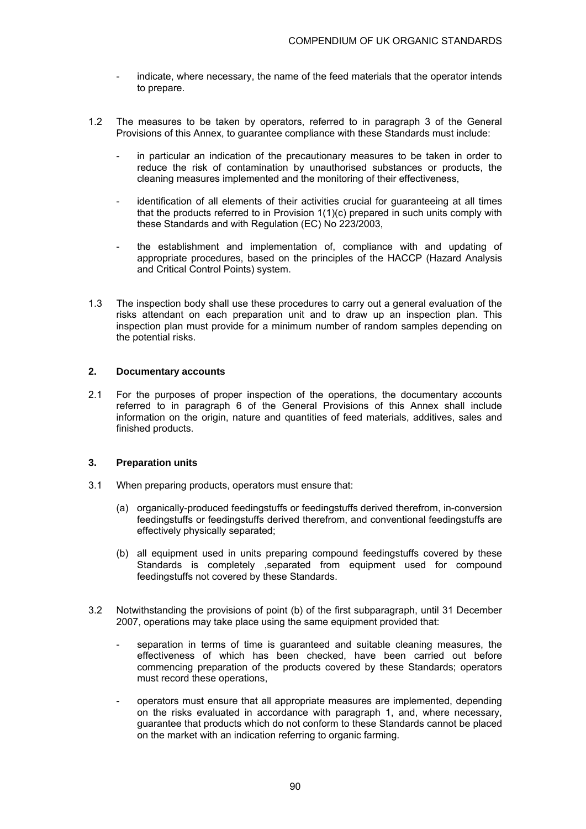- indicate, where necessary, the name of the feed materials that the operator intends to prepare.
- 1.2 The measures to be taken by operators, referred to in paragraph 3 of the General Provisions of this Annex, to guarantee compliance with these Standards must include:
	- in particular an indication of the precautionary measures to be taken in order to reduce the risk of contamination by unauthorised substances or products, the cleaning measures implemented and the monitoring of their effectiveness,
	- identification of all elements of their activities crucial for quaranteeing at all times that the products referred to in Provision 1(1)(c) prepared in such units comply with these Standards and with Regulation (EC) No 223/2003,
	- the establishment and implementation of, compliance with and updating of appropriate procedures, based on the principles of the HACCP (Hazard Analysis and Critical Control Points) system.
- 1.3 The inspection body shall use these procedures to carry out a general evaluation of the risks attendant on each preparation unit and to draw up an inspection plan. This inspection plan must provide for a minimum number of random samples depending on the potential risks.

#### **2. Documentary accounts**

2.1 For the purposes of proper inspection of the operations, the documentary accounts referred to in paragraph 6 of the General Provisions of this Annex shall include information on the origin, nature and quantities of feed materials, additives, sales and finished products.

### **3. Preparation units**

- 3.1 When preparing products, operators must ensure that:
	- (a) organically-produced feedingstuffs or feedingstuffs derived therefrom, in-conversion feedingstuffs or feedingstuffs derived therefrom, and conventional feedingstuffs are effectively physically separated;
	- (b) all equipment used in units preparing compound feedingstuffs covered by these Standards is completely ,separated from equipment used for compound feedingstuffs not covered by these Standards.
- 3.2 Notwithstanding the provisions of point (b) of the first subparagraph, until 31 December 2007, operations may take place using the same equipment provided that:
	- separation in terms of time is guaranteed and suitable cleaning measures, the effectiveness of which has been checked, have been carried out before commencing preparation of the products covered by these Standards; operators must record these operations,
	- operators must ensure that all appropriate measures are implemented, depending on the risks evaluated in accordance with paragraph 1, and, where necessary, guarantee that products which do not conform to these Standards cannot be placed on the market with an indication referring to organic farming.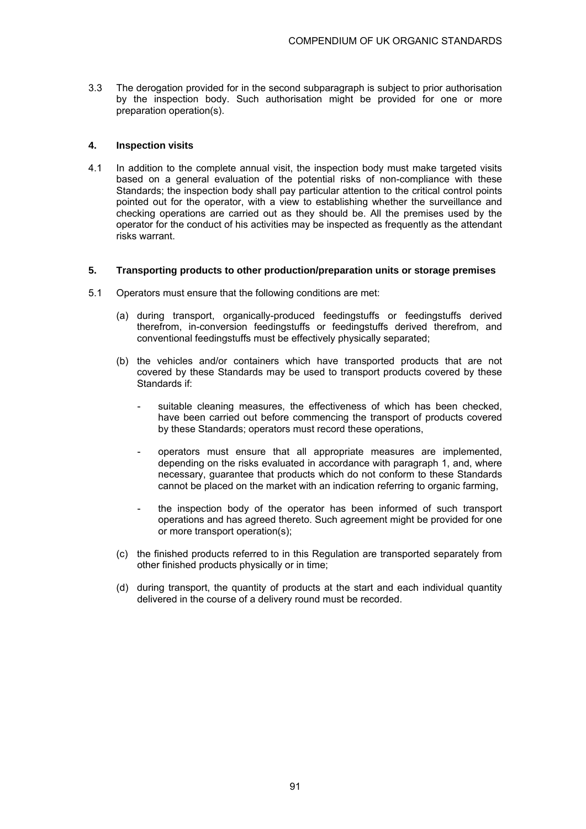3.3 The derogation provided for in the second subparagraph is subject to prior authorisation by the inspection body. Such authorisation might be provided for one or more preparation operation(s).

### **4. Inspection visits**

4.1 In addition to the complete annual visit, the inspection body must make targeted visits based on a general evaluation of the potential risks of non-compliance with these Standards; the inspection body shall pay particular attention to the critical control points pointed out for the operator, with a view to establishing whether the surveillance and checking operations are carried out as they should be. All the premises used by the operator for the conduct of his activities may be inspected as frequently as the attendant risks warrant.

#### **5. Transporting products to other production/preparation units or storage premises**

- 5.1 Operators must ensure that the following conditions are met:
	- (a) during transport, organically-produced feedingstuffs or feedingstuffs derived therefrom, in-conversion feedingstuffs or feedingstuffs derived therefrom, and conventional feedingstuffs must be effectively physically separated;
	- (b) the vehicles and/or containers which have transported products that are not covered by these Standards may be used to transport products covered by these Standards if:
		- suitable cleaning measures, the effectiveness of which has been checked, have been carried out before commencing the transport of products covered by these Standards; operators must record these operations,
		- operators must ensure that all appropriate measures are implemented, depending on the risks evaluated in accordance with paragraph 1, and, where necessary, guarantee that products which do not conform to these Standards cannot be placed on the market with an indication referring to organic farming,
		- the inspection body of the operator has been informed of such transport operations and has agreed thereto. Such agreement might be provided for one or more transport operation(s);
	- (c) the finished products referred to in this Regulation are transported separately from other finished products physically or in time;
	- (d) during transport, the quantity of products at the start and each individual quantity delivered in the course of a delivery round must be recorded.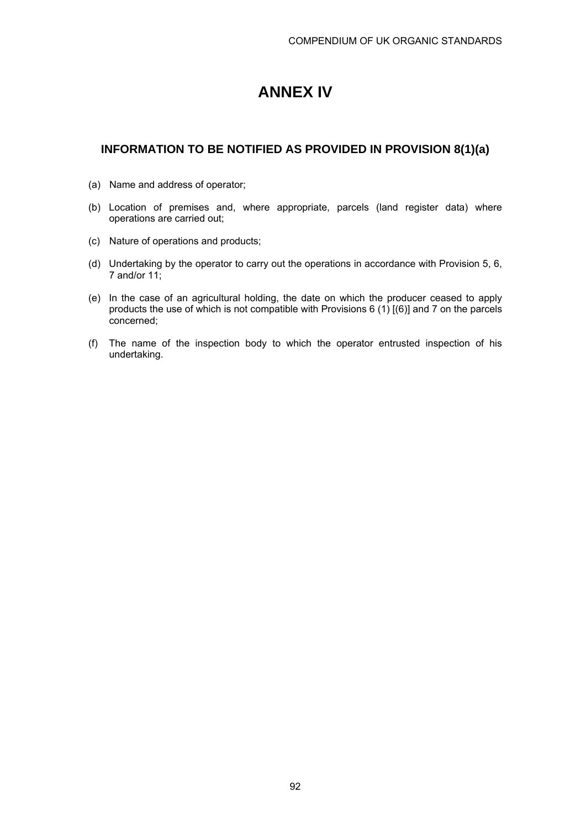# **ANNEX IV**

### **INFORMATION TO BE NOTIFIED AS PROVIDED IN PROVISION 8(1)(a)**

- (a) Name and address of operator;
- (b) Location of premises and, where appropriate, parcels (land register data) where operations are carried out;
- (c) Nature of operations and products;
- (d) Undertaking by the operator to carry out the operations in accordance with Provision 5, 6, 7 and/or 11;
- (e) In the case of an agricultural holding, the date on which the producer ceased to apply products the use of which is not compatible with Provisions 6 (1)  $(6)$ ] and 7 on the parcels concerned;
- (f) The name of the inspection body to which the operator entrusted inspection of his undertaking.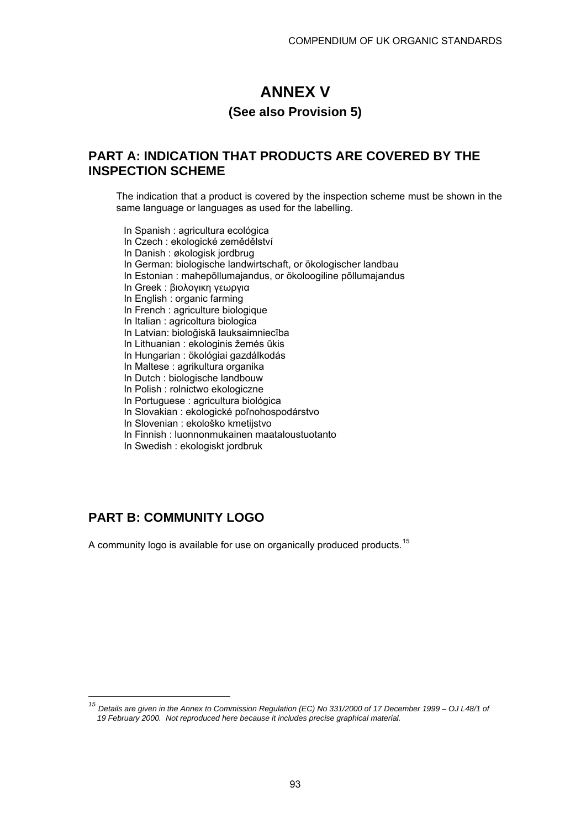# **ANNEX V**

### **(See also Provision 5)**

# **PART A: INDICATION THAT PRODUCTS ARE COVERED BY THE INSPECTION SCHEME**

 The indication that a product is covered by the inspection scheme must be shown in the same language or languages as used for the labelling.

 In Spanish : agricultura ecológica In Czech : ekologické zemědělství In Danish : økologisk jordbrug In German: biologische landwirtschaft, or ökologischer landbau In Estonian : mahepõllumajandus, or ökoloogiline põllumajandus In Greek : βιολογικη γεωργια In English : organic farming In French : agriculture biologique In Italian : agricoltura biologica In Latvian: bioloğiskā lauksaimniecība In Lithuanian : ekologinis žemės ūkis In Hungarian : ökológiai gazdálkodás In Maltese : agrikultura organika In Dutch : biologische landbouw In Polish : rolnictwo ekologiczne In Portuguese : agricultura biológica In Slovakian : ekologické poľnohospodárstvo In Slovenian : ekološko kmetijstvo In Finnish : luonnonmukainen maataloustuotanto In Swedish : ekologiskt jordbruk

# **PART B: COMMUNITY LOGO**

A community logo is available for use on organically produced products.<sup>15</sup>

*<sup>15</sup> Details are given in the Annex to Commission Regulation (EC) No 331/2000 of 17 December 1999 – OJ L48/1 of 19 February 2000. Not reproduced here because it includes precise graphical material.*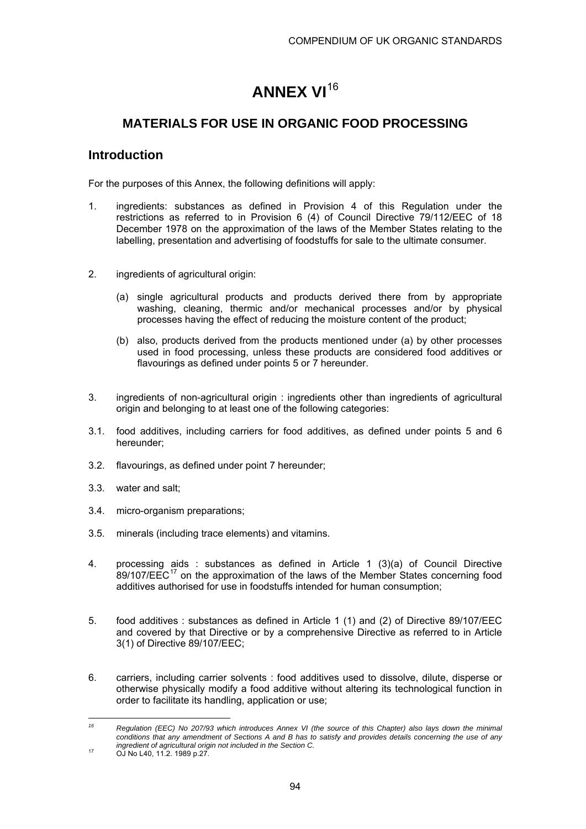# **ANNEX VI**<sup>16</sup>

# **MATERIALS FOR USE IN ORGANIC FOOD PROCESSING**

## **Introduction**

For the purposes of this Annex, the following definitions will apply:

- 1. ingredients: substances as defined in Provision 4 of this Regulation under the restrictions as referred to in Provision 6 (4) of Council Directive 79/112/EEC of 18 December 1978 on the approximation of the laws of the Member States relating to the labelling, presentation and advertising of foodstuffs for sale to the ultimate consumer.
- 2. ingredients of agricultural origin:
	- (a) single agricultural products and products derived there from by appropriate washing, cleaning, thermic and/or mechanical processes and/or by physical processes having the effect of reducing the moisture content of the product;
	- (b) also, products derived from the products mentioned under (a) by other processes used in food processing, unless these products are considered food additives or flavourings as defined under points 5 or 7 hereunder.
- 3. ingredients of non-agricultural origin : ingredients other than ingredients of agricultural origin and belonging to at least one of the following categories:
- 3.1. food additives, including carriers for food additives, as defined under points 5 and 6 hereunder;
- 3.2. flavourings, as defined under point 7 hereunder;
- 3.3. water and salt;
- 3.4. micro-organism preparations;
- 3.5. minerals (including trace elements) and vitamins.
- 4. processing aids : substances as defined in Article 1 (3)(a) of Council Directive  $89/107/EEC<sup>17</sup>$  on the approximation of the laws of the Member States concerning food additives authorised for use in foodstuffs intended for human consumption;
- 5. food additives : substances as defined in Article 1 (1) and (2) of Directive 89/107/EEC and covered by that Directive or by a comprehensive Directive as referred to in Article 3(1) of Directive 89/107/EEC;
- 6. carriers, including carrier solvents : food additives used to dissolve, dilute, disperse or otherwise physically modify a food additive without altering its technological function in order to facilitate its handling, application or use;

 $16$ *16 Regulation (EEC) No 207/93 which introduces Annex VI (the source of this Chapter) also lays down the minimal*  conditions that any amendment of Sections A and B has to satisfy and provides details concerning the use of any *ingredient of agricultural origin not included in the Section C.* 17 OJ No L40, 11.2. 1989 p.27.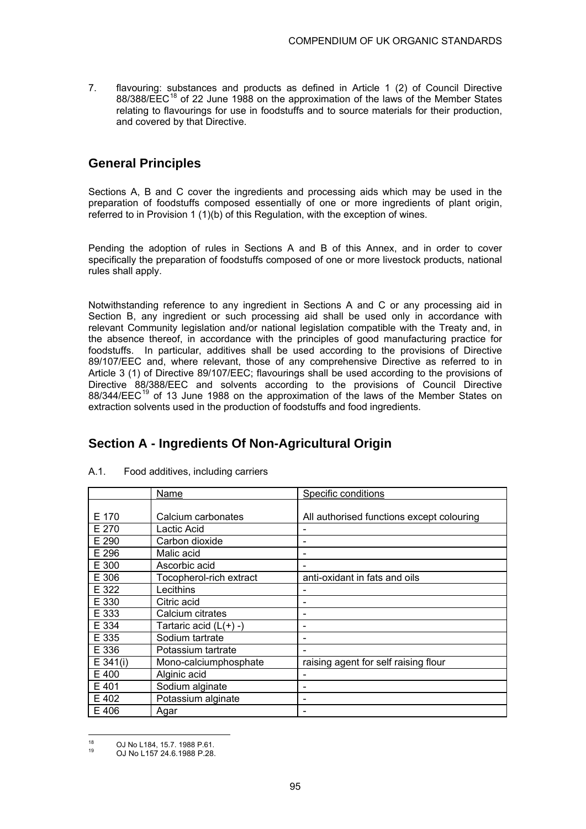7. flavouring: substances and products as defined in Article 1 (2) of Council Directive  $88/388$ /EEC<sup>18</sup> of 22 June 1988 on the approximation of the laws of the Member States relating to flavourings for use in foodstuffs and to source materials for their production, and covered by that Directive.

# **General Principles**

Sections A, B and C cover the ingredients and processing aids which may be used in the preparation of foodstuffs composed essentially of one or more ingredients of plant origin, referred to in Provision 1 (1)(b) of this Regulation, with the exception of wines.

Pending the adoption of rules in Sections A and B of this Annex, and in order to cover specifically the preparation of foodstuffs composed of one or more livestock products, national rules shall apply.

Notwithstanding reference to any ingredient in Sections A and C or any processing aid in Section B, any ingredient or such processing aid shall be used only in accordance with relevant Community legislation and/or national legislation compatible with the Treaty and, in the absence thereof, in accordance with the principles of good manufacturing practice for foodstuffs. In particular, additives shall be used according to the provisions of Directive 89/107/EEC and, where relevant, those of any comprehensive Directive as referred to in Article 3 (1) of Directive 89/107/EEC; flavourings shall be used according to the provisions of Directive 88/388/EEC and solvents according to the provisions of Council Directive  $88/344/EEC<sup>19</sup>$  of 13 June 1988 on the approximation of the laws of the Member States on extraction solvents used in the production of foodstuffs and food ingredients.

## **Section A - Ingredients Of Non-Agricultural Origin**

|            | Name                     | Specific conditions                       |  |
|------------|--------------------------|-------------------------------------------|--|
|            |                          |                                           |  |
| E 170      | Calcium carbonates       | All authorised functions except colouring |  |
| E 270      | Lactic Acid              |                                           |  |
| E 290      | Carbon dioxide           | $\overline{\phantom{0}}$                  |  |
| E 296      | Malic acid               |                                           |  |
| E 300      | Ascorbic acid            |                                           |  |
| E 306      | Tocopherol-rich extract  | anti-oxidant in fats and oils             |  |
| E 322      | Lecithins                |                                           |  |
| E 330      | Citric acid              |                                           |  |
| E 333      | Calcium citrates         |                                           |  |
| E 334      | Tartaric acid $(L(+) -)$ |                                           |  |
| E 335      | Sodium tartrate          |                                           |  |
| E 336      | Potassium tartrate       |                                           |  |
| $E$ 341(i) | Mono-calciumphosphate    | raising agent for self raising flour      |  |
| E 400      | Alginic acid             |                                           |  |
| E 401      | Sodium alginate          |                                           |  |
| E 402      | Potassium alginate       |                                           |  |
| E 406      | Agar                     |                                           |  |

A.1. Food additives, including carriers

<sup>18</sup> <sup>18</sup> OJ No L184, 15.7. 1988 P.61.<br><sup>19</sup> OJ No L157 24.6.1988 P.28.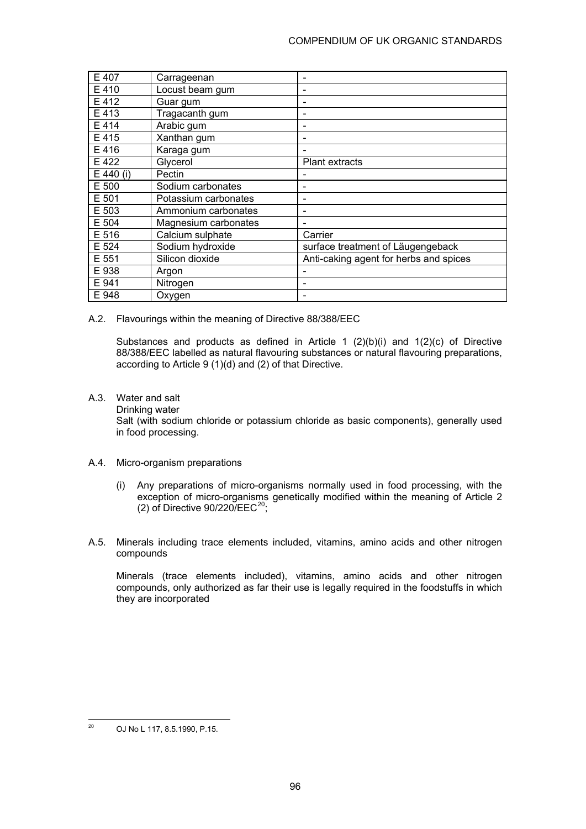### COMPENDIUM OF UK ORGANIC STANDARDS

| E 407     | Carrageenan          |                                        |
|-----------|----------------------|----------------------------------------|
| E410      | Locust beam gum      | $\qquad \qquad \blacksquare$           |
| E 412     | Guar gum             | $\qquad \qquad \blacksquare$           |
| E 413     | Tragacanth gum       | $\qquad \qquad \blacksquare$           |
| E 414     | Arabic gum           | $\qquad \qquad \blacksquare$           |
| E 415     | Xanthan gum          | $\qquad \qquad \blacksquare$           |
| E 416     | Karaga gum           |                                        |
| E 422     | Glycerol             | <b>Plant extracts</b>                  |
| E 440 (i) | Pectin               |                                        |
| E 500     | Sodium carbonates    | $\qquad \qquad \blacksquare$           |
| E 501     | Potassium carbonates | $\qquad \qquad \blacksquare$           |
| E 503     | Ammonium carbonates  | $\qquad \qquad \blacksquare$           |
| E 504     | Magnesium carbonates |                                        |
| E 516     | Calcium sulphate     | Carrier                                |
| E 524     | Sodium hydroxide     | surface treatment of Läugengeback      |
| E 551     | Silicon dioxide      | Anti-caking agent for herbs and spices |
| E 938     | Argon                |                                        |
| E 941     | Nitrogen             | -                                      |
| E 948     | Oxygen               |                                        |

A.2. Flavourings within the meaning of Directive 88/388/EEC

 Substances and products as defined in Article 1 (2)(b)(i) and 1(2)(c) of Directive 88/388/EEC labelled as natural flavouring substances or natural flavouring preparations, according to Article 9 (1)(d) and (2) of that Directive.

- A.3. Water and salt
	- Drinking water

 Salt (with sodium chloride or potassium chloride as basic components), generally used in food processing.

- A.4. Micro-organism preparations
	- (i) Any preparations of micro-organisms normally used in food processing, with the exception of micro-organisms genetically modified within the meaning of Article 2 (2) of Directive  $90/220/EEC^{20}$ ;
- A.5. Minerals including trace elements included, vitamins, amino acids and other nitrogen compounds

 Minerals (trace elements included), vitamins, amino acids and other nitrogen compounds, only authorized as far their use is legally required in the foodstuffs in which they are incorporated

 $20\,$ 20 OJ No L 117, 8.5.1990, P.15.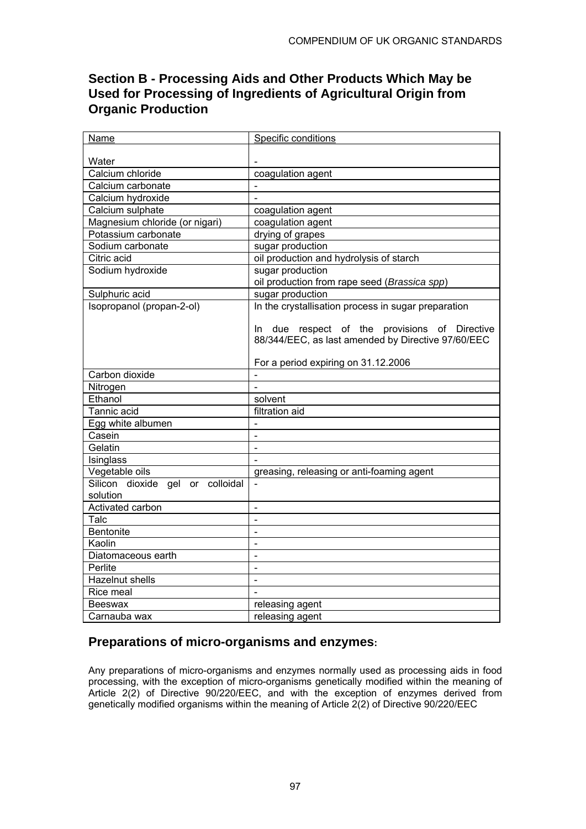# **Section B - Processing Aids and Other Products Which May be Used for Processing of Ingredients of Agricultural Origin from Organic Production**

| Water<br>Calcium chloride<br>coagulation agent<br>Calcium carbonate<br>Calcium hydroxide<br>Calcium sulphate<br>coagulation agent<br>Magnesium chloride (or nigari)<br>coagulation agent<br>Potassium carbonate<br>drying of grapes<br>Sodium carbonate<br>sugar production<br>Citric acid<br>oil production and hydrolysis of starch<br>sugar production<br>Sodium hydroxide<br>oil production from rape seed (Brassica spp)<br>Sulphuric acid<br>sugar production<br>Isopropanol (propan-2-ol)<br>In the crystallisation process in sugar preparation<br>In due respect of the provisions of Directive<br>88/344/EEC, as last amended by Directive 97/60/EEC<br>For a period expiring on 31.12.2006<br>Carbon dioxide<br>Nitrogen<br>$\overline{a}$<br>Ethanol<br>solvent<br>filtration aid<br>Tannic acid<br>Egg white albumen<br>$\blacksquare$<br>Casein<br>$\blacksquare$<br>Gelatin<br>$\overline{a}$<br>Isinglass<br>Vegetable oils<br>greasing, releasing or anti-foaming agent<br>Silicon dioxide gel or colloidal<br>$\blacksquare$<br>solution<br>Activated carbon<br>$\overline{a}$ | Name | Specific conditions |
|--------------------------------------------------------------------------------------------------------------------------------------------------------------------------------------------------------------------------------------------------------------------------------------------------------------------------------------------------------------------------------------------------------------------------------------------------------------------------------------------------------------------------------------------------------------------------------------------------------------------------------------------------------------------------------------------------------------------------------------------------------------------------------------------------------------------------------------------------------------------------------------------------------------------------------------------------------------------------------------------------------------------------------------------------------------------------------------------------|------|---------------------|
|                                                                                                                                                                                                                                                                                                                                                                                                                                                                                                                                                                                                                                                                                                                                                                                                                                                                                                                                                                                                                                                                                                  |      |                     |
|                                                                                                                                                                                                                                                                                                                                                                                                                                                                                                                                                                                                                                                                                                                                                                                                                                                                                                                                                                                                                                                                                                  |      |                     |
|                                                                                                                                                                                                                                                                                                                                                                                                                                                                                                                                                                                                                                                                                                                                                                                                                                                                                                                                                                                                                                                                                                  |      |                     |
|                                                                                                                                                                                                                                                                                                                                                                                                                                                                                                                                                                                                                                                                                                                                                                                                                                                                                                                                                                                                                                                                                                  |      |                     |
|                                                                                                                                                                                                                                                                                                                                                                                                                                                                                                                                                                                                                                                                                                                                                                                                                                                                                                                                                                                                                                                                                                  |      |                     |
|                                                                                                                                                                                                                                                                                                                                                                                                                                                                                                                                                                                                                                                                                                                                                                                                                                                                                                                                                                                                                                                                                                  |      |                     |
|                                                                                                                                                                                                                                                                                                                                                                                                                                                                                                                                                                                                                                                                                                                                                                                                                                                                                                                                                                                                                                                                                                  |      |                     |
|                                                                                                                                                                                                                                                                                                                                                                                                                                                                                                                                                                                                                                                                                                                                                                                                                                                                                                                                                                                                                                                                                                  |      |                     |
|                                                                                                                                                                                                                                                                                                                                                                                                                                                                                                                                                                                                                                                                                                                                                                                                                                                                                                                                                                                                                                                                                                  |      |                     |
|                                                                                                                                                                                                                                                                                                                                                                                                                                                                                                                                                                                                                                                                                                                                                                                                                                                                                                                                                                                                                                                                                                  |      |                     |
|                                                                                                                                                                                                                                                                                                                                                                                                                                                                                                                                                                                                                                                                                                                                                                                                                                                                                                                                                                                                                                                                                                  |      |                     |
|                                                                                                                                                                                                                                                                                                                                                                                                                                                                                                                                                                                                                                                                                                                                                                                                                                                                                                                                                                                                                                                                                                  |      |                     |
|                                                                                                                                                                                                                                                                                                                                                                                                                                                                                                                                                                                                                                                                                                                                                                                                                                                                                                                                                                                                                                                                                                  |      |                     |
|                                                                                                                                                                                                                                                                                                                                                                                                                                                                                                                                                                                                                                                                                                                                                                                                                                                                                                                                                                                                                                                                                                  |      |                     |
|                                                                                                                                                                                                                                                                                                                                                                                                                                                                                                                                                                                                                                                                                                                                                                                                                                                                                                                                                                                                                                                                                                  |      |                     |
|                                                                                                                                                                                                                                                                                                                                                                                                                                                                                                                                                                                                                                                                                                                                                                                                                                                                                                                                                                                                                                                                                                  |      |                     |
|                                                                                                                                                                                                                                                                                                                                                                                                                                                                                                                                                                                                                                                                                                                                                                                                                                                                                                                                                                                                                                                                                                  |      |                     |
|                                                                                                                                                                                                                                                                                                                                                                                                                                                                                                                                                                                                                                                                                                                                                                                                                                                                                                                                                                                                                                                                                                  |      |                     |
|                                                                                                                                                                                                                                                                                                                                                                                                                                                                                                                                                                                                                                                                                                                                                                                                                                                                                                                                                                                                                                                                                                  |      |                     |
|                                                                                                                                                                                                                                                                                                                                                                                                                                                                                                                                                                                                                                                                                                                                                                                                                                                                                                                                                                                                                                                                                                  |      |                     |
|                                                                                                                                                                                                                                                                                                                                                                                                                                                                                                                                                                                                                                                                                                                                                                                                                                                                                                                                                                                                                                                                                                  |      |                     |
|                                                                                                                                                                                                                                                                                                                                                                                                                                                                                                                                                                                                                                                                                                                                                                                                                                                                                                                                                                                                                                                                                                  |      |                     |
|                                                                                                                                                                                                                                                                                                                                                                                                                                                                                                                                                                                                                                                                                                                                                                                                                                                                                                                                                                                                                                                                                                  |      |                     |
|                                                                                                                                                                                                                                                                                                                                                                                                                                                                                                                                                                                                                                                                                                                                                                                                                                                                                                                                                                                                                                                                                                  |      |                     |
|                                                                                                                                                                                                                                                                                                                                                                                                                                                                                                                                                                                                                                                                                                                                                                                                                                                                                                                                                                                                                                                                                                  |      |                     |
|                                                                                                                                                                                                                                                                                                                                                                                                                                                                                                                                                                                                                                                                                                                                                                                                                                                                                                                                                                                                                                                                                                  |      |                     |
|                                                                                                                                                                                                                                                                                                                                                                                                                                                                                                                                                                                                                                                                                                                                                                                                                                                                                                                                                                                                                                                                                                  |      |                     |
|                                                                                                                                                                                                                                                                                                                                                                                                                                                                                                                                                                                                                                                                                                                                                                                                                                                                                                                                                                                                                                                                                                  |      |                     |
|                                                                                                                                                                                                                                                                                                                                                                                                                                                                                                                                                                                                                                                                                                                                                                                                                                                                                                                                                                                                                                                                                                  |      |                     |
|                                                                                                                                                                                                                                                                                                                                                                                                                                                                                                                                                                                                                                                                                                                                                                                                                                                                                                                                                                                                                                                                                                  |      |                     |
| L,                                                                                                                                                                                                                                                                                                                                                                                                                                                                                                                                                                                                                                                                                                                                                                                                                                                                                                                                                                                                                                                                                               | Talc |                     |
| Bentonite<br>$\blacksquare$                                                                                                                                                                                                                                                                                                                                                                                                                                                                                                                                                                                                                                                                                                                                                                                                                                                                                                                                                                                                                                                                      |      |                     |
| Kaolin                                                                                                                                                                                                                                                                                                                                                                                                                                                                                                                                                                                                                                                                                                                                                                                                                                                                                                                                                                                                                                                                                           |      |                     |
| Diatomaceous earth<br>$\blacksquare$                                                                                                                                                                                                                                                                                                                                                                                                                                                                                                                                                                                                                                                                                                                                                                                                                                                                                                                                                                                                                                                             |      |                     |
| Perlite<br>$\blacksquare$                                                                                                                                                                                                                                                                                                                                                                                                                                                                                                                                                                                                                                                                                                                                                                                                                                                                                                                                                                                                                                                                        |      |                     |
| Hazelnut shells<br>$\blacksquare$                                                                                                                                                                                                                                                                                                                                                                                                                                                                                                                                                                                                                                                                                                                                                                                                                                                                                                                                                                                                                                                                |      |                     |
| Rice meal                                                                                                                                                                                                                                                                                                                                                                                                                                                                                                                                                                                                                                                                                                                                                                                                                                                                                                                                                                                                                                                                                        |      |                     |
| releasing agent<br><b>Beeswax</b>                                                                                                                                                                                                                                                                                                                                                                                                                                                                                                                                                                                                                                                                                                                                                                                                                                                                                                                                                                                                                                                                |      |                     |
| releasing agent<br>Carnauba wax                                                                                                                                                                                                                                                                                                                                                                                                                                                                                                                                                                                                                                                                                                                                                                                                                                                                                                                                                                                                                                                                  |      |                     |

# **Preparations of micro-organisms and enzymes:**

Any preparations of micro-organisms and enzymes normally used as processing aids in food processing, with the exception of micro-organisms genetically modified within the meaning of Article 2(2) of Directive 90/220/EEC, and with the exception of enzymes derived from genetically modified organisms within the meaning of Article 2(2) of Directive 90/220/EEC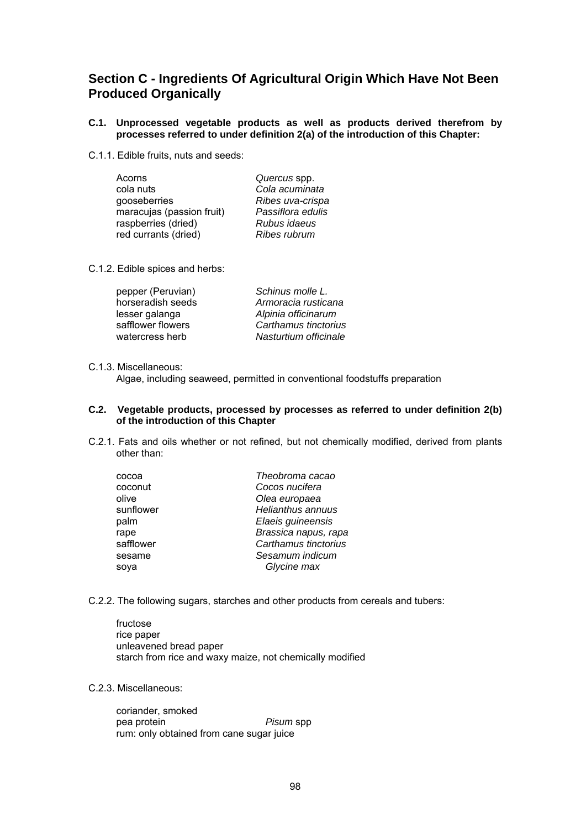## **Section C - Ingredients Of Agricultural Origin Which Have Not Been Produced Organically**

#### **C.1. Unprocessed vegetable products as well as products derived therefrom by processes referred to under definition 2(a) of the introduction of this Chapter:**

C.1.1. Edible fruits, nuts and seeds:

| Acorns                    | Quercus spp.      |
|---------------------------|-------------------|
| cola nuts                 | Cola acuminata    |
| gooseberries              | Ribes uva-crispa  |
| maracujas (passion fruit) | Passiflora edulis |
| raspberries (dried)       | Rubus idaeus      |
| red currants (dried)      | Ribes rubrum      |

C.1.2. Edible spices and herbs:

| pepper (Peruvian) | Schinus molle L.      |
|-------------------|-----------------------|
| horseradish seeds | Armoracia rusticana   |
| lesser galanga    | Alpinia officinarum   |
| safflower flowers | Carthamus tinctorius  |
| watercress herb   | Nasturtium officinale |

#### C.1.3. Miscellaneous:

Algae, including seaweed, permitted in conventional foodstuffs preparation

#### **C.2. Vegetable products, processed by processes as referred to under definition 2(b) of the introduction of this Chapter**

C.2.1. Fats and oils whether or not refined, but not chemically modified, derived from plants other than:

| cocoa     | Theobroma cacao      |
|-----------|----------------------|
| coconut   | Cocos nucifera       |
| olive     | Olea europaea        |
| sunflower | Helianthus annuus    |
| palm      | Elaeis guineensis    |
| rape      | Brassica napus, rapa |
| safflower | Carthamus tinctorius |
| sesame    | Sesamum indicum      |
| sova      | Glycine max          |
|           |                      |

C.2.2. The following sugars, starches and other products from cereals and tubers:

 fructose rice paper unleavened bread paper starch from rice and waxy maize, not chemically modified

C.2.3. Miscellaneous:

 coriander, smoked pea protein *Pisum* spp rum: only obtained from cane sugar juice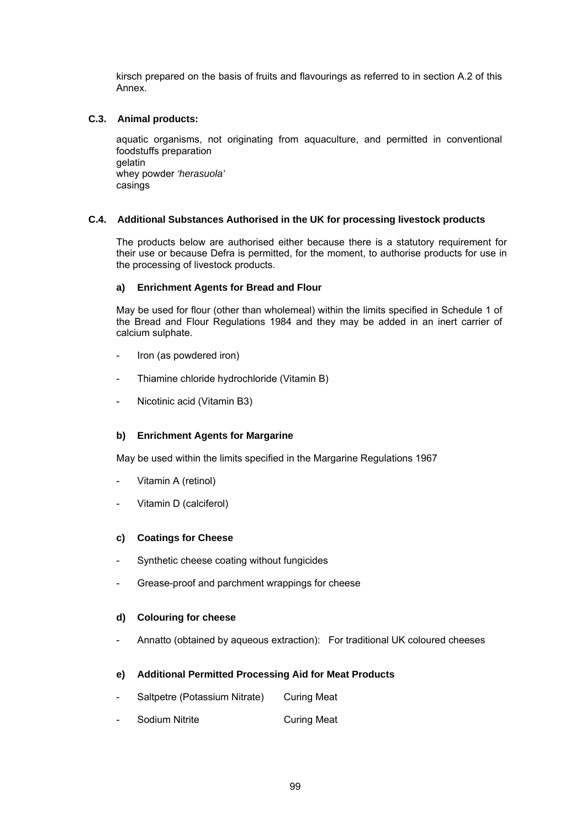kirsch prepared on the basis of fruits and flavourings as referred to in section A.2 of this Annex.

#### **C.3. Animal products:**

aquatic organisms, not originating from aquaculture, and permitted in conventional foodstuffs preparation gelatin whey powder *'herasuola'*  casings

#### **C.4. Additional Substances Authorised in the UK for processing livestock products**

The products below are authorised either because there is a statutory requirement for their use or because Defra is permitted, for the moment, to authorise products for use in the processing of livestock products.

#### **a) Enrichment Agents for Bread and Flour**

 May be used for flour (other than wholemeal) within the limits specified in Schedule 1 of the Bread and Flour Regulations 1984 and they may be added in an inert carrier of calcium sulphate.

- Iron (as powdered iron)
- Thiamine chloride hydrochloride (Vitamin B)
- Nicotinic acid (Vitamin B3)

### **b) Enrichment Agents for Margarine**

May be used within the limits specified in the Margarine Regulations 1967

- Vitamin A (retinol)
- Vitamin D (calciferol)

#### **c) Coatings for Cheese**

- Synthetic cheese coating without fungicides
- Grease-proof and parchment wrappings for cheese

#### **d) Colouring for cheese**

Annatto (obtained by aqueous extraction): For traditional UK coloured cheeses

#### **e) Additional Permitted Processing Aid for Meat Products**

- Saltpetre (Potassium Nitrate) Curing Meat
- Sodium Nitrite **Curing Meat**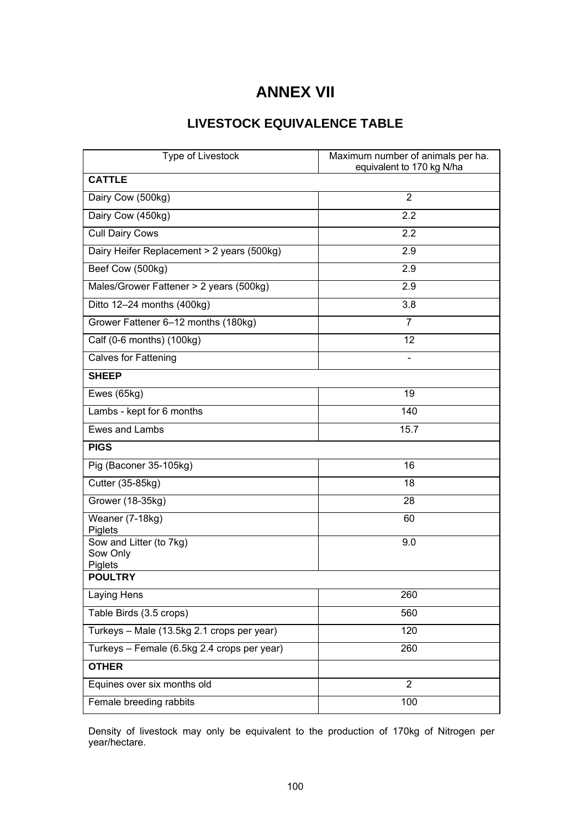# **ANNEX VII**

# **LIVESTOCK EQUIVALENCE TABLE**

| Type of Livestock                              | Maximum number of animals per ha.<br>equivalent to 170 kg N/ha |
|------------------------------------------------|----------------------------------------------------------------|
| <b>CATTLE</b>                                  |                                                                |
| Dairy Cow (500kg)                              | 2                                                              |
| Dairy Cow (450kg)                              | 2.2                                                            |
| <b>Cull Dairy Cows</b>                         | 2.2                                                            |
| Dairy Heifer Replacement > 2 years (500kg)     | 2.9                                                            |
| Beef Cow (500kg)                               | 2.9                                                            |
| Males/Grower Fattener > 2 years (500kg)        | 2.9                                                            |
| Ditto 12-24 months (400kg)                     | 3.8                                                            |
| Grower Fattener 6-12 months (180kg)            | 7                                                              |
| Calf (0-6 months) (100kg)                      | 12                                                             |
| <b>Calves for Fattening</b>                    |                                                                |
| <b>SHEEP</b>                                   |                                                                |
| Ewes (65kg)                                    | 19                                                             |
| Lambs - kept for 6 months                      | 140                                                            |
| Ewes and Lambs                                 | 15.7                                                           |
| <b>PIGS</b>                                    |                                                                |
| Pig (Baconer 35-105kg)                         | 16                                                             |
| Cutter (35-85kg)                               | 18                                                             |
| Grower (18-35kg)                               | 28                                                             |
| Weaner (7-18kg)<br>Piglets                     | 60                                                             |
| Sow and Litter (to 7kg)<br>Sow Only<br>Piglets | 9.0                                                            |
| <b>POULTRY</b>                                 |                                                                |
| Laying Hens                                    | 260                                                            |
| Table Birds (3.5 crops)                        | 560                                                            |
| Turkeys - Male (13.5kg 2.1 crops per year)     | 120                                                            |
| Turkeys - Female (6.5kg 2.4 crops per year)    | 260                                                            |
| <b>OTHER</b>                                   |                                                                |
| Equines over six months old                    | $\overline{2}$                                                 |
| Female breeding rabbits                        | 100                                                            |

Density of livestock may only be equivalent to the production of 170kg of Nitrogen per year/hectare.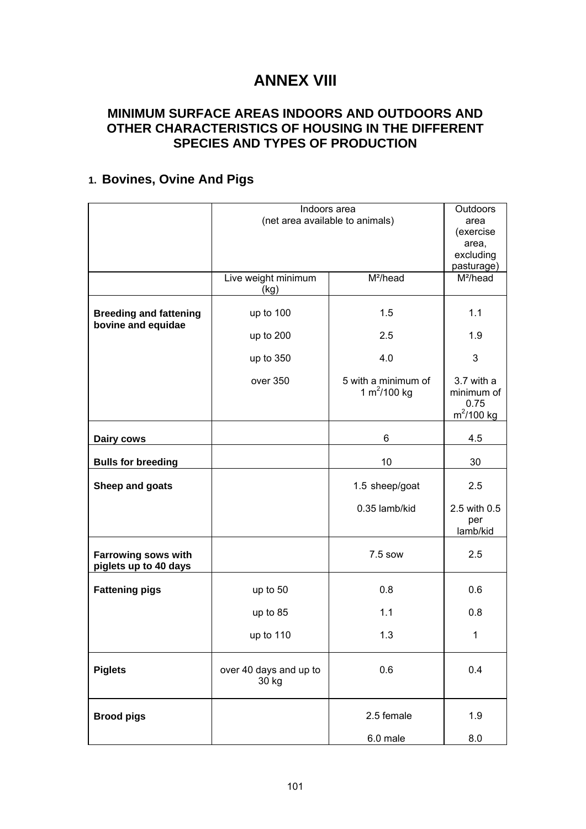# **ANNEX VIII**

# **MINIMUM SURFACE AREAS INDOORS AND OUTDOORS AND OTHER CHARACTERISTICS OF HOUSING IN THE DIFFERENT SPECIES AND TYPES OF PRODUCTION**

# **1. Bovines, Ovine And Pigs**

|                                                     | Indoors area                    | Outdoors                               |                                                   |
|-----------------------------------------------------|---------------------------------|----------------------------------------|---------------------------------------------------|
|                                                     | (net area available to animals) | area                                   |                                                   |
|                                                     |                                 | (exercise                              |                                                   |
|                                                     |                                 |                                        |                                                   |
|                                                     |                                 | area,                                  |                                                   |
|                                                     |                                 | excluding                              |                                                   |
|                                                     |                                 |                                        | pasturage)                                        |
|                                                     | Live weight minimum             | M <sup>2</sup> /head                   | M <sup>2</sup> /head                              |
|                                                     |                                 |                                        |                                                   |
|                                                     | (kg)                            |                                        |                                                   |
| <b>Breeding and fattening</b><br>bovine and equidae | up to 100                       | 1.5                                    | 1.1                                               |
|                                                     | up to 200                       | 2.5                                    | 1.9                                               |
|                                                     | up to 350                       | 4.0                                    | 3                                                 |
|                                                     | over 350                        | 5 with a minimum of<br>1 $m^2$ /100 kg | 3.7 with a<br>minimum of<br>0.75<br>$m^2$ /100 kg |
|                                                     |                                 |                                        |                                                   |
| Dairy cows                                          | 6                               |                                        | 4.5                                               |
|                                                     |                                 |                                        |                                                   |
| <b>Bulls for breeding</b>                           |                                 | 10                                     | 30                                                |
|                                                     |                                 |                                        |                                                   |
| Sheep and goats                                     |                                 | 1.5 sheep/goat                         | 2.5                                               |
|                                                     |                                 | 0.35 lamb/kid                          | 2.5 with 0.5                                      |
|                                                     |                                 |                                        | per                                               |
|                                                     |                                 |                                        |                                                   |
|                                                     |                                 |                                        | lamb/kid                                          |
| <b>Farrowing sows with</b><br>piglets up to 40 days |                                 | 7.5 sow                                | 2.5                                               |
| <b>Fattening pigs</b>                               | up to 50                        | 0.8                                    | 0.6                                               |
|                                                     | up to 85                        | 1.1                                    | 0.8                                               |
|                                                     |                                 |                                        |                                                   |
|                                                     | up to 110                       | 1.3                                    | $\mathbf{1}$                                      |
| <b>Piglets</b>                                      | over 40 days and up to<br>30 kg | 0.6                                    | 0.4                                               |
|                                                     |                                 |                                        |                                                   |
| <b>Brood pigs</b>                                   |                                 | 2.5 female                             | 1.9                                               |
|                                                     |                                 | 6.0 male                               | 8.0                                               |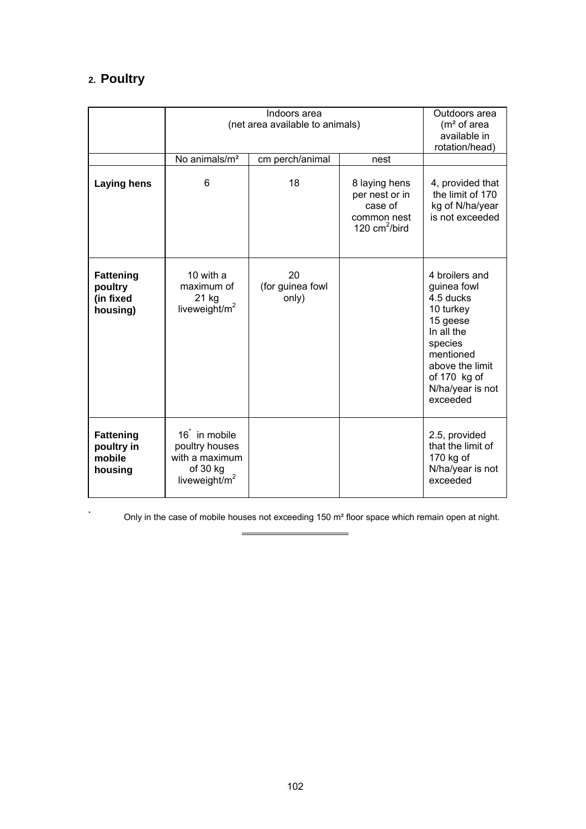# **2. Poultry**

|                                                      | Indoors area<br>(net area available to animals)                                               |                                 |                                                                               | Outdoors area<br>$(m2$ of area<br>available in<br>rotation/head)                                                                                                             |
|------------------------------------------------------|-----------------------------------------------------------------------------------------------|---------------------------------|-------------------------------------------------------------------------------|------------------------------------------------------------------------------------------------------------------------------------------------------------------------------|
|                                                      | No animals/m <sup>2</sup>                                                                     | cm perch/animal                 | nest                                                                          |                                                                                                                                                                              |
| <b>Laying hens</b>                                   | 6                                                                                             | 18                              | 8 laying hens<br>per nest or in<br>case of<br>common nest<br>120 $cm^2/b$ ird | 4, provided that<br>the limit of 170<br>kg of N/ha/year<br>is not exceeded                                                                                                   |
| <b>Fattening</b><br>poultry<br>(in fixed<br>housing) | 10 with a<br>maximum of<br>21 kg<br>liveweight/m <sup>2</sup>                                 | 20<br>(for guinea fowl<br>only) |                                                                               | 4 broilers and<br>guinea fowl<br>4.5 ducks<br>10 turkey<br>15 geese<br>In all the<br>species<br>mentioned<br>above the limit<br>of 170 kg of<br>N/ha/year is not<br>exceeded |
| <b>Fattening</b><br>poultry in<br>mobile<br>housing  | 16 <sup>t</sup> in mobile<br>poultry houses<br>with a maximum<br>of 30 kg<br>liveweight/ $m2$ |                                 |                                                                               | 2.5, provided<br>that the limit of<br>170 kg of<br>N/ha/year is not<br>exceeded                                                                                              |

\* Only in the case of mobile houses not exceeding 150 m² floor space which remain open at night.

 $\overline{\phantom{0}}$ 

 $\equiv$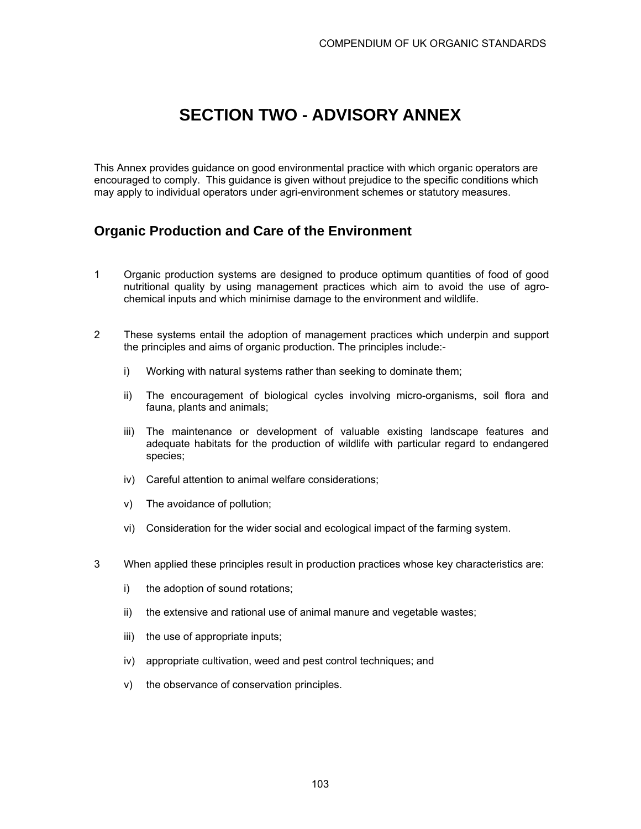# **SECTION TWO - ADVISORY ANNEX**

This Annex provides guidance on good environmental practice with which organic operators are encouraged to comply. This guidance is given without prejudice to the specific conditions which may apply to individual operators under agri-environment schemes or statutory measures.

# **Organic Production and Care of the Environment**

- 1 Organic production systems are designed to produce optimum quantities of food of good nutritional quality by using management practices which aim to avoid the use of agrochemical inputs and which minimise damage to the environment and wildlife.
- 2 These systems entail the adoption of management practices which underpin and support the principles and aims of organic production. The principles include:
	- i) Working with natural systems rather than seeking to dominate them;
	- ii) The encouragement of biological cycles involving micro-organisms, soil flora and fauna, plants and animals;
	- iii) The maintenance or development of valuable existing landscape features and adequate habitats for the production of wildlife with particular regard to endangered species;
	- iv) Careful attention to animal welfare considerations;
	- v) The avoidance of pollution;
	- vi) Consideration for the wider social and ecological impact of the farming system.
- 3 When applied these principles result in production practices whose key characteristics are:
	- i) the adoption of sound rotations;
	- ii) the extensive and rational use of animal manure and vegetable wastes;
	- iii) the use of appropriate inputs;
	- iv) appropriate cultivation, weed and pest control techniques; and
	- v) the observance of conservation principles.